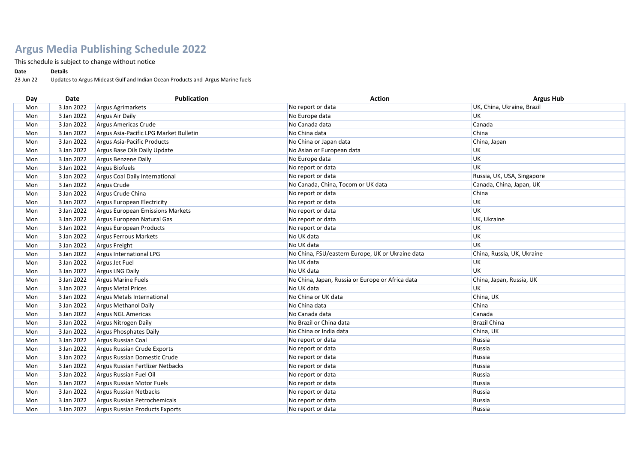## **Argus Media Publishing Schedule 2022**

This schedule is subject to change without notice

## **Date Details**

23 Jun 22 Updates to Argus Mideast Gulf and Indian Ocean Products and Argus Marine fuels

| Day | Date       | <b>Publication</b>                     | <b>Action</b>                                    | <b>Argus Hub</b>           |
|-----|------------|----------------------------------------|--------------------------------------------------|----------------------------|
| Mon | 3 Jan 2022 | Argus Agrimarkets                      | No report or data                                | UK, China, Ukraine, Brazil |
| Mon | 3 Jan 2022 | <b>Argus Air Daily</b>                 | No Europe data                                   | UK                         |
| Mon | 3 Jan 2022 | Argus Americas Crude                   | No Canada data                                   | Canada                     |
| Mon | 3 Jan 2022 | Argus Asia-Pacific LPG Market Bulletin | No China data                                    | China                      |
| Mon | 3 Jan 2022 | Argus Asia-Pacific Products            | No China or Japan data                           | China, Japan               |
| Mon | 3 Jan 2022 | Argus Base Oils Daily Update           | No Asian or European data                        | UK                         |
| Mon | 3 Jan 2022 | Argus Benzene Daily                    | No Europe data                                   | UK                         |
| Mon | 3 Jan 2022 | Argus Biofuels                         | No report or data                                | UK                         |
| Mon | 3 Jan 2022 | Argus Coal Daily International         | No report or data                                | Russia, UK, USA, Singapore |
| Mon | 3 Jan 2022 | Argus Crude                            | No Canada, China, Tocom or UK data               | Canada, China, Japan, UK   |
| Mon | 3 Jan 2022 | Argus Crude China                      | No report or data                                | China                      |
| Mon | 3 Jan 2022 | Argus European Electricity             | No report or data                                | UK                         |
| Mon | 3 Jan 2022 | Argus European Emissions Markets       | No report or data                                | <b>UK</b>                  |
| Mon | 3 Jan 2022 | Argus European Natural Gas             | No report or data                                | UK, Ukraine                |
| Mon | 3 Jan 2022 | Argus European Products                | No report or data                                | UK                         |
| Mon | 3 Jan 2022 | Argus Ferrous Markets                  | No UK data                                       | UK                         |
| Mon | 3 Jan 2022 | Argus Freight                          | No UK data                                       | UK                         |
| Mon | 3 Jan 2022 | Argus International LPG                | No China, FSU/eastern Europe, UK or Ukraine data | China, Russia, UK, Ukraine |
| Mon | 3 Jan 2022 | Argus Jet Fuel                         | No UK data                                       | UK                         |
| Mon | 3 Jan 2022 | <b>Argus LNG Daily</b>                 | No UK data                                       | <b>UK</b>                  |
| Mon | 3 Jan 2022 | <b>Argus Marine Fuels</b>              | No China, Japan, Russia or Europe or Africa data | China, Japan, Russia, UK   |
| Mon | 3 Jan 2022 | <b>Argus Metal Prices</b>              | No UK data                                       | <b>UK</b>                  |
| Mon | 3 Jan 2022 | <b>Argus Metals International</b>      | No China or UK data                              | China, UK                  |
| Mon | 3 Jan 2022 | <b>Argus Methanol Daily</b>            | No China data                                    | China                      |
| Mon | 3 Jan 2022 | Argus NGL Americas                     | No Canada data                                   | Canada                     |
| Mon | 3 Jan 2022 | Argus Nitrogen Daily                   | No Brazil or China data                          | <b>Brazil China</b>        |
| Mon | 3 Jan 2022 | <b>Argus Phosphates Daily</b>          | No China or India data                           | China, UK                  |
| Mon | 3 Jan 2022 | <b>Argus Russian Coal</b>              | No report or data                                | Russia                     |
| Mon | 3 Jan 2022 | Argus Russian Crude Exports            | No report or data                                | Russia                     |
| Mon | 3 Jan 2022 | Argus Russian Domestic Crude           | No report or data                                | Russia                     |
| Mon | 3 Jan 2022 | Argus Russian Fertlizer Netbacks       | No report or data                                | Russia                     |
| Mon | 3 Jan 2022 | Argus Russian Fuel Oil                 | No report or data                                | Russia                     |
| Mon | 3 Jan 2022 | Argus Russian Motor Fuels              | No report or data                                | Russia                     |
| Mon | 3 Jan 2022 | Argus Russian Netbacks                 | No report or data                                | Russia                     |
| Mon | 3 Jan 2022 | Argus Russian Petrochemicals           | No report or data                                | Russia                     |
| Mon | 3 Jan 2022 | Argus Russian Products Exports         | No report or data                                | Russia                     |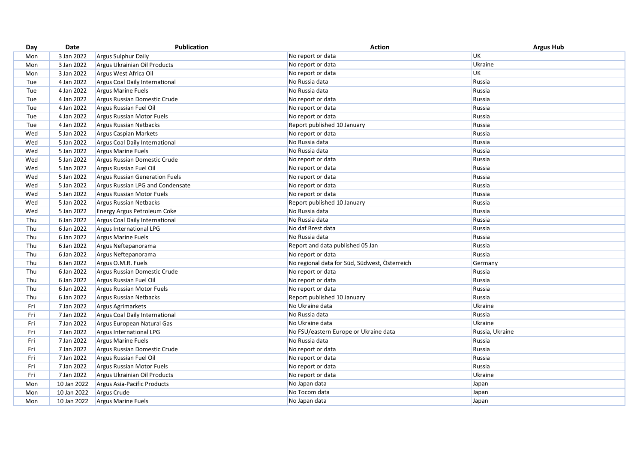| 3 Jan 2022<br>No report or data<br><b>Argus Sulphur Daily</b><br>Mon                     | UK              |
|------------------------------------------------------------------------------------------|-----------------|
| 3 Jan 2022<br>No report or data<br>Mon<br>Argus Ukrainian Oil Products                   | Ukraine         |
| No report or data<br>Mon<br>3 Jan 2022<br>Argus West Africa Oil                          | <b>UK</b>       |
| 4 Jan 2022<br>No Russia data<br>Tue<br>Argus Coal Daily International                    | Russia          |
| 4 Jan 2022<br>No Russia data<br><b>Argus Marine Fuels</b><br>Tue                         | Russia          |
| 4 Jan 2022<br>Argus Russian Domestic Crude<br>Tue<br>No report or data                   | Russia          |
| 4 Jan 2022<br>Tue<br>Argus Russian Fuel Oil<br>No report or data                         | Russia          |
| 4 Jan 2022<br>Tue<br>Argus Russian Motor Fuels<br>No report or data                      | Russia          |
| 4 Jan 2022<br>Report published 10 January<br>Tue<br><b>Argus Russian Netbacks</b>        | Russia          |
| 5 Jan 2022<br>No report or data<br>Wed<br><b>Argus Caspian Markets</b>                   | Russia          |
| 5 Jan 2022<br>No Russia data<br>Wed<br>Argus Coal Daily International                    | Russia          |
| 5 Jan 2022<br>No Russia data<br>Wed<br><b>Argus Marine Fuels</b>                         | Russia          |
| 5 Jan 2022<br>No report or data<br>Wed<br>Argus Russian Domestic Crude                   | Russia          |
| 5 Jan 2022<br>Wed<br>Argus Russian Fuel Oil<br>No report or data                         | Russia          |
| 5 Jan 2022<br>No report or data<br>Wed<br><b>Argus Russian Generation Fuels</b>          | Russia          |
| Wed<br>5 Jan 2022<br>Argus Russian LPG and Condensate<br>No report or data               | Russia          |
| 5 Jan 2022<br>Wed<br>No report or data<br>Argus Russian Motor Fuels                      | Russia          |
| 5 Jan 2022<br>Argus Russian Netbacks<br>Report published 10 January<br>Wed               | Russia          |
| No Russia data<br>5 Jan 2022<br>Wed<br>Energy Argus Petroleum Coke                       | Russia          |
| Thu<br>6 Jan 2022<br>No Russia data<br>Argus Coal Daily International                    | Russia          |
| No daf Brest data<br>Thu<br>6 Jan 2022<br>Argus International LPG                        | Russia          |
| Thu<br>6 Jan 2022<br>No Russia data<br><b>Argus Marine Fuels</b>                         | Russia          |
| 6 Jan 2022<br>Report and data published 05 Jan<br>Thu<br>Argus Neftepanorama             | Russia          |
| Thu<br>6 Jan 2022<br>Argus Neftepanorama<br>No report or data                            | Russia          |
| 6 Jan 2022<br>No regional data for Süd, Südwest, Österreich<br>Thu<br>Argus O.M.R. Fuels | Germany         |
| 6 Jan 2022<br>Thu<br>Argus Russian Domestic Crude<br>No report or data                   | Russia          |
| 6 Jan 2022<br>Thu<br>Argus Russian Fuel Oil<br>No report or data                         | Russia          |
| Thu<br>6 Jan 2022<br>No report or data<br>Argus Russian Motor Fuels                      | Russia          |
| Thu<br>6 Jan 2022<br>Report published 10 January<br><b>Argus Russian Netbacks</b>        | Russia          |
| No Ukraine data<br>7 Jan 2022<br>Fri<br><b>Argus Agrimarkets</b>                         | Ukraine         |
| 7 Jan 2022<br>No Russia data<br>Fri<br>Argus Coal Daily International                    | Russia          |
| No Ukraine data<br>Fri<br>7 Jan 2022<br>Argus European Natural Gas                       | Ukraine         |
| 7 Jan 2022<br>No FSU/eastern Europe or Ukraine data<br>Fri<br>Argus International LPG    | Russia, Ukraine |
| 7 Jan 2022<br>Fri<br><b>Argus Marine Fuels</b><br>No Russia data                         | Russia          |
| 7 Jan 2022<br>Fri<br>Argus Russian Domestic Crude<br>No report or data                   | Russia          |
| Fri<br>7 Jan 2022<br>Argus Russian Fuel Oil<br>No report or data                         | Russia          |
| Fri<br>7 Jan 2022<br>No report or data<br>Argus Russian Motor Fuels                      | Russia          |
| 7 Jan 2022<br>No report or data<br>Fri<br>Argus Ukrainian Oil Products                   | Ukraine         |
| 10 Jan 2022<br>No Japan data<br>Mon<br>Argus Asia-Pacific Products                       | Japan           |
| No Tocom data<br>10 Jan 2022<br>Argus Crude<br>Mon                                       | Japan           |
| 10 Jan 2022<br>Mon<br>Argus Marine Fuels<br>No Japan data                                | Japan           |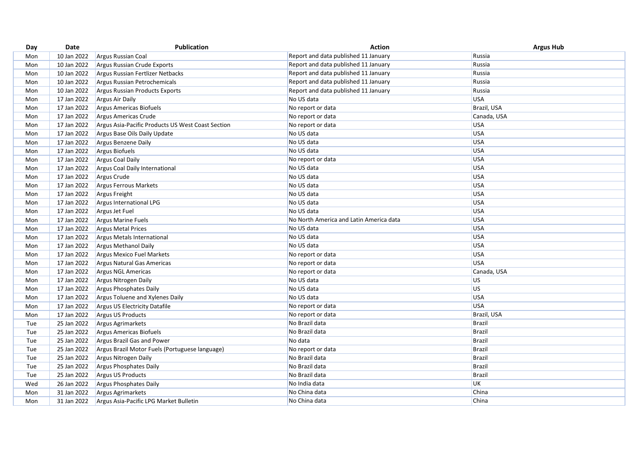| Day | Date        | Publication                                       | <b>Action</b>                           | <b>Argus Hub</b> |
|-----|-------------|---------------------------------------------------|-----------------------------------------|------------------|
| Mon | 10 Jan 2022 | Argus Russian Coal                                | Report and data published 11 January    | Russia           |
| Mon | 10 Jan 2022 | Argus Russian Crude Exports                       | Report and data published 11 January    | Russia           |
| Mon | 10 Jan 2022 | Argus Russian Fertlizer Netbacks                  | Report and data published 11 January    | Russia           |
| Mon | 10 Jan 2022 | Argus Russian Petrochemicals                      | Report and data published 11 January    | Russia           |
| Mon | 10 Jan 2022 | <b>Argus Russian Products Exports</b>             | Report and data published 11 January    | Russia           |
| Mon | 17 Jan 2022 | <b>Argus Air Daily</b>                            | No US data                              | <b>USA</b>       |
| Mon | 17 Jan 2022 | <b>Argus Americas Biofuels</b>                    | No report or data                       | Brazil, USA      |
| Mon | 17 Jan 2022 | Argus Americas Crude                              | No report or data                       | Canada, USA      |
| Mon | 17 Jan 2022 | Argus Asia-Pacific Products US West Coast Section | No report or data                       | USA              |
| Mon | 17 Jan 2022 | Argus Base Oils Daily Update                      | No US data                              | USA              |
| Mon | 17 Jan 2022 | Argus Benzene Daily                               | No US data                              | USA              |
| Mon | 17 Jan 2022 | Argus Biofuels                                    | No US data                              | <b>USA</b>       |
| Mon | 17 Jan 2022 | Argus Coal Daily                                  | No report or data                       | USA              |
| Mon | 17 Jan 2022 | Argus Coal Daily International                    | No US data                              | USA              |
| Mon | 17 Jan 2022 | Argus Crude                                       | No US data                              | <b>USA</b>       |
| Mon | 17 Jan 2022 | Argus Ferrous Markets                             | No US data                              | <b>USA</b>       |
| Mon | 17 Jan 2022 | Argus Freight                                     | No US data                              | USA              |
| Mon | 17 Jan 2022 | Argus International LPG                           | No US data                              | <b>USA</b>       |
| Mon | 17 Jan 2022 | Argus Jet Fuel                                    | No US data                              | <b>USA</b>       |
| Mon | 17 Jan 2022 | <b>Argus Marine Fuels</b>                         | No North America and Latin America data | <b>USA</b>       |
| Mon | 17 Jan 2022 | <b>Argus Metal Prices</b>                         | No US data                              | USA              |
| Mon | 17 Jan 2022 | Argus Metals International                        | No US data                              | <b>USA</b>       |
| Mon | 17 Jan 2022 | Argus Methanol Daily                              | No US data                              | <b>USA</b>       |
| Mon | 17 Jan 2022 | Argus Mexico Fuel Markets                         | No report or data                       | USA              |
| Mon | 17 Jan 2022 | Argus Natural Gas Americas                        | No report or data                       | USA              |
| Mon | 17 Jan 2022 | Argus NGL Americas                                | No report or data                       | Canada, USA      |
| Mon | 17 Jan 2022 | Argus Nitrogen Daily                              | No US data                              | <b>US</b>        |
| Mon | 17 Jan 2022 | <b>Argus Phosphates Daily</b>                     | No US data                              | <b>US</b>        |
| Mon | 17 Jan 2022 | Argus Toluene and Xylenes Daily                   | No US data                              | <b>USA</b>       |
| Mon | 17 Jan 2022 | Argus US Electricity Datafile                     | No report or data                       | USA              |
| Mon | 17 Jan 2022 | Argus US Products                                 | No report or data                       | Brazil, USA      |
| Tue | 25 Jan 2022 | Argus Agrimarkets                                 | No Brazil data                          | <b>Brazil</b>    |
| Tue | 25 Jan 2022 | Argus Americas Biofuels                           | No Brazil data                          | Brazil           |
| Tue | 25 Jan 2022 | <b>Argus Brazil Gas and Power</b>                 | No data                                 | <b>Brazil</b>    |
| Tue | 25 Jan 2022 | Argus Brazil Motor Fuels (Portuguese language)    | No report or data                       | Brazil           |
| Tue | 25 Jan 2022 | Argus Nitrogen Daily                              | No Brazil data                          | <b>Brazil</b>    |
| Tue | 25 Jan 2022 | <b>Argus Phosphates Daily</b>                     | No Brazil data                          | Brazil           |
| Tue | 25 Jan 2022 | Argus US Products                                 | No Brazil data                          | <b>Brazil</b>    |
| Wed | 26 Jan 2022 | Argus Phosphates Daily                            | No India data                           | <b>UK</b>        |
| Mon | 31 Jan 2022 | <b>Argus Agrimarkets</b>                          | No China data                           | China            |
| Mon | 31 Jan 2022 | Argus Asia-Pacific LPG Market Bulletin            | No China data                           | China            |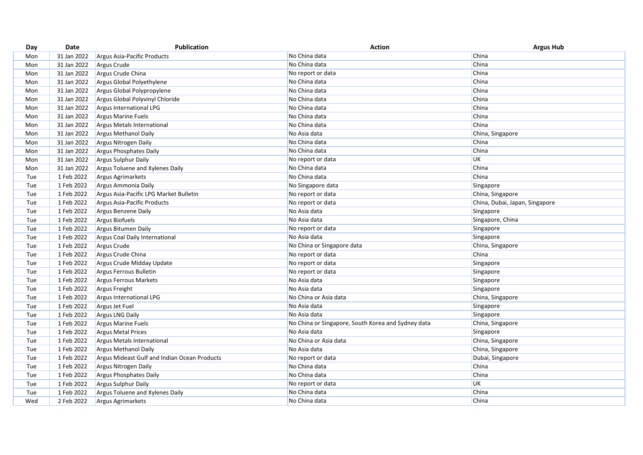| Day | Date        | <b>Publication</b>                           | <b>Action</b>                                      | <b>Argus Hub</b>               |
|-----|-------------|----------------------------------------------|----------------------------------------------------|--------------------------------|
| Mon | 31 Jan 2022 | Argus Asia-Pacific Products                  | No China data                                      | China                          |
| Mon | 31 Jan 2022 | Argus Crude                                  | No China data                                      | China                          |
| Mon | 31 Jan 2022 | Argus Crude China                            | No report or data                                  | China                          |
| Mon | 31 Jan 2022 | Argus Global Polyethylene                    | No China data                                      | China                          |
| Mon | 31 Jan 2022 | Argus Global Polypropylene                   | No China data                                      | China                          |
| Mon | 31 Jan 2022 | Argus Global Polyvinyl Chloride              | No China data                                      | China                          |
| Mon | 31 Jan 2022 | Argus International LPG                      | No China data                                      | China                          |
| Mon | 31 Jan 2022 | Argus Marine Fuels                           | No China data                                      | China                          |
| Mon | 31 Jan 2022 | Argus Metals International                   | No China data                                      | China                          |
| Mon | 31 Jan 2022 | <b>Argus Methanol Daily</b>                  | No Asia data                                       | China, Singapore               |
| Mon | 31 Jan 2022 | Argus Nitrogen Daily                         | No China data                                      | China                          |
| Mon | 31 Jan 2022 | Argus Phosphates Daily                       | No China data                                      | China                          |
| Mon | 31 Jan 2022 | Argus Sulphur Daily                          | No report or data                                  | UK                             |
| Mon | 31 Jan 2022 | Argus Toluene and Xylenes Daily              | No China data                                      | China                          |
| Tue | 1 Feb 2022  | Argus Agrimarkets                            | No China data                                      | China                          |
| Tue | 1 Feb 2022  | Argus Ammonia Daily                          | No Singapore data                                  | Singapore                      |
| Tue | 1 Feb 2022  | Argus Asia-Pacific LPG Market Bulletin       | No report or data                                  | China, Singapore               |
| Tue | 1 Feb 2022  | Argus Asia-Pacific Products                  | No report or data                                  | China, Dubai, Japan, Singapore |
| Tue | 1 Feb 2022  | Argus Benzene Daily                          | No Asia data                                       | Singapore                      |
| Tue | 1 Feb 2022  | Argus Biofuels                               | No Asia data                                       | Singapore, China               |
| Tue | 1 Feb 2022  | Argus Bitumen Daily                          | No report or data                                  | Singapore                      |
| Tue | 1 Feb 2022  | Argus Coal Daily International               | No Asia data                                       | Singapore                      |
| Tue | 1 Feb 2022  | Argus Crude                                  | No China or Singapore data                         | China, Singapore               |
| Tue | 1 Feb 2022  | Argus Crude China                            | No report or data                                  | China                          |
| Tue | 1 Feb 2022  | Argus Crude Midday Update                    | No report or data                                  | Singapore                      |
| Tue | 1 Feb 2022  | Argus Ferrous Bulletin                       | No report or data                                  | Singapore                      |
| Tue | 1 Feb 2022  | Argus Ferrous Markets                        | No Asia data                                       | Singapore                      |
| Tue | 1 Feb 2022  | Argus Freight                                | No Asia data                                       | Singapore                      |
| Tue | 1 Feb 2022  | Argus International LPG                      | No China or Asia data                              | China, Singapore               |
| Tue | 1 Feb 2022  | Argus Jet Fuel                               | No Asia data                                       | Singapore                      |
| Tue | 1 Feb 2022  | Argus LNG Daily                              | No Asia data                                       | Singapore                      |
| Tue | 1 Feb 2022  | <b>Argus Marine Fuels</b>                    | No China or Singapore, South Korea and Sydney data | China, Singapore               |
| Tue | 1 Feb 2022  | <b>Argus Metal Prices</b>                    | No Asia data                                       | Singapore                      |
| Tue | 1 Feb 2022  | Argus Metals International                   | No China or Asia data                              | China, Singapore               |
| Tue | 1 Feb 2022  | <b>Argus Methanol Daily</b>                  | No Asia data                                       | China, Singapore               |
| Tue | 1 Feb 2022  | Argus Mideast Gulf and Indian Ocean Products | No report or data                                  | Dubai, Singapore               |
| Tue | 1 Feb 2022  | Argus Nitrogen Daily                         | No China data                                      | China                          |
| Tue | 1 Feb 2022  | Argus Phosphates Daily                       | No China data                                      | China                          |
| Tue | 1 Feb 2022  | Argus Sulphur Daily                          | No report or data                                  | UK                             |
| Tue | 1 Feb 2022  | Argus Toluene and Xylenes Daily              | No China data                                      | China                          |
| Wed | 2 Feb 2022  | Argus Agrimarkets                            | No China data                                      | China                          |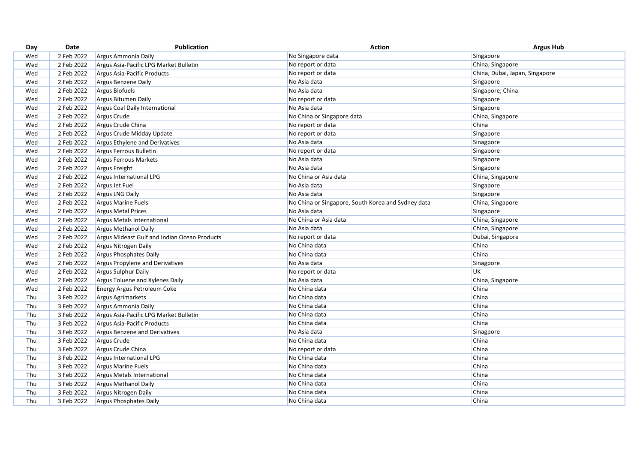| 2 Feb 2022<br>No Singapore data<br>Singapore<br>Wed<br>Argus Ammonia Daily<br>China, Singapore<br>Wed<br>2 Feb 2022<br>Argus Asia-Pacific LPG Market Bulletin<br>No report or data<br>China, Dubai, Japan, Singapore<br>Wed<br>2 Feb 2022<br>Argus Asia-Pacific Products<br>No report or data<br>2 Feb 2022<br>No Asia data<br>Singapore<br>Wed<br>Argus Benzene Daily<br>2 Feb 2022<br>No Asia data<br>Singapore, China<br>Wed<br>Argus Biofuels<br>Wed<br>2 Feb 2022<br>Argus Bitumen Daily<br>No report or data<br>Singapore<br>Wed<br>2 Feb 2022<br>No Asia data<br>Singapore<br>Argus Coal Daily International<br>2 Feb 2022<br>Wed<br>Argus Crude<br>No China or Singapore data<br>China, Singapore<br>2 Feb 2022<br>No report or data<br>China<br>Argus Crude China<br>Wed<br>Wed<br>2 Feb 2022<br>No report or data<br>Singapore<br>Argus Crude Midday Update<br>2 Feb 2022<br>No Asia data<br>Sinagpore<br>Wed<br><b>Argus Ethylene and Derivatives</b><br>2 Feb 2022<br>Wed<br>No report or data<br>Singapore<br>Argus Ferrous Bulletin<br>2 Feb 2022<br>No Asia data<br>Singapore<br>Wed<br>Argus Ferrous Markets<br>2 Feb 2022<br>No Asia data<br>Singapore<br>Wed<br>Argus Freight<br>2 Feb 2022<br>Wed<br>Argus International LPG<br>No China or Asia data<br>China, Singapore<br>2 Feb 2022<br>Wed<br>Argus Jet Fuel<br>No Asia data<br>Singapore<br>2 Feb 2022<br>Argus LNG Daily<br>No Asia data<br>Singapore<br>Wed<br>2 Feb 2022<br>No China or Singapore, South Korea and Sydney data<br>China, Singapore<br>Wed<br>Argus Marine Fuels<br>Wed<br>2 Feb 2022<br>No Asia data<br>Singapore<br><b>Argus Metal Prices</b><br>No China or Asia data<br>Wed<br>2 Feb 2022<br>China, Singapore<br>Argus Metals International<br>China, Singapore<br>2 Feb 2022<br>No Asia data<br>Wed<br><b>Argus Methanol Daily</b><br>Wed<br>2 Feb 2022<br>Argus Mideast Gulf and Indian Ocean Products<br>No report or data<br>Dubai, Singapore<br>2 Feb 2022<br>No China data<br>China<br>Wed<br>Argus Nitrogen Daily<br>China<br>2 Feb 2022<br>Argus Phosphates Daily<br>No China data<br>Wed<br>2 Feb 2022<br>No Asia data<br>Wed<br><b>Argus Propylene and Derivatives</b><br>Sinagpore<br>UK<br>2 Feb 2022<br>Argus Sulphur Daily<br>Wed<br>No report or data<br>2 Feb 2022<br>Wed<br>Argus Toluene and Xylenes Daily<br>No Asia data<br>China, Singapore<br>China<br>2 Feb 2022<br>No China data<br>Wed<br>Energy Argus Petroleum Coke<br>China<br>3 Feb 2022<br>No China data<br>Thu<br>Argus Agrimarkets<br>China<br>Thu<br>3 Feb 2022<br>No China data<br>Argus Ammonia Daily<br>China<br>3 Feb 2022<br>No China data<br>Thu<br>Argus Asia-Pacific LPG Market Bulletin<br>China<br>No China data<br>Thu<br>3 Feb 2022<br>Argus Asia-Pacific Products<br>3 Feb 2022<br>No Asia data<br>Thu<br>Sinagpore<br>Argus Benzene and Derivatives<br>3 Feb 2022<br>Thu<br>Argus Crude<br>No China data<br>China<br>3 Feb 2022<br>China<br>Thu<br>Argus Crude China<br>No report or data<br>Thu<br>3 Feb 2022<br>No China data<br>China<br>Argus International LPG<br>China<br>No China data<br>Thu<br>3 Feb 2022<br>Argus Marine Fuels<br>China<br>Thu<br>3 Feb 2022<br>No China data<br><b>Argus Metals International</b><br>China<br>3 Feb 2022<br>No China data<br>Thu<br>Argus Methanol Daily<br>China<br>3 Feb 2022<br>No China data<br>Thu<br>Argus Nitrogen Daily<br>China<br>No China data<br>Thu<br>3 Feb 2022<br>Argus Phosphates Daily | Day | Date | Publication | <b>Action</b> | <b>Argus Hub</b> |
|--------------------------------------------------------------------------------------------------------------------------------------------------------------------------------------------------------------------------------------------------------------------------------------------------------------------------------------------------------------------------------------------------------------------------------------------------------------------------------------------------------------------------------------------------------------------------------------------------------------------------------------------------------------------------------------------------------------------------------------------------------------------------------------------------------------------------------------------------------------------------------------------------------------------------------------------------------------------------------------------------------------------------------------------------------------------------------------------------------------------------------------------------------------------------------------------------------------------------------------------------------------------------------------------------------------------------------------------------------------------------------------------------------------------------------------------------------------------------------------------------------------------------------------------------------------------------------------------------------------------------------------------------------------------------------------------------------------------------------------------------------------------------------------------------------------------------------------------------------------------------------------------------------------------------------------------------------------------------------------------------------------------------------------------------------------------------------------------------------------------------------------------------------------------------------------------------------------------------------------------------------------------------------------------------------------------------------------------------------------------------------------------------------------------------------------------------------------------------------------------------------------------------------------------------------------------------------------------------------------------------------------------------------------------------------------------------------------------------------------------------------------------------------------------------------------------------------------------------------------------------------------------------------------------------------------------------------------------------------------------------------------------------------------------------------------------------------------------------------------------------------------------------------------------------------------------------------------------------------------------------------------------------------------------------------------------------------------------------------------------------------------------------------------------------------------------------|-----|------|-------------|---------------|------------------|
|                                                                                                                                                                                                                                                                                                                                                                                                                                                                                                                                                                                                                                                                                                                                                                                                                                                                                                                                                                                                                                                                                                                                                                                                                                                                                                                                                                                                                                                                                                                                                                                                                                                                                                                                                                                                                                                                                                                                                                                                                                                                                                                                                                                                                                                                                                                                                                                                                                                                                                                                                                                                                                                                                                                                                                                                                                                                                                                                                                                                                                                                                                                                                                                                                                                                                                                                                                                                                                                  |     |      |             |               |                  |
|                                                                                                                                                                                                                                                                                                                                                                                                                                                                                                                                                                                                                                                                                                                                                                                                                                                                                                                                                                                                                                                                                                                                                                                                                                                                                                                                                                                                                                                                                                                                                                                                                                                                                                                                                                                                                                                                                                                                                                                                                                                                                                                                                                                                                                                                                                                                                                                                                                                                                                                                                                                                                                                                                                                                                                                                                                                                                                                                                                                                                                                                                                                                                                                                                                                                                                                                                                                                                                                  |     |      |             |               |                  |
|                                                                                                                                                                                                                                                                                                                                                                                                                                                                                                                                                                                                                                                                                                                                                                                                                                                                                                                                                                                                                                                                                                                                                                                                                                                                                                                                                                                                                                                                                                                                                                                                                                                                                                                                                                                                                                                                                                                                                                                                                                                                                                                                                                                                                                                                                                                                                                                                                                                                                                                                                                                                                                                                                                                                                                                                                                                                                                                                                                                                                                                                                                                                                                                                                                                                                                                                                                                                                                                  |     |      |             |               |                  |
|                                                                                                                                                                                                                                                                                                                                                                                                                                                                                                                                                                                                                                                                                                                                                                                                                                                                                                                                                                                                                                                                                                                                                                                                                                                                                                                                                                                                                                                                                                                                                                                                                                                                                                                                                                                                                                                                                                                                                                                                                                                                                                                                                                                                                                                                                                                                                                                                                                                                                                                                                                                                                                                                                                                                                                                                                                                                                                                                                                                                                                                                                                                                                                                                                                                                                                                                                                                                                                                  |     |      |             |               |                  |
|                                                                                                                                                                                                                                                                                                                                                                                                                                                                                                                                                                                                                                                                                                                                                                                                                                                                                                                                                                                                                                                                                                                                                                                                                                                                                                                                                                                                                                                                                                                                                                                                                                                                                                                                                                                                                                                                                                                                                                                                                                                                                                                                                                                                                                                                                                                                                                                                                                                                                                                                                                                                                                                                                                                                                                                                                                                                                                                                                                                                                                                                                                                                                                                                                                                                                                                                                                                                                                                  |     |      |             |               |                  |
|                                                                                                                                                                                                                                                                                                                                                                                                                                                                                                                                                                                                                                                                                                                                                                                                                                                                                                                                                                                                                                                                                                                                                                                                                                                                                                                                                                                                                                                                                                                                                                                                                                                                                                                                                                                                                                                                                                                                                                                                                                                                                                                                                                                                                                                                                                                                                                                                                                                                                                                                                                                                                                                                                                                                                                                                                                                                                                                                                                                                                                                                                                                                                                                                                                                                                                                                                                                                                                                  |     |      |             |               |                  |
|                                                                                                                                                                                                                                                                                                                                                                                                                                                                                                                                                                                                                                                                                                                                                                                                                                                                                                                                                                                                                                                                                                                                                                                                                                                                                                                                                                                                                                                                                                                                                                                                                                                                                                                                                                                                                                                                                                                                                                                                                                                                                                                                                                                                                                                                                                                                                                                                                                                                                                                                                                                                                                                                                                                                                                                                                                                                                                                                                                                                                                                                                                                                                                                                                                                                                                                                                                                                                                                  |     |      |             |               |                  |
|                                                                                                                                                                                                                                                                                                                                                                                                                                                                                                                                                                                                                                                                                                                                                                                                                                                                                                                                                                                                                                                                                                                                                                                                                                                                                                                                                                                                                                                                                                                                                                                                                                                                                                                                                                                                                                                                                                                                                                                                                                                                                                                                                                                                                                                                                                                                                                                                                                                                                                                                                                                                                                                                                                                                                                                                                                                                                                                                                                                                                                                                                                                                                                                                                                                                                                                                                                                                                                                  |     |      |             |               |                  |
|                                                                                                                                                                                                                                                                                                                                                                                                                                                                                                                                                                                                                                                                                                                                                                                                                                                                                                                                                                                                                                                                                                                                                                                                                                                                                                                                                                                                                                                                                                                                                                                                                                                                                                                                                                                                                                                                                                                                                                                                                                                                                                                                                                                                                                                                                                                                                                                                                                                                                                                                                                                                                                                                                                                                                                                                                                                                                                                                                                                                                                                                                                                                                                                                                                                                                                                                                                                                                                                  |     |      |             |               |                  |
|                                                                                                                                                                                                                                                                                                                                                                                                                                                                                                                                                                                                                                                                                                                                                                                                                                                                                                                                                                                                                                                                                                                                                                                                                                                                                                                                                                                                                                                                                                                                                                                                                                                                                                                                                                                                                                                                                                                                                                                                                                                                                                                                                                                                                                                                                                                                                                                                                                                                                                                                                                                                                                                                                                                                                                                                                                                                                                                                                                                                                                                                                                                                                                                                                                                                                                                                                                                                                                                  |     |      |             |               |                  |
|                                                                                                                                                                                                                                                                                                                                                                                                                                                                                                                                                                                                                                                                                                                                                                                                                                                                                                                                                                                                                                                                                                                                                                                                                                                                                                                                                                                                                                                                                                                                                                                                                                                                                                                                                                                                                                                                                                                                                                                                                                                                                                                                                                                                                                                                                                                                                                                                                                                                                                                                                                                                                                                                                                                                                                                                                                                                                                                                                                                                                                                                                                                                                                                                                                                                                                                                                                                                                                                  |     |      |             |               |                  |
|                                                                                                                                                                                                                                                                                                                                                                                                                                                                                                                                                                                                                                                                                                                                                                                                                                                                                                                                                                                                                                                                                                                                                                                                                                                                                                                                                                                                                                                                                                                                                                                                                                                                                                                                                                                                                                                                                                                                                                                                                                                                                                                                                                                                                                                                                                                                                                                                                                                                                                                                                                                                                                                                                                                                                                                                                                                                                                                                                                                                                                                                                                                                                                                                                                                                                                                                                                                                                                                  |     |      |             |               |                  |
|                                                                                                                                                                                                                                                                                                                                                                                                                                                                                                                                                                                                                                                                                                                                                                                                                                                                                                                                                                                                                                                                                                                                                                                                                                                                                                                                                                                                                                                                                                                                                                                                                                                                                                                                                                                                                                                                                                                                                                                                                                                                                                                                                                                                                                                                                                                                                                                                                                                                                                                                                                                                                                                                                                                                                                                                                                                                                                                                                                                                                                                                                                                                                                                                                                                                                                                                                                                                                                                  |     |      |             |               |                  |
|                                                                                                                                                                                                                                                                                                                                                                                                                                                                                                                                                                                                                                                                                                                                                                                                                                                                                                                                                                                                                                                                                                                                                                                                                                                                                                                                                                                                                                                                                                                                                                                                                                                                                                                                                                                                                                                                                                                                                                                                                                                                                                                                                                                                                                                                                                                                                                                                                                                                                                                                                                                                                                                                                                                                                                                                                                                                                                                                                                                                                                                                                                                                                                                                                                                                                                                                                                                                                                                  |     |      |             |               |                  |
|                                                                                                                                                                                                                                                                                                                                                                                                                                                                                                                                                                                                                                                                                                                                                                                                                                                                                                                                                                                                                                                                                                                                                                                                                                                                                                                                                                                                                                                                                                                                                                                                                                                                                                                                                                                                                                                                                                                                                                                                                                                                                                                                                                                                                                                                                                                                                                                                                                                                                                                                                                                                                                                                                                                                                                                                                                                                                                                                                                                                                                                                                                                                                                                                                                                                                                                                                                                                                                                  |     |      |             |               |                  |
|                                                                                                                                                                                                                                                                                                                                                                                                                                                                                                                                                                                                                                                                                                                                                                                                                                                                                                                                                                                                                                                                                                                                                                                                                                                                                                                                                                                                                                                                                                                                                                                                                                                                                                                                                                                                                                                                                                                                                                                                                                                                                                                                                                                                                                                                                                                                                                                                                                                                                                                                                                                                                                                                                                                                                                                                                                                                                                                                                                                                                                                                                                                                                                                                                                                                                                                                                                                                                                                  |     |      |             |               |                  |
|                                                                                                                                                                                                                                                                                                                                                                                                                                                                                                                                                                                                                                                                                                                                                                                                                                                                                                                                                                                                                                                                                                                                                                                                                                                                                                                                                                                                                                                                                                                                                                                                                                                                                                                                                                                                                                                                                                                                                                                                                                                                                                                                                                                                                                                                                                                                                                                                                                                                                                                                                                                                                                                                                                                                                                                                                                                                                                                                                                                                                                                                                                                                                                                                                                                                                                                                                                                                                                                  |     |      |             |               |                  |
|                                                                                                                                                                                                                                                                                                                                                                                                                                                                                                                                                                                                                                                                                                                                                                                                                                                                                                                                                                                                                                                                                                                                                                                                                                                                                                                                                                                                                                                                                                                                                                                                                                                                                                                                                                                                                                                                                                                                                                                                                                                                                                                                                                                                                                                                                                                                                                                                                                                                                                                                                                                                                                                                                                                                                                                                                                                                                                                                                                                                                                                                                                                                                                                                                                                                                                                                                                                                                                                  |     |      |             |               |                  |
|                                                                                                                                                                                                                                                                                                                                                                                                                                                                                                                                                                                                                                                                                                                                                                                                                                                                                                                                                                                                                                                                                                                                                                                                                                                                                                                                                                                                                                                                                                                                                                                                                                                                                                                                                                                                                                                                                                                                                                                                                                                                                                                                                                                                                                                                                                                                                                                                                                                                                                                                                                                                                                                                                                                                                                                                                                                                                                                                                                                                                                                                                                                                                                                                                                                                                                                                                                                                                                                  |     |      |             |               |                  |
|                                                                                                                                                                                                                                                                                                                                                                                                                                                                                                                                                                                                                                                                                                                                                                                                                                                                                                                                                                                                                                                                                                                                                                                                                                                                                                                                                                                                                                                                                                                                                                                                                                                                                                                                                                                                                                                                                                                                                                                                                                                                                                                                                                                                                                                                                                                                                                                                                                                                                                                                                                                                                                                                                                                                                                                                                                                                                                                                                                                                                                                                                                                                                                                                                                                                                                                                                                                                                                                  |     |      |             |               |                  |
|                                                                                                                                                                                                                                                                                                                                                                                                                                                                                                                                                                                                                                                                                                                                                                                                                                                                                                                                                                                                                                                                                                                                                                                                                                                                                                                                                                                                                                                                                                                                                                                                                                                                                                                                                                                                                                                                                                                                                                                                                                                                                                                                                                                                                                                                                                                                                                                                                                                                                                                                                                                                                                                                                                                                                                                                                                                                                                                                                                                                                                                                                                                                                                                                                                                                                                                                                                                                                                                  |     |      |             |               |                  |
|                                                                                                                                                                                                                                                                                                                                                                                                                                                                                                                                                                                                                                                                                                                                                                                                                                                                                                                                                                                                                                                                                                                                                                                                                                                                                                                                                                                                                                                                                                                                                                                                                                                                                                                                                                                                                                                                                                                                                                                                                                                                                                                                                                                                                                                                                                                                                                                                                                                                                                                                                                                                                                                                                                                                                                                                                                                                                                                                                                                                                                                                                                                                                                                                                                                                                                                                                                                                                                                  |     |      |             |               |                  |
|                                                                                                                                                                                                                                                                                                                                                                                                                                                                                                                                                                                                                                                                                                                                                                                                                                                                                                                                                                                                                                                                                                                                                                                                                                                                                                                                                                                                                                                                                                                                                                                                                                                                                                                                                                                                                                                                                                                                                                                                                                                                                                                                                                                                                                                                                                                                                                                                                                                                                                                                                                                                                                                                                                                                                                                                                                                                                                                                                                                                                                                                                                                                                                                                                                                                                                                                                                                                                                                  |     |      |             |               |                  |
|                                                                                                                                                                                                                                                                                                                                                                                                                                                                                                                                                                                                                                                                                                                                                                                                                                                                                                                                                                                                                                                                                                                                                                                                                                                                                                                                                                                                                                                                                                                                                                                                                                                                                                                                                                                                                                                                                                                                                                                                                                                                                                                                                                                                                                                                                                                                                                                                                                                                                                                                                                                                                                                                                                                                                                                                                                                                                                                                                                                                                                                                                                                                                                                                                                                                                                                                                                                                                                                  |     |      |             |               |                  |
|                                                                                                                                                                                                                                                                                                                                                                                                                                                                                                                                                                                                                                                                                                                                                                                                                                                                                                                                                                                                                                                                                                                                                                                                                                                                                                                                                                                                                                                                                                                                                                                                                                                                                                                                                                                                                                                                                                                                                                                                                                                                                                                                                                                                                                                                                                                                                                                                                                                                                                                                                                                                                                                                                                                                                                                                                                                                                                                                                                                                                                                                                                                                                                                                                                                                                                                                                                                                                                                  |     |      |             |               |                  |
|                                                                                                                                                                                                                                                                                                                                                                                                                                                                                                                                                                                                                                                                                                                                                                                                                                                                                                                                                                                                                                                                                                                                                                                                                                                                                                                                                                                                                                                                                                                                                                                                                                                                                                                                                                                                                                                                                                                                                                                                                                                                                                                                                                                                                                                                                                                                                                                                                                                                                                                                                                                                                                                                                                                                                                                                                                                                                                                                                                                                                                                                                                                                                                                                                                                                                                                                                                                                                                                  |     |      |             |               |                  |
|                                                                                                                                                                                                                                                                                                                                                                                                                                                                                                                                                                                                                                                                                                                                                                                                                                                                                                                                                                                                                                                                                                                                                                                                                                                                                                                                                                                                                                                                                                                                                                                                                                                                                                                                                                                                                                                                                                                                                                                                                                                                                                                                                                                                                                                                                                                                                                                                                                                                                                                                                                                                                                                                                                                                                                                                                                                                                                                                                                                                                                                                                                                                                                                                                                                                                                                                                                                                                                                  |     |      |             |               |                  |
|                                                                                                                                                                                                                                                                                                                                                                                                                                                                                                                                                                                                                                                                                                                                                                                                                                                                                                                                                                                                                                                                                                                                                                                                                                                                                                                                                                                                                                                                                                                                                                                                                                                                                                                                                                                                                                                                                                                                                                                                                                                                                                                                                                                                                                                                                                                                                                                                                                                                                                                                                                                                                                                                                                                                                                                                                                                                                                                                                                                                                                                                                                                                                                                                                                                                                                                                                                                                                                                  |     |      |             |               |                  |
|                                                                                                                                                                                                                                                                                                                                                                                                                                                                                                                                                                                                                                                                                                                                                                                                                                                                                                                                                                                                                                                                                                                                                                                                                                                                                                                                                                                                                                                                                                                                                                                                                                                                                                                                                                                                                                                                                                                                                                                                                                                                                                                                                                                                                                                                                                                                                                                                                                                                                                                                                                                                                                                                                                                                                                                                                                                                                                                                                                                                                                                                                                                                                                                                                                                                                                                                                                                                                                                  |     |      |             |               |                  |
|                                                                                                                                                                                                                                                                                                                                                                                                                                                                                                                                                                                                                                                                                                                                                                                                                                                                                                                                                                                                                                                                                                                                                                                                                                                                                                                                                                                                                                                                                                                                                                                                                                                                                                                                                                                                                                                                                                                                                                                                                                                                                                                                                                                                                                                                                                                                                                                                                                                                                                                                                                                                                                                                                                                                                                                                                                                                                                                                                                                                                                                                                                                                                                                                                                                                                                                                                                                                                                                  |     |      |             |               |                  |
|                                                                                                                                                                                                                                                                                                                                                                                                                                                                                                                                                                                                                                                                                                                                                                                                                                                                                                                                                                                                                                                                                                                                                                                                                                                                                                                                                                                                                                                                                                                                                                                                                                                                                                                                                                                                                                                                                                                                                                                                                                                                                                                                                                                                                                                                                                                                                                                                                                                                                                                                                                                                                                                                                                                                                                                                                                                                                                                                                                                                                                                                                                                                                                                                                                                                                                                                                                                                                                                  |     |      |             |               |                  |
|                                                                                                                                                                                                                                                                                                                                                                                                                                                                                                                                                                                                                                                                                                                                                                                                                                                                                                                                                                                                                                                                                                                                                                                                                                                                                                                                                                                                                                                                                                                                                                                                                                                                                                                                                                                                                                                                                                                                                                                                                                                                                                                                                                                                                                                                                                                                                                                                                                                                                                                                                                                                                                                                                                                                                                                                                                                                                                                                                                                                                                                                                                                                                                                                                                                                                                                                                                                                                                                  |     |      |             |               |                  |
|                                                                                                                                                                                                                                                                                                                                                                                                                                                                                                                                                                                                                                                                                                                                                                                                                                                                                                                                                                                                                                                                                                                                                                                                                                                                                                                                                                                                                                                                                                                                                                                                                                                                                                                                                                                                                                                                                                                                                                                                                                                                                                                                                                                                                                                                                                                                                                                                                                                                                                                                                                                                                                                                                                                                                                                                                                                                                                                                                                                                                                                                                                                                                                                                                                                                                                                                                                                                                                                  |     |      |             |               |                  |
|                                                                                                                                                                                                                                                                                                                                                                                                                                                                                                                                                                                                                                                                                                                                                                                                                                                                                                                                                                                                                                                                                                                                                                                                                                                                                                                                                                                                                                                                                                                                                                                                                                                                                                                                                                                                                                                                                                                                                                                                                                                                                                                                                                                                                                                                                                                                                                                                                                                                                                                                                                                                                                                                                                                                                                                                                                                                                                                                                                                                                                                                                                                                                                                                                                                                                                                                                                                                                                                  |     |      |             |               |                  |
|                                                                                                                                                                                                                                                                                                                                                                                                                                                                                                                                                                                                                                                                                                                                                                                                                                                                                                                                                                                                                                                                                                                                                                                                                                                                                                                                                                                                                                                                                                                                                                                                                                                                                                                                                                                                                                                                                                                                                                                                                                                                                                                                                                                                                                                                                                                                                                                                                                                                                                                                                                                                                                                                                                                                                                                                                                                                                                                                                                                                                                                                                                                                                                                                                                                                                                                                                                                                                                                  |     |      |             |               |                  |
|                                                                                                                                                                                                                                                                                                                                                                                                                                                                                                                                                                                                                                                                                                                                                                                                                                                                                                                                                                                                                                                                                                                                                                                                                                                                                                                                                                                                                                                                                                                                                                                                                                                                                                                                                                                                                                                                                                                                                                                                                                                                                                                                                                                                                                                                                                                                                                                                                                                                                                                                                                                                                                                                                                                                                                                                                                                                                                                                                                                                                                                                                                                                                                                                                                                                                                                                                                                                                                                  |     |      |             |               |                  |
|                                                                                                                                                                                                                                                                                                                                                                                                                                                                                                                                                                                                                                                                                                                                                                                                                                                                                                                                                                                                                                                                                                                                                                                                                                                                                                                                                                                                                                                                                                                                                                                                                                                                                                                                                                                                                                                                                                                                                                                                                                                                                                                                                                                                                                                                                                                                                                                                                                                                                                                                                                                                                                                                                                                                                                                                                                                                                                                                                                                                                                                                                                                                                                                                                                                                                                                                                                                                                                                  |     |      |             |               |                  |
|                                                                                                                                                                                                                                                                                                                                                                                                                                                                                                                                                                                                                                                                                                                                                                                                                                                                                                                                                                                                                                                                                                                                                                                                                                                                                                                                                                                                                                                                                                                                                                                                                                                                                                                                                                                                                                                                                                                                                                                                                                                                                                                                                                                                                                                                                                                                                                                                                                                                                                                                                                                                                                                                                                                                                                                                                                                                                                                                                                                                                                                                                                                                                                                                                                                                                                                                                                                                                                                  |     |      |             |               |                  |
|                                                                                                                                                                                                                                                                                                                                                                                                                                                                                                                                                                                                                                                                                                                                                                                                                                                                                                                                                                                                                                                                                                                                                                                                                                                                                                                                                                                                                                                                                                                                                                                                                                                                                                                                                                                                                                                                                                                                                                                                                                                                                                                                                                                                                                                                                                                                                                                                                                                                                                                                                                                                                                                                                                                                                                                                                                                                                                                                                                                                                                                                                                                                                                                                                                                                                                                                                                                                                                                  |     |      |             |               |                  |
|                                                                                                                                                                                                                                                                                                                                                                                                                                                                                                                                                                                                                                                                                                                                                                                                                                                                                                                                                                                                                                                                                                                                                                                                                                                                                                                                                                                                                                                                                                                                                                                                                                                                                                                                                                                                                                                                                                                                                                                                                                                                                                                                                                                                                                                                                                                                                                                                                                                                                                                                                                                                                                                                                                                                                                                                                                                                                                                                                                                                                                                                                                                                                                                                                                                                                                                                                                                                                                                  |     |      |             |               |                  |
|                                                                                                                                                                                                                                                                                                                                                                                                                                                                                                                                                                                                                                                                                                                                                                                                                                                                                                                                                                                                                                                                                                                                                                                                                                                                                                                                                                                                                                                                                                                                                                                                                                                                                                                                                                                                                                                                                                                                                                                                                                                                                                                                                                                                                                                                                                                                                                                                                                                                                                                                                                                                                                                                                                                                                                                                                                                                                                                                                                                                                                                                                                                                                                                                                                                                                                                                                                                                                                                  |     |      |             |               |                  |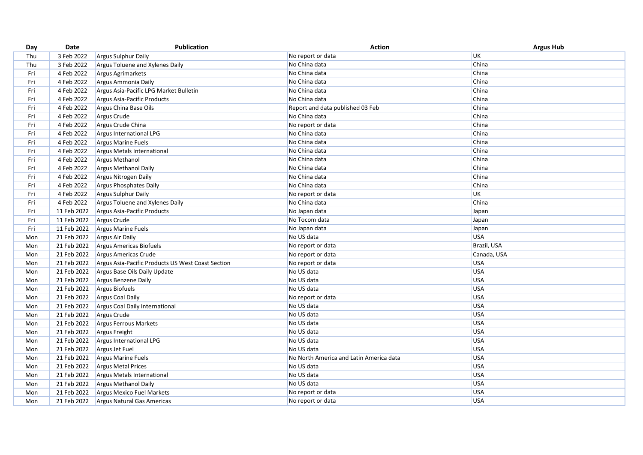| Day | Date        | <b>Publication</b>                                | <b>Action</b>                           | <b>Argus Hub</b> |
|-----|-------------|---------------------------------------------------|-----------------------------------------|------------------|
| Thu | 3 Feb 2022  | Argus Sulphur Daily                               | No report or data                       | UK               |
| Thu | 3 Feb 2022  | Argus Toluene and Xylenes Daily                   | No China data                           | China            |
| Fri | 4 Feb 2022  | Argus Agrimarkets                                 | No China data                           | China            |
| Fri | 4 Feb 2022  | Argus Ammonia Daily                               | No China data                           | China            |
| Fri | 4 Feb 2022  | Argus Asia-Pacific LPG Market Bulletin            | No China data                           | China            |
| Fri | 4 Feb 2022  | Argus Asia-Pacific Products                       | No China data                           | China            |
| Fri | 4 Feb 2022  | Argus China Base Oils                             | Report and data published 03 Feb        | China            |
| Fri | 4 Feb 2022  | Argus Crude                                       | No China data                           | China            |
| Fri | 4 Feb 2022  | Argus Crude China                                 | No report or data                       | China            |
| Fri | 4 Feb 2022  | Argus International LPG                           | No China data                           | China            |
| Fri | 4 Feb 2022  | Argus Marine Fuels                                | No China data                           | China            |
| Fri | 4 Feb 2022  | Argus Metals International                        | No China data                           | China            |
| Fri | 4 Feb 2022  | <b>Argus Methanol</b>                             | No China data                           | China            |
| Fri | 4 Feb 2022  | Argus Methanol Daily                              | No China data                           | China            |
| Fri | 4 Feb 2022  | Argus Nitrogen Daily                              | No China data                           | China            |
| Fri | 4 Feb 2022  | Argus Phosphates Daily                            | No China data                           | China            |
| Fri | 4 Feb 2022  | Argus Sulphur Daily                               | No report or data                       | <b>UK</b>        |
| Fri | 4 Feb 2022  | Argus Toluene and Xylenes Daily                   | No China data                           | China            |
| Fri | 11 Feb 2022 | Argus Asia-Pacific Products                       | No Japan data                           | Japan            |
| Fri | 11 Feb 2022 | Argus Crude                                       | No Tocom data                           | Japan            |
| Fri | 11 Feb 2022 | Argus Marine Fuels                                | No Japan data                           | Japan            |
| Mon | 21 Feb 2022 | Argus Air Daily                                   | No US data                              | <b>USA</b>       |
| Mon | 21 Feb 2022 | Argus Americas Biofuels                           | No report or data                       | Brazil, USA      |
| Mon | 21 Feb 2022 | Argus Americas Crude                              | No report or data                       | Canada, USA      |
| Mon | 21 Feb 2022 | Argus Asia-Pacific Products US West Coast Section | No report or data                       | <b>USA</b>       |
| Mon | 21 Feb 2022 | Argus Base Oils Daily Update                      | No US data                              | <b>USA</b>       |
| Mon | 21 Feb 2022 | Argus Benzene Daily                               | No US data                              | <b>USA</b>       |
| Mon | 21 Feb 2022 | Argus Biofuels                                    | No US data                              | <b>USA</b>       |
| Mon | 21 Feb 2022 | Argus Coal Daily                                  | No report or data                       | <b>USA</b>       |
| Mon | 21 Feb 2022 | Argus Coal Daily International                    | No US data                              | <b>USA</b>       |
| Mon | 21 Feb 2022 | Argus Crude                                       | No US data                              | <b>USA</b>       |
| Mon | 21 Feb 2022 | Argus Ferrous Markets                             | No US data                              | <b>USA</b>       |
| Mon | 21 Feb 2022 | Argus Freight                                     | No US data                              | <b>USA</b>       |
| Mon | 21 Feb 2022 | Argus International LPG                           | No US data                              | <b>USA</b>       |
| Mon | 21 Feb 2022 | Argus Jet Fuel                                    | No US data                              | <b>USA</b>       |
| Mon | 21 Feb 2022 | <b>Argus Marine Fuels</b>                         | No North America and Latin America data | <b>USA</b>       |
| Mon | 21 Feb 2022 | <b>Argus Metal Prices</b>                         | No US data                              | <b>USA</b>       |
| Mon | 21 Feb 2022 | Argus Metals International                        | No US data                              | <b>USA</b>       |
| Mon | 21 Feb 2022 | Argus Methanol Daily                              | No US data                              | <b>USA</b>       |
| Mon | 21 Feb 2022 | Argus Mexico Fuel Markets                         | No report or data                       | <b>USA</b>       |
| Mon | 21 Feb 2022 | Argus Natural Gas Americas                        | No report or data                       | <b>USA</b>       |
|     |             |                                                   |                                         |                  |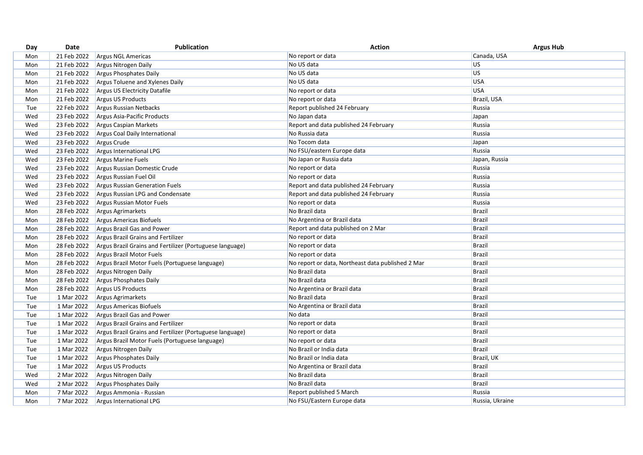| 21 Feb 2022<br>No report or data<br>Canada, USA<br><b>Argus NGL Americas</b><br>Mon<br>US<br>21 Feb 2022<br>No US data<br>Argus Nitrogen Daily<br>Mon<br>No US data<br>US<br>21 Feb 2022<br>Argus Phosphates Daily<br>Mon<br>No US data<br><b>USA</b><br>21 Feb 2022<br>Argus Toluene and Xylenes Daily<br>Mon<br><b>USA</b><br>No report or data<br>21 Feb 2022<br>Argus US Electricity Datafile<br>Mon<br>21 Feb 2022<br>Argus US Products<br>Brazil, USA<br>Mon<br>No report or data<br>22 Feb 2022<br>Argus Russian Netbacks<br>Report published 24 February<br>Tue<br>Russia<br>23 Feb 2022<br>Wed<br>Argus Asia-Pacific Products<br>No Japan data<br>Japan<br>23 Feb 2022<br>Report and data published 24 February<br>Russia<br>Argus Caspian Markets<br>Wed<br>No Russia data<br>Russia<br>23 Feb 2022<br>Wed<br>Argus Coal Daily International<br>No Tocom data<br>23 Feb 2022<br>Argus Crude<br>Japan<br>Wed<br>No FSU/eastern Europe data<br>Russia<br>23 Feb 2022<br>Wed<br>Argus International LPG<br>23 Feb 2022<br>No Japan or Russia data<br>Japan, Russia<br>Wed<br>Argus Marine Fuels<br>No report or data<br>Russia<br>Wed<br>23 Feb 2022<br>Argus Russian Domestic Crude<br>23 Feb 2022<br>Argus Russian Fuel Oil<br>No report or data<br>Russia<br>Wed<br>Wed<br>23 Feb 2022<br>Argus Russian Generation Fuels<br>Report and data published 24 February<br>Russia<br>23 Feb 2022<br>Argus Russian LPG and Condensate<br>Report and data published 24 February<br>Russia<br>Wed<br>23 Feb 2022<br>No report or data<br>Russia<br>Argus Russian Motor Fuels<br>Wed<br>No Brazil data<br><b>Brazil</b><br>28 Feb 2022<br>Argus Agrimarkets<br>Mon<br>Brazil<br>28 Feb 2022<br>Argus Americas Biofuels<br>No Argentina or Brazil data<br>Mon<br><b>Brazil</b><br>28 Feb 2022<br>Argus Brazil Gas and Power<br>Report and data published on 2 Mar<br>Mon<br><b>Brazil</b><br>28 Feb 2022<br>Argus Brazil Grains and Fertilizer<br>No report or data<br>Mon<br>28 Feb 2022<br>No report or data<br>Brazil<br>Argus Brazil Grains and Fertilizer (Portuguese language)<br>Mon<br>28 Feb 2022<br>Argus Brazil Motor Fuels<br>No report or data<br><b>Brazil</b><br>Mon<br>28 Feb 2022<br><b>Brazil</b><br>Argus Brazil Motor Fuels (Portuguese language)<br>No report or data, Northeast data published 2 Mar<br>Mon<br>28 Feb 2022<br>No Brazil data<br>Argus Nitrogen Daily<br><b>Brazil</b><br>Mon<br>28 Feb 2022<br>Argus Phosphates Daily<br>No Brazil data<br><b>Brazil</b><br>Mon<br>28 Feb 2022<br>Argus US Products<br>No Argentina or Brazil data<br>Brazil<br>Mon<br>No Brazil data<br><b>Brazil</b><br>1 Mar 2022<br>Tue<br>Argus Agrimarkets<br>1 Mar 2022<br>No Argentina or Brazil data<br><b>Brazil</b><br>Tue<br>Argus Americas Biofuels<br><b>Brazil</b><br>1 Mar 2022<br>Argus Brazil Gas and Power<br>No data<br>Tue<br>1 Mar 2022<br>No report or data<br><b>Brazil</b><br>Tue<br>Argus Brazil Grains and Fertilizer<br><b>Brazil</b><br>1 Mar 2022<br>Tue<br>Argus Brazil Grains and Fertilizer (Portuguese language)<br>No report or data<br>1 Mar 2022<br><b>Brazil</b><br>Tue<br>Argus Brazil Motor Fuels (Portuguese language)<br>No report or data<br>1 Mar 2022<br>Argus Nitrogen Daily<br>No Brazil or India data<br>Brazil<br>Tue<br>Tue<br>1 Mar 2022<br>Argus Phosphates Daily<br>No Brazil or India data<br>Brazil, UK<br>Argus US Products<br><b>Brazil</b><br>1 Mar 2022<br>No Argentina or Brazil data<br>Tue<br>2 Mar 2022<br>No Brazil data<br><b>Brazil</b><br>Wed<br>Argus Nitrogen Daily<br>No Brazil data<br><b>Brazil</b><br>Wed<br>2 Mar 2022<br>Argus Phosphates Daily<br>7 Mar 2022<br>Report published 5 March<br>Russia<br>Mon<br>Argus Ammonia - Russian<br>7 Mar 2022<br>Argus International LPG<br>No FSU/Eastern Europe data<br>Russia, Ukraine<br>Mon | Day | Date | <b>Publication</b> | <b>Action</b> | <b>Argus Hub</b> |
|------------------------------------------------------------------------------------------------------------------------------------------------------------------------------------------------------------------------------------------------------------------------------------------------------------------------------------------------------------------------------------------------------------------------------------------------------------------------------------------------------------------------------------------------------------------------------------------------------------------------------------------------------------------------------------------------------------------------------------------------------------------------------------------------------------------------------------------------------------------------------------------------------------------------------------------------------------------------------------------------------------------------------------------------------------------------------------------------------------------------------------------------------------------------------------------------------------------------------------------------------------------------------------------------------------------------------------------------------------------------------------------------------------------------------------------------------------------------------------------------------------------------------------------------------------------------------------------------------------------------------------------------------------------------------------------------------------------------------------------------------------------------------------------------------------------------------------------------------------------------------------------------------------------------------------------------------------------------------------------------------------------------------------------------------------------------------------------------------------------------------------------------------------------------------------------------------------------------------------------------------------------------------------------------------------------------------------------------------------------------------------------------------------------------------------------------------------------------------------------------------------------------------------------------------------------------------------------------------------------------------------------------------------------------------------------------------------------------------------------------------------------------------------------------------------------------------------------------------------------------------------------------------------------------------------------------------------------------------------------------------------------------------------------------------------------------------------------------------------------------------------------------------------------------------------------------------------------------------------------------------------------------------------------------------------------------------------------------------------------------------------------------------------------------------------------------------------------------------------------------------------------------------------------------------------------------------------------------------------------------------------------------------------------------------------------------------------------------------------------------------------------------------------------------------------------------|-----|------|--------------------|---------------|------------------|
|                                                                                                                                                                                                                                                                                                                                                                                                                                                                                                                                                                                                                                                                                                                                                                                                                                                                                                                                                                                                                                                                                                                                                                                                                                                                                                                                                                                                                                                                                                                                                                                                                                                                                                                                                                                                                                                                                                                                                                                                                                                                                                                                                                                                                                                                                                                                                                                                                                                                                                                                                                                                                                                                                                                                                                                                                                                                                                                                                                                                                                                                                                                                                                                                                                                                                                                                                                                                                                                                                                                                                                                                                                                                                                                                                                                                                        |     |      |                    |               |                  |
|                                                                                                                                                                                                                                                                                                                                                                                                                                                                                                                                                                                                                                                                                                                                                                                                                                                                                                                                                                                                                                                                                                                                                                                                                                                                                                                                                                                                                                                                                                                                                                                                                                                                                                                                                                                                                                                                                                                                                                                                                                                                                                                                                                                                                                                                                                                                                                                                                                                                                                                                                                                                                                                                                                                                                                                                                                                                                                                                                                                                                                                                                                                                                                                                                                                                                                                                                                                                                                                                                                                                                                                                                                                                                                                                                                                                                        |     |      |                    |               |                  |
|                                                                                                                                                                                                                                                                                                                                                                                                                                                                                                                                                                                                                                                                                                                                                                                                                                                                                                                                                                                                                                                                                                                                                                                                                                                                                                                                                                                                                                                                                                                                                                                                                                                                                                                                                                                                                                                                                                                                                                                                                                                                                                                                                                                                                                                                                                                                                                                                                                                                                                                                                                                                                                                                                                                                                                                                                                                                                                                                                                                                                                                                                                                                                                                                                                                                                                                                                                                                                                                                                                                                                                                                                                                                                                                                                                                                                        |     |      |                    |               |                  |
|                                                                                                                                                                                                                                                                                                                                                                                                                                                                                                                                                                                                                                                                                                                                                                                                                                                                                                                                                                                                                                                                                                                                                                                                                                                                                                                                                                                                                                                                                                                                                                                                                                                                                                                                                                                                                                                                                                                                                                                                                                                                                                                                                                                                                                                                                                                                                                                                                                                                                                                                                                                                                                                                                                                                                                                                                                                                                                                                                                                                                                                                                                                                                                                                                                                                                                                                                                                                                                                                                                                                                                                                                                                                                                                                                                                                                        |     |      |                    |               |                  |
|                                                                                                                                                                                                                                                                                                                                                                                                                                                                                                                                                                                                                                                                                                                                                                                                                                                                                                                                                                                                                                                                                                                                                                                                                                                                                                                                                                                                                                                                                                                                                                                                                                                                                                                                                                                                                                                                                                                                                                                                                                                                                                                                                                                                                                                                                                                                                                                                                                                                                                                                                                                                                                                                                                                                                                                                                                                                                                                                                                                                                                                                                                                                                                                                                                                                                                                                                                                                                                                                                                                                                                                                                                                                                                                                                                                                                        |     |      |                    |               |                  |
|                                                                                                                                                                                                                                                                                                                                                                                                                                                                                                                                                                                                                                                                                                                                                                                                                                                                                                                                                                                                                                                                                                                                                                                                                                                                                                                                                                                                                                                                                                                                                                                                                                                                                                                                                                                                                                                                                                                                                                                                                                                                                                                                                                                                                                                                                                                                                                                                                                                                                                                                                                                                                                                                                                                                                                                                                                                                                                                                                                                                                                                                                                                                                                                                                                                                                                                                                                                                                                                                                                                                                                                                                                                                                                                                                                                                                        |     |      |                    |               |                  |
|                                                                                                                                                                                                                                                                                                                                                                                                                                                                                                                                                                                                                                                                                                                                                                                                                                                                                                                                                                                                                                                                                                                                                                                                                                                                                                                                                                                                                                                                                                                                                                                                                                                                                                                                                                                                                                                                                                                                                                                                                                                                                                                                                                                                                                                                                                                                                                                                                                                                                                                                                                                                                                                                                                                                                                                                                                                                                                                                                                                                                                                                                                                                                                                                                                                                                                                                                                                                                                                                                                                                                                                                                                                                                                                                                                                                                        |     |      |                    |               |                  |
|                                                                                                                                                                                                                                                                                                                                                                                                                                                                                                                                                                                                                                                                                                                                                                                                                                                                                                                                                                                                                                                                                                                                                                                                                                                                                                                                                                                                                                                                                                                                                                                                                                                                                                                                                                                                                                                                                                                                                                                                                                                                                                                                                                                                                                                                                                                                                                                                                                                                                                                                                                                                                                                                                                                                                                                                                                                                                                                                                                                                                                                                                                                                                                                                                                                                                                                                                                                                                                                                                                                                                                                                                                                                                                                                                                                                                        |     |      |                    |               |                  |
|                                                                                                                                                                                                                                                                                                                                                                                                                                                                                                                                                                                                                                                                                                                                                                                                                                                                                                                                                                                                                                                                                                                                                                                                                                                                                                                                                                                                                                                                                                                                                                                                                                                                                                                                                                                                                                                                                                                                                                                                                                                                                                                                                                                                                                                                                                                                                                                                                                                                                                                                                                                                                                                                                                                                                                                                                                                                                                                                                                                                                                                                                                                                                                                                                                                                                                                                                                                                                                                                                                                                                                                                                                                                                                                                                                                                                        |     |      |                    |               |                  |
|                                                                                                                                                                                                                                                                                                                                                                                                                                                                                                                                                                                                                                                                                                                                                                                                                                                                                                                                                                                                                                                                                                                                                                                                                                                                                                                                                                                                                                                                                                                                                                                                                                                                                                                                                                                                                                                                                                                                                                                                                                                                                                                                                                                                                                                                                                                                                                                                                                                                                                                                                                                                                                                                                                                                                                                                                                                                                                                                                                                                                                                                                                                                                                                                                                                                                                                                                                                                                                                                                                                                                                                                                                                                                                                                                                                                                        |     |      |                    |               |                  |
|                                                                                                                                                                                                                                                                                                                                                                                                                                                                                                                                                                                                                                                                                                                                                                                                                                                                                                                                                                                                                                                                                                                                                                                                                                                                                                                                                                                                                                                                                                                                                                                                                                                                                                                                                                                                                                                                                                                                                                                                                                                                                                                                                                                                                                                                                                                                                                                                                                                                                                                                                                                                                                                                                                                                                                                                                                                                                                                                                                                                                                                                                                                                                                                                                                                                                                                                                                                                                                                                                                                                                                                                                                                                                                                                                                                                                        |     |      |                    |               |                  |
|                                                                                                                                                                                                                                                                                                                                                                                                                                                                                                                                                                                                                                                                                                                                                                                                                                                                                                                                                                                                                                                                                                                                                                                                                                                                                                                                                                                                                                                                                                                                                                                                                                                                                                                                                                                                                                                                                                                                                                                                                                                                                                                                                                                                                                                                                                                                                                                                                                                                                                                                                                                                                                                                                                                                                                                                                                                                                                                                                                                                                                                                                                                                                                                                                                                                                                                                                                                                                                                                                                                                                                                                                                                                                                                                                                                                                        |     |      |                    |               |                  |
|                                                                                                                                                                                                                                                                                                                                                                                                                                                                                                                                                                                                                                                                                                                                                                                                                                                                                                                                                                                                                                                                                                                                                                                                                                                                                                                                                                                                                                                                                                                                                                                                                                                                                                                                                                                                                                                                                                                                                                                                                                                                                                                                                                                                                                                                                                                                                                                                                                                                                                                                                                                                                                                                                                                                                                                                                                                                                                                                                                                                                                                                                                                                                                                                                                                                                                                                                                                                                                                                                                                                                                                                                                                                                                                                                                                                                        |     |      |                    |               |                  |
|                                                                                                                                                                                                                                                                                                                                                                                                                                                                                                                                                                                                                                                                                                                                                                                                                                                                                                                                                                                                                                                                                                                                                                                                                                                                                                                                                                                                                                                                                                                                                                                                                                                                                                                                                                                                                                                                                                                                                                                                                                                                                                                                                                                                                                                                                                                                                                                                                                                                                                                                                                                                                                                                                                                                                                                                                                                                                                                                                                                                                                                                                                                                                                                                                                                                                                                                                                                                                                                                                                                                                                                                                                                                                                                                                                                                                        |     |      |                    |               |                  |
|                                                                                                                                                                                                                                                                                                                                                                                                                                                                                                                                                                                                                                                                                                                                                                                                                                                                                                                                                                                                                                                                                                                                                                                                                                                                                                                                                                                                                                                                                                                                                                                                                                                                                                                                                                                                                                                                                                                                                                                                                                                                                                                                                                                                                                                                                                                                                                                                                                                                                                                                                                                                                                                                                                                                                                                                                                                                                                                                                                                                                                                                                                                                                                                                                                                                                                                                                                                                                                                                                                                                                                                                                                                                                                                                                                                                                        |     |      |                    |               |                  |
|                                                                                                                                                                                                                                                                                                                                                                                                                                                                                                                                                                                                                                                                                                                                                                                                                                                                                                                                                                                                                                                                                                                                                                                                                                                                                                                                                                                                                                                                                                                                                                                                                                                                                                                                                                                                                                                                                                                                                                                                                                                                                                                                                                                                                                                                                                                                                                                                                                                                                                                                                                                                                                                                                                                                                                                                                                                                                                                                                                                                                                                                                                                                                                                                                                                                                                                                                                                                                                                                                                                                                                                                                                                                                                                                                                                                                        |     |      |                    |               |                  |
|                                                                                                                                                                                                                                                                                                                                                                                                                                                                                                                                                                                                                                                                                                                                                                                                                                                                                                                                                                                                                                                                                                                                                                                                                                                                                                                                                                                                                                                                                                                                                                                                                                                                                                                                                                                                                                                                                                                                                                                                                                                                                                                                                                                                                                                                                                                                                                                                                                                                                                                                                                                                                                                                                                                                                                                                                                                                                                                                                                                                                                                                                                                                                                                                                                                                                                                                                                                                                                                                                                                                                                                                                                                                                                                                                                                                                        |     |      |                    |               |                  |
|                                                                                                                                                                                                                                                                                                                                                                                                                                                                                                                                                                                                                                                                                                                                                                                                                                                                                                                                                                                                                                                                                                                                                                                                                                                                                                                                                                                                                                                                                                                                                                                                                                                                                                                                                                                                                                                                                                                                                                                                                                                                                                                                                                                                                                                                                                                                                                                                                                                                                                                                                                                                                                                                                                                                                                                                                                                                                                                                                                                                                                                                                                                                                                                                                                                                                                                                                                                                                                                                                                                                                                                                                                                                                                                                                                                                                        |     |      |                    |               |                  |
|                                                                                                                                                                                                                                                                                                                                                                                                                                                                                                                                                                                                                                                                                                                                                                                                                                                                                                                                                                                                                                                                                                                                                                                                                                                                                                                                                                                                                                                                                                                                                                                                                                                                                                                                                                                                                                                                                                                                                                                                                                                                                                                                                                                                                                                                                                                                                                                                                                                                                                                                                                                                                                                                                                                                                                                                                                                                                                                                                                                                                                                                                                                                                                                                                                                                                                                                                                                                                                                                                                                                                                                                                                                                                                                                                                                                                        |     |      |                    |               |                  |
|                                                                                                                                                                                                                                                                                                                                                                                                                                                                                                                                                                                                                                                                                                                                                                                                                                                                                                                                                                                                                                                                                                                                                                                                                                                                                                                                                                                                                                                                                                                                                                                                                                                                                                                                                                                                                                                                                                                                                                                                                                                                                                                                                                                                                                                                                                                                                                                                                                                                                                                                                                                                                                                                                                                                                                                                                                                                                                                                                                                                                                                                                                                                                                                                                                                                                                                                                                                                                                                                                                                                                                                                                                                                                                                                                                                                                        |     |      |                    |               |                  |
|                                                                                                                                                                                                                                                                                                                                                                                                                                                                                                                                                                                                                                                                                                                                                                                                                                                                                                                                                                                                                                                                                                                                                                                                                                                                                                                                                                                                                                                                                                                                                                                                                                                                                                                                                                                                                                                                                                                                                                                                                                                                                                                                                                                                                                                                                                                                                                                                                                                                                                                                                                                                                                                                                                                                                                                                                                                                                                                                                                                                                                                                                                                                                                                                                                                                                                                                                                                                                                                                                                                                                                                                                                                                                                                                                                                                                        |     |      |                    |               |                  |
|                                                                                                                                                                                                                                                                                                                                                                                                                                                                                                                                                                                                                                                                                                                                                                                                                                                                                                                                                                                                                                                                                                                                                                                                                                                                                                                                                                                                                                                                                                                                                                                                                                                                                                                                                                                                                                                                                                                                                                                                                                                                                                                                                                                                                                                                                                                                                                                                                                                                                                                                                                                                                                                                                                                                                                                                                                                                                                                                                                                                                                                                                                                                                                                                                                                                                                                                                                                                                                                                                                                                                                                                                                                                                                                                                                                                                        |     |      |                    |               |                  |
|                                                                                                                                                                                                                                                                                                                                                                                                                                                                                                                                                                                                                                                                                                                                                                                                                                                                                                                                                                                                                                                                                                                                                                                                                                                                                                                                                                                                                                                                                                                                                                                                                                                                                                                                                                                                                                                                                                                                                                                                                                                                                                                                                                                                                                                                                                                                                                                                                                                                                                                                                                                                                                                                                                                                                                                                                                                                                                                                                                                                                                                                                                                                                                                                                                                                                                                                                                                                                                                                                                                                                                                                                                                                                                                                                                                                                        |     |      |                    |               |                  |
|                                                                                                                                                                                                                                                                                                                                                                                                                                                                                                                                                                                                                                                                                                                                                                                                                                                                                                                                                                                                                                                                                                                                                                                                                                                                                                                                                                                                                                                                                                                                                                                                                                                                                                                                                                                                                                                                                                                                                                                                                                                                                                                                                                                                                                                                                                                                                                                                                                                                                                                                                                                                                                                                                                                                                                                                                                                                                                                                                                                                                                                                                                                                                                                                                                                                                                                                                                                                                                                                                                                                                                                                                                                                                                                                                                                                                        |     |      |                    |               |                  |
|                                                                                                                                                                                                                                                                                                                                                                                                                                                                                                                                                                                                                                                                                                                                                                                                                                                                                                                                                                                                                                                                                                                                                                                                                                                                                                                                                                                                                                                                                                                                                                                                                                                                                                                                                                                                                                                                                                                                                                                                                                                                                                                                                                                                                                                                                                                                                                                                                                                                                                                                                                                                                                                                                                                                                                                                                                                                                                                                                                                                                                                                                                                                                                                                                                                                                                                                                                                                                                                                                                                                                                                                                                                                                                                                                                                                                        |     |      |                    |               |                  |
|                                                                                                                                                                                                                                                                                                                                                                                                                                                                                                                                                                                                                                                                                                                                                                                                                                                                                                                                                                                                                                                                                                                                                                                                                                                                                                                                                                                                                                                                                                                                                                                                                                                                                                                                                                                                                                                                                                                                                                                                                                                                                                                                                                                                                                                                                                                                                                                                                                                                                                                                                                                                                                                                                                                                                                                                                                                                                                                                                                                                                                                                                                                                                                                                                                                                                                                                                                                                                                                                                                                                                                                                                                                                                                                                                                                                                        |     |      |                    |               |                  |
|                                                                                                                                                                                                                                                                                                                                                                                                                                                                                                                                                                                                                                                                                                                                                                                                                                                                                                                                                                                                                                                                                                                                                                                                                                                                                                                                                                                                                                                                                                                                                                                                                                                                                                                                                                                                                                                                                                                                                                                                                                                                                                                                                                                                                                                                                                                                                                                                                                                                                                                                                                                                                                                                                                                                                                                                                                                                                                                                                                                                                                                                                                                                                                                                                                                                                                                                                                                                                                                                                                                                                                                                                                                                                                                                                                                                                        |     |      |                    |               |                  |
|                                                                                                                                                                                                                                                                                                                                                                                                                                                                                                                                                                                                                                                                                                                                                                                                                                                                                                                                                                                                                                                                                                                                                                                                                                                                                                                                                                                                                                                                                                                                                                                                                                                                                                                                                                                                                                                                                                                                                                                                                                                                                                                                                                                                                                                                                                                                                                                                                                                                                                                                                                                                                                                                                                                                                                                                                                                                                                                                                                                                                                                                                                                                                                                                                                                                                                                                                                                                                                                                                                                                                                                                                                                                                                                                                                                                                        |     |      |                    |               |                  |
|                                                                                                                                                                                                                                                                                                                                                                                                                                                                                                                                                                                                                                                                                                                                                                                                                                                                                                                                                                                                                                                                                                                                                                                                                                                                                                                                                                                                                                                                                                                                                                                                                                                                                                                                                                                                                                                                                                                                                                                                                                                                                                                                                                                                                                                                                                                                                                                                                                                                                                                                                                                                                                                                                                                                                                                                                                                                                                                                                                                                                                                                                                                                                                                                                                                                                                                                                                                                                                                                                                                                                                                                                                                                                                                                                                                                                        |     |      |                    |               |                  |
|                                                                                                                                                                                                                                                                                                                                                                                                                                                                                                                                                                                                                                                                                                                                                                                                                                                                                                                                                                                                                                                                                                                                                                                                                                                                                                                                                                                                                                                                                                                                                                                                                                                                                                                                                                                                                                                                                                                                                                                                                                                                                                                                                                                                                                                                                                                                                                                                                                                                                                                                                                                                                                                                                                                                                                                                                                                                                                                                                                                                                                                                                                                                                                                                                                                                                                                                                                                                                                                                                                                                                                                                                                                                                                                                                                                                                        |     |      |                    |               |                  |
|                                                                                                                                                                                                                                                                                                                                                                                                                                                                                                                                                                                                                                                                                                                                                                                                                                                                                                                                                                                                                                                                                                                                                                                                                                                                                                                                                                                                                                                                                                                                                                                                                                                                                                                                                                                                                                                                                                                                                                                                                                                                                                                                                                                                                                                                                                                                                                                                                                                                                                                                                                                                                                                                                                                                                                                                                                                                                                                                                                                                                                                                                                                                                                                                                                                                                                                                                                                                                                                                                                                                                                                                                                                                                                                                                                                                                        |     |      |                    |               |                  |
|                                                                                                                                                                                                                                                                                                                                                                                                                                                                                                                                                                                                                                                                                                                                                                                                                                                                                                                                                                                                                                                                                                                                                                                                                                                                                                                                                                                                                                                                                                                                                                                                                                                                                                                                                                                                                                                                                                                                                                                                                                                                                                                                                                                                                                                                                                                                                                                                                                                                                                                                                                                                                                                                                                                                                                                                                                                                                                                                                                                                                                                                                                                                                                                                                                                                                                                                                                                                                                                                                                                                                                                                                                                                                                                                                                                                                        |     |      |                    |               |                  |
|                                                                                                                                                                                                                                                                                                                                                                                                                                                                                                                                                                                                                                                                                                                                                                                                                                                                                                                                                                                                                                                                                                                                                                                                                                                                                                                                                                                                                                                                                                                                                                                                                                                                                                                                                                                                                                                                                                                                                                                                                                                                                                                                                                                                                                                                                                                                                                                                                                                                                                                                                                                                                                                                                                                                                                                                                                                                                                                                                                                                                                                                                                                                                                                                                                                                                                                                                                                                                                                                                                                                                                                                                                                                                                                                                                                                                        |     |      |                    |               |                  |
|                                                                                                                                                                                                                                                                                                                                                                                                                                                                                                                                                                                                                                                                                                                                                                                                                                                                                                                                                                                                                                                                                                                                                                                                                                                                                                                                                                                                                                                                                                                                                                                                                                                                                                                                                                                                                                                                                                                                                                                                                                                                                                                                                                                                                                                                                                                                                                                                                                                                                                                                                                                                                                                                                                                                                                                                                                                                                                                                                                                                                                                                                                                                                                                                                                                                                                                                                                                                                                                                                                                                                                                                                                                                                                                                                                                                                        |     |      |                    |               |                  |
|                                                                                                                                                                                                                                                                                                                                                                                                                                                                                                                                                                                                                                                                                                                                                                                                                                                                                                                                                                                                                                                                                                                                                                                                                                                                                                                                                                                                                                                                                                                                                                                                                                                                                                                                                                                                                                                                                                                                                                                                                                                                                                                                                                                                                                                                                                                                                                                                                                                                                                                                                                                                                                                                                                                                                                                                                                                                                                                                                                                                                                                                                                                                                                                                                                                                                                                                                                                                                                                                                                                                                                                                                                                                                                                                                                                                                        |     |      |                    |               |                  |
|                                                                                                                                                                                                                                                                                                                                                                                                                                                                                                                                                                                                                                                                                                                                                                                                                                                                                                                                                                                                                                                                                                                                                                                                                                                                                                                                                                                                                                                                                                                                                                                                                                                                                                                                                                                                                                                                                                                                                                                                                                                                                                                                                                                                                                                                                                                                                                                                                                                                                                                                                                                                                                                                                                                                                                                                                                                                                                                                                                                                                                                                                                                                                                                                                                                                                                                                                                                                                                                                                                                                                                                                                                                                                                                                                                                                                        |     |      |                    |               |                  |
|                                                                                                                                                                                                                                                                                                                                                                                                                                                                                                                                                                                                                                                                                                                                                                                                                                                                                                                                                                                                                                                                                                                                                                                                                                                                                                                                                                                                                                                                                                                                                                                                                                                                                                                                                                                                                                                                                                                                                                                                                                                                                                                                                                                                                                                                                                                                                                                                                                                                                                                                                                                                                                                                                                                                                                                                                                                                                                                                                                                                                                                                                                                                                                                                                                                                                                                                                                                                                                                                                                                                                                                                                                                                                                                                                                                                                        |     |      |                    |               |                  |
|                                                                                                                                                                                                                                                                                                                                                                                                                                                                                                                                                                                                                                                                                                                                                                                                                                                                                                                                                                                                                                                                                                                                                                                                                                                                                                                                                                                                                                                                                                                                                                                                                                                                                                                                                                                                                                                                                                                                                                                                                                                                                                                                                                                                                                                                                                                                                                                                                                                                                                                                                                                                                                                                                                                                                                                                                                                                                                                                                                                                                                                                                                                                                                                                                                                                                                                                                                                                                                                                                                                                                                                                                                                                                                                                                                                                                        |     |      |                    |               |                  |
|                                                                                                                                                                                                                                                                                                                                                                                                                                                                                                                                                                                                                                                                                                                                                                                                                                                                                                                                                                                                                                                                                                                                                                                                                                                                                                                                                                                                                                                                                                                                                                                                                                                                                                                                                                                                                                                                                                                                                                                                                                                                                                                                                                                                                                                                                                                                                                                                                                                                                                                                                                                                                                                                                                                                                                                                                                                                                                                                                                                                                                                                                                                                                                                                                                                                                                                                                                                                                                                                                                                                                                                                                                                                                                                                                                                                                        |     |      |                    |               |                  |
|                                                                                                                                                                                                                                                                                                                                                                                                                                                                                                                                                                                                                                                                                                                                                                                                                                                                                                                                                                                                                                                                                                                                                                                                                                                                                                                                                                                                                                                                                                                                                                                                                                                                                                                                                                                                                                                                                                                                                                                                                                                                                                                                                                                                                                                                                                                                                                                                                                                                                                                                                                                                                                                                                                                                                                                                                                                                                                                                                                                                                                                                                                                                                                                                                                                                                                                                                                                                                                                                                                                                                                                                                                                                                                                                                                                                                        |     |      |                    |               |                  |
|                                                                                                                                                                                                                                                                                                                                                                                                                                                                                                                                                                                                                                                                                                                                                                                                                                                                                                                                                                                                                                                                                                                                                                                                                                                                                                                                                                                                                                                                                                                                                                                                                                                                                                                                                                                                                                                                                                                                                                                                                                                                                                                                                                                                                                                                                                                                                                                                                                                                                                                                                                                                                                                                                                                                                                                                                                                                                                                                                                                                                                                                                                                                                                                                                                                                                                                                                                                                                                                                                                                                                                                                                                                                                                                                                                                                                        |     |      |                    |               |                  |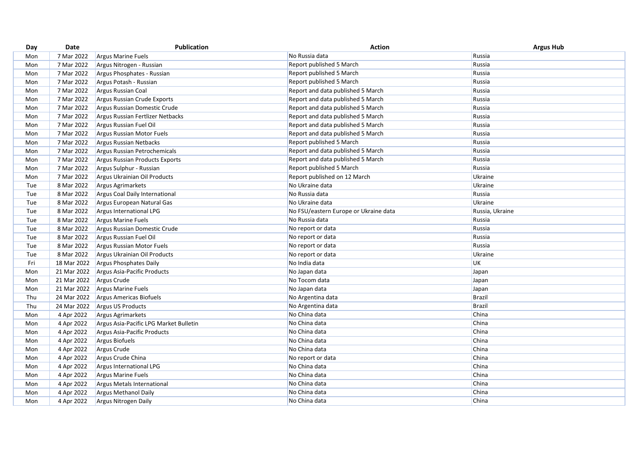| Russia<br>7 Mar 2022<br>No Russia data<br><b>Argus Marine Fuels</b><br>Mon<br>7 Mar 2022<br>Report published 5 March<br>Russia<br>Argus Nitrogen - Russian<br>Mon<br>7 Mar 2022<br>Report published 5 March<br>Russia<br>Argus Phosphates - Russian<br>Mon |  |
|------------------------------------------------------------------------------------------------------------------------------------------------------------------------------------------------------------------------------------------------------------|--|
|                                                                                                                                                                                                                                                            |  |
|                                                                                                                                                                                                                                                            |  |
|                                                                                                                                                                                                                                                            |  |
| 7 Mar 2022<br>Report published 5 March<br>Russia<br>Argus Potash - Russian<br>Mon                                                                                                                                                                          |  |
| 7 Mar 2022<br>Report and data published 5 March<br>Russia<br>Argus Russian Coal<br>Mon                                                                                                                                                                     |  |
| 7 Mar 2022<br>Argus Russian Crude Exports<br>Report and data published 5 March<br>Russia<br>Mon                                                                                                                                                            |  |
| 7 Mar 2022<br>Argus Russian Domestic Crude<br>Report and data published 5 March<br>Mon<br>Russia                                                                                                                                                           |  |
| 7 Mar 2022<br>Report and data published 5 March<br>Russia<br>Mon<br>Argus Russian Fertlizer Netbacks                                                                                                                                                       |  |
| 7 Mar 2022<br>Russia<br>Argus Russian Fuel Oil<br>Report and data published 5 March<br>Mon                                                                                                                                                                 |  |
| 7 Mar 2022<br>Russia<br>Report and data published 5 March<br>Mon<br>Argus Russian Motor Fuels                                                                                                                                                              |  |
| 7 Mar 2022<br>Report published 5 March<br>Russia<br>Mon<br><b>Argus Russian Netbacks</b>                                                                                                                                                                   |  |
| Report and data published 5 March<br>7 Mar 2022<br>Russia<br>Mon<br>Argus Russian Petrochemicals                                                                                                                                                           |  |
| 7 Mar 2022<br>Report and data published 5 March<br>Russia<br>Mon<br>Argus Russian Products Exports                                                                                                                                                         |  |
| 7 Mar 2022<br>Report published 5 March<br>Russia<br>Mon<br>Argus Sulphur - Russian                                                                                                                                                                         |  |
| 7 Mar 2022<br>Mon<br>Argus Ukrainian Oil Products<br>Report published on 12 March<br>Ukraine                                                                                                                                                               |  |
| 8 Mar 2022<br>Tue<br>Argus Agrimarkets<br>No Ukraine data<br>Ukraine                                                                                                                                                                                       |  |
| 8 Mar 2022<br>No Russia data<br>Russia<br>Tue<br>Argus Coal Daily International                                                                                                                                                                            |  |
| Ukraine<br>8 Mar 2022<br>No Ukraine data<br>Argus European Natural Gas<br>Tue                                                                                                                                                                              |  |
| 8 Mar 2022<br>No FSU/eastern Europe or Ukraine data<br>Russia, Ukraine<br>Tue<br>Argus International LPG                                                                                                                                                   |  |
| No Russia data<br>Russia<br>8 Mar 2022<br><b>Argus Marine Fuels</b><br>Tue                                                                                                                                                                                 |  |
| 8 Mar 2022<br>No report or data<br>Russia<br>Argus Russian Domestic Crude<br>Tue                                                                                                                                                                           |  |
| 8 Mar 2022<br>Russia<br>Argus Russian Fuel Oil<br>No report or data<br>Tue                                                                                                                                                                                 |  |
| Russia<br>8 Mar 2022<br>No report or data<br>Tue<br>Argus Russian Motor Fuels                                                                                                                                                                              |  |
| 8 Mar 2022<br>Argus Ukrainian Oil Products<br>Tue<br>No report or data<br>Ukraine                                                                                                                                                                          |  |
| 18 Mar 2022<br><b>UK</b><br>Fri<br>No India data<br>Argus Phosphates Daily                                                                                                                                                                                 |  |
| 21 Mar 2022<br>Argus Asia-Pacific Products<br>Mon<br>No Japan data<br>Japan                                                                                                                                                                                |  |
| 21 Mar 2022<br>Argus Crude<br>No Tocom data<br>Japan<br>Mon                                                                                                                                                                                                |  |
| 21 Mar 2022<br>No Japan data<br><b>Argus Marine Fuels</b><br>Japan<br>Mon                                                                                                                                                                                  |  |
| <b>Brazil</b><br>24 Mar 2022<br>Thu<br>Argus Americas Biofuels<br>No Argentina data                                                                                                                                                                        |  |
| No Argentina data<br><b>Brazil</b><br>Thu<br>24 Mar 2022<br>Argus US Products                                                                                                                                                                              |  |
| China<br>No China data<br>4 Apr 2022<br>Mon<br>Argus Agrimarkets                                                                                                                                                                                           |  |
| China<br>No China data<br>4 Apr 2022<br>Argus Asia-Pacific LPG Market Bulletin<br>Mon                                                                                                                                                                      |  |
| China<br>No China data<br>4 Apr 2022<br>Mon<br>Argus Asia-Pacific Products                                                                                                                                                                                 |  |
| China<br>4 Apr 2022<br>Argus Biofuels<br>No China data<br>Mon                                                                                                                                                                                              |  |
| China<br>4 Apr 2022<br>Argus Crude<br>No China data<br>Mon                                                                                                                                                                                                 |  |
| China<br>4 Apr 2022<br>Mon<br>Argus Crude China<br>No report or data                                                                                                                                                                                       |  |
| No China data<br>China<br>4 Apr 2022<br>Mon<br>Argus International LPG                                                                                                                                                                                     |  |
| China<br>No China data<br>4 Apr 2022<br>Mon<br><b>Argus Marine Fuels</b>                                                                                                                                                                                   |  |
| China<br>4 Apr 2022<br>No China data<br>Mon<br>Argus Metals International                                                                                                                                                                                  |  |
| China<br>No China data<br>Mon<br>4 Apr 2022<br><b>Argus Methanol Daily</b>                                                                                                                                                                                 |  |
| China<br>4 Apr 2022<br>No China data<br>Mon<br>Argus Nitrogen Daily                                                                                                                                                                                        |  |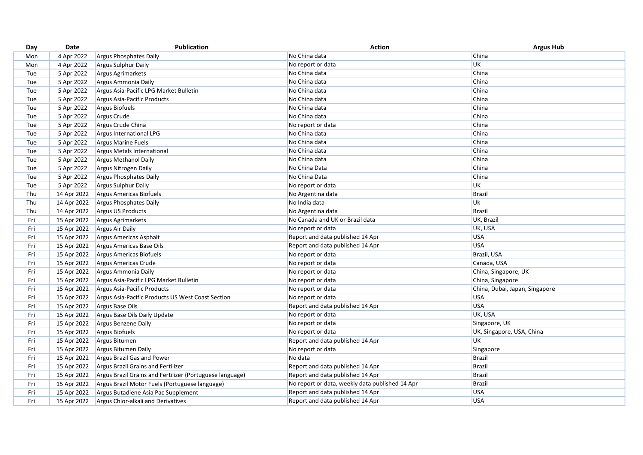| Day | Date        | <b>Publication</b>                                       | <b>Action</b>                                   | <b>Argus Hub</b>               |
|-----|-------------|----------------------------------------------------------|-------------------------------------------------|--------------------------------|
| Mon | 4 Apr 2022  | Argus Phosphates Daily                                   | No China data                                   | China                          |
| Mon | 4 Apr 2022  | <b>Argus Sulphur Daily</b>                               | No report or data                               | <b>UK</b>                      |
| Tue | 5 Apr 2022  | Argus Agrimarkets                                        | No China data                                   | China                          |
| Tue | 5 Apr 2022  | Argus Ammonia Daily                                      | No China data                                   | China                          |
| Tue | 5 Apr 2022  | Argus Asia-Pacific LPG Market Bulletin                   | No China data                                   | China                          |
| Tue | 5 Apr 2022  | Argus Asia-Pacific Products                              | No China data                                   | China                          |
| Tue | 5 Apr 2022  | Argus Biofuels                                           | No China data                                   | China                          |
| Tue | 5 Apr 2022  | Argus Crude                                              | No China data                                   | China                          |
| Tue | 5 Apr 2022  | Argus Crude China                                        | No report or data                               | China                          |
| Tue | 5 Apr 2022  | Argus International LPG                                  | No China data                                   | China                          |
| Tue | 5 Apr 2022  | <b>Argus Marine Fuels</b>                                | No China data                                   | China                          |
| Tue | 5 Apr 2022  | Argus Metals International                               | No China data                                   | China                          |
| Tue | 5 Apr 2022  | Argus Methanol Daily                                     | No China data                                   | China                          |
| Tue | 5 Apr 2022  | Argus Nitrogen Daily                                     | No China Data                                   | China                          |
| Tue | 5 Apr 2022  | Argus Phosphates Daily                                   | No China Data                                   | China                          |
| Tue | 5 Apr 2022  | Argus Sulphur Daily                                      | No report or data                               | <b>UK</b>                      |
| Thu | 14 Apr 2022 | Argus Americas Biofuels                                  | No Argentina data                               | <b>Brazil</b>                  |
| Thu | 14 Apr 2022 | Argus Phosphates Daily                                   | No India data                                   | Uk                             |
| Thu | 14 Apr 2022 | Argus US Products                                        | No Argentina data                               | <b>Brazil</b>                  |
| Fri | 15 Apr 2022 | Argus Agrimarkets                                        | No Canada and UK or Brazil data                 | UK, Brazil                     |
| Fri | 15 Apr 2022 | Argus Air Daily                                          | No report or data                               | UK, USA                        |
| Fri | 15 Apr 2022 | Argus Americas Asphalt                                   | Report and data published 14 Apr                | <b>USA</b>                     |
| Fri | 15 Apr 2022 | Argus Americas Base Oils                                 | Report and data published 14 Apr                | <b>USA</b>                     |
| Fri | 15 Apr 2022 | Argus Americas Biofuels                                  | No report or data                               | Brazil, USA                    |
| Fri | 15 Apr 2022 | Argus Americas Crude                                     | No report or data                               | Canada, USA                    |
| Fri | 15 Apr 2022 | Argus Ammonia Daily                                      | No report or data                               | China, Singapore, UK           |
| Fri | 15 Apr 2022 | Argus Asia-Pacific LPG Market Bulletin                   | No report or data                               | China, Singapore               |
| Fri | 15 Apr 2022 | Argus Asia-Pacific Products                              | No report or data                               | China, Dubai, Japan, Singapore |
| Fri | 15 Apr 2022 | Argus Asia-Pacific Products US West Coast Section        | No report or data                               | <b>USA</b>                     |
| Fri | 15 Apr 2022 | Argus Base Oils                                          | Report and data published 14 Apr                | <b>USA</b>                     |
| Fri | 15 Apr 2022 | Argus Base Oils Daily Update                             | No report or data                               | UK, USA                        |
| Fri | 15 Apr 2022 | Argus Benzene Daily                                      | No report or data                               | Singapore, UK                  |
| Fri | 15 Apr 2022 | Argus Biofuels                                           | No report or data                               | UK, Singapore, USA, China      |
| Fri | 15 Apr 2022 | Argus Bitumen                                            | Report and data published 14 Apr                | UK                             |
| Fri | 15 Apr 2022 | Argus Bitumen Daily                                      | No report or data                               | Singapore                      |
| Fri | 15 Apr 2022 | Argus Brazil Gas and Power                               | No data                                         | <b>Brazil</b>                  |
| Fri | 15 Apr 2022 | Argus Brazil Grains and Fertilizer                       | Report and data published 14 Apr                | <b>Brazil</b>                  |
| Fri | 15 Apr 2022 | Argus Brazil Grains and Fertilizer (Portuguese language) | Report and data published 14 Apr                | <b>Brazil</b>                  |
| Fri | 15 Apr 2022 | Argus Brazil Motor Fuels (Portuguese language)           | No report or data, weekly data published 14 Apr | <b>Brazil</b>                  |
| Fri | 15 Apr 2022 | Argus Butadiene Asia Pac Supplement                      | Report and data published 14 Apr                | <b>USA</b>                     |
| Fri | 15 Apr 2022 | Argus Chlor-alkali and Derivatives                       | Report and data published 14 Apr                | <b>USA</b>                     |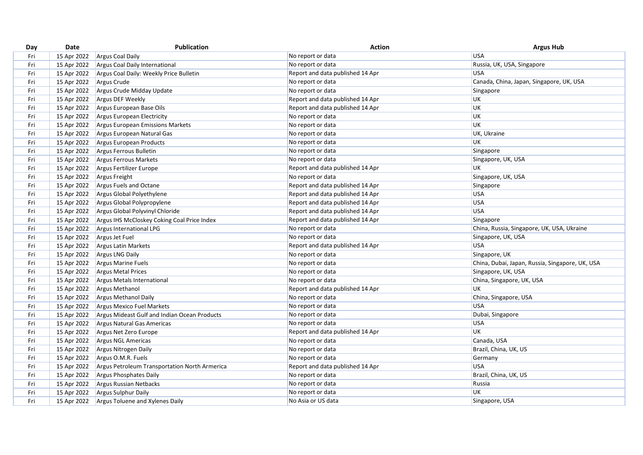| Day | Date        | <b>Publication</b>                            | <b>Action</b>                    | <b>Argus Hub</b>                                |
|-----|-------------|-----------------------------------------------|----------------------------------|-------------------------------------------------|
| Fri | 15 Apr 2022 | <b>Argus Coal Daily</b>                       | No report or data                | <b>USA</b>                                      |
| Fri | 15 Apr 2022 | Argus Coal Daily International                | No report or data                | Russia, UK, USA, Singapore                      |
| Fri | 15 Apr 2022 | Argus Coal Daily: Weekly Price Bulletin       | Report and data published 14 Apr | <b>USA</b>                                      |
| Fri | 15 Apr 2022 | Argus Crude                                   | No report or data                | Canada, China, Japan, Singapore, UK, USA        |
| Fri | 15 Apr 2022 | Argus Crude Midday Update                     | No report or data                | Singapore                                       |
| Fri | 15 Apr 2022 | Argus DEF Weekly                              | Report and data published 14 Apr | <b>UK</b>                                       |
| Fri | 15 Apr 2022 | Argus European Base Oils                      | Report and data published 14 Apr | UK                                              |
| Fri | 15 Apr 2022 | Argus European Electricity                    | No report or data                | <b>UK</b>                                       |
| Fri | 15 Apr 2022 | Argus European Emissions Markets              | No report or data                | <b>UK</b>                                       |
| Fri | 15 Apr 2022 | Argus European Natural Gas                    | No report or data                | UK, Ukraine                                     |
| Fri | 15 Apr 2022 | Argus European Products                       | No report or data                | UK                                              |
| Fri | 15 Apr 2022 | Argus Ferrous Bulletin                        | No report or data                | Singapore                                       |
| Fri | 15 Apr 2022 | Argus Ferrous Markets                         | No report or data                | Singapore, UK, USA                              |
| Fri | 15 Apr 2022 | Argus Fertilizer Europe                       | Report and data published 14 Apr | <b>UK</b>                                       |
| Fri | 15 Apr 2022 | Argus Freight                                 | No report or data                | Singapore, UK, USA                              |
| Fri | 15 Apr 2022 | Argus Fuels and Octane                        | Report and data published 14 Apr | Singapore                                       |
| Fri | 15 Apr 2022 | Argus Global Polyethylene                     | Report and data published 14 Apr | <b>USA</b>                                      |
| Fri | 15 Apr 2022 | Argus Global Polypropylene                    | Report and data published 14 Apr | USA                                             |
| Fri | 15 Apr 2022 | Argus Global Polyvinyl Chloride               | Report and data published 14 Apr | <b>USA</b>                                      |
| Fri | 15 Apr 2022 | Argus IHS McCloskey Coking Coal Price Index   | Report and data published 14 Apr | Singapore                                       |
| Fri | 15 Apr 2022 | Argus International LPG                       | No report or data                | China, Russia, Singapore, UK, USA, Ukraine      |
| Fri | 15 Apr 2022 | Argus Jet Fuel                                | No report or data                | Singapore, UK, USA                              |
| Fri | 15 Apr 2022 | <b>Argus Latin Markets</b>                    | Report and data published 14 Apr | <b>USA</b>                                      |
| Fri | 15 Apr 2022 | <b>Argus LNG Daily</b>                        | No report or data                | Singapore, UK                                   |
| Fri | 15 Apr 2022 | Argus Marine Fuels                            | No report or data                | China, Dubai, Japan, Russia, Singapore, UK, USA |
| Fri | 15 Apr 2022 | Argus Metal Prices                            | No report or data                | Singapore, UK, USA                              |
| Fri | 15 Apr 2022 | Argus Metals International                    | No report or data                | China, Singapore, UK, USA                       |
| Fri | 15 Apr 2022 | Argus Methanol                                | Report and data published 14 Apr | UK                                              |
| Fri | 15 Apr 2022 | Argus Methanol Daily                          | No report or data                | China, Singapore, USA                           |
| Fri | 15 Apr 2022 | Argus Mexico Fuel Markets                     | No report or data                | <b>USA</b>                                      |
| Fri | 15 Apr 2022 | Argus Mideast Gulf and Indian Ocean Products  | No report or data                | Dubai, Singapore                                |
| Fri | 15 Apr 2022 | Argus Natural Gas Americas                    | No report or data                | <b>USA</b>                                      |
| Fri | 15 Apr 2022 | Argus Net Zero Europe                         | Report and data published 14 Apr | UK                                              |
| Fri | 15 Apr 2022 | Argus NGL Americas                            | No report or data                | Canada, USA                                     |
| Fri | 15 Apr 2022 | Argus Nitrogen Daily                          | No report or data                | Brazil, China, UK, US                           |
| Fri | 15 Apr 2022 | Argus O.M.R. Fuels                            | No report or data                | Germany                                         |
| Fri | 15 Apr 2022 | Argus Petroleum Transportation North Armerica | Report and data published 14 Apr | <b>USA</b>                                      |
| Fri | 15 Apr 2022 | Argus Phosphates Daily                        | No report or data                | Brazil, China, UK, US                           |
| Fri | 15 Apr 2022 | Argus Russian Netbacks                        | No report or data                | Russia                                          |
| Fri | 15 Apr 2022 | Argus Sulphur Daily                           | No report or data                | UK                                              |
| Fri | 15 Apr 2022 | Argus Toluene and Xylenes Daily               | No Asia or US data               | Singapore, USA                                  |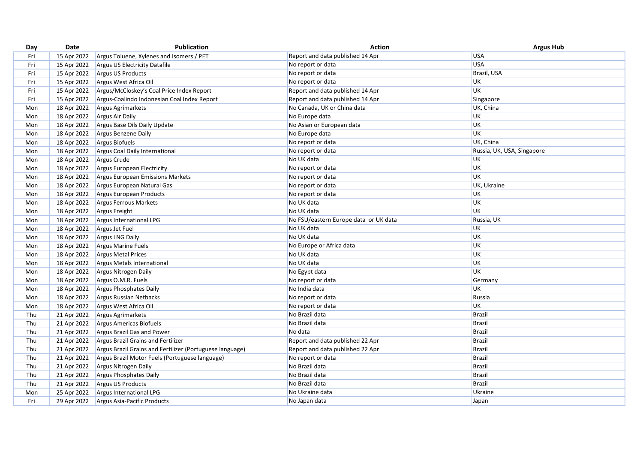| Day | Date        | Publication                                              | <b>Action</b>                         | <b>Argus Hub</b>           |
|-----|-------------|----------------------------------------------------------|---------------------------------------|----------------------------|
| Fri | 15 Apr 2022 | Argus Toluene, Xylenes and Isomers / PET                 | Report and data published 14 Apr      | <b>USA</b>                 |
| Fri | 15 Apr 2022 | Argus US Electricity Datafile                            | No report or data                     | <b>USA</b>                 |
| Fri | 15 Apr 2022 | Argus US Products                                        | No report or data                     | Brazil, USA                |
| Fri | 15 Apr 2022 | Argus West Africa Oil                                    | No report or data                     | UK                         |
| Fri | 15 Apr 2022 | Argus/McCloskey's Coal Price Index Report                | Report and data published 14 Apr      | UK                         |
| Fri | 15 Apr 2022 | Argus-Coalindo Indonesian Coal Index Report              | Report and data published 14 Apr      | Singapore                  |
| Mon | 18 Apr 2022 | Argus Agrimarkets                                        | No Canada, UK or China data           | UK, China                  |
| Mon | 18 Apr 2022 | Argus Air Daily                                          | No Europe data                        | UK                         |
| Mon | 18 Apr 2022 | Argus Base Oils Daily Update                             | No Asian or European data             | UK                         |
| Mon | 18 Apr 2022 | Argus Benzene Daily                                      | No Europe data                        | UK                         |
| Mon | 18 Apr 2022 | Argus Biofuels                                           | No report or data                     | UK, China                  |
| Mon | 18 Apr 2022 | Argus Coal Daily International                           | No report or data                     | Russia, UK, USA, Singapore |
| Mon | 18 Apr 2022 | Argus Crude                                              | No UK data                            | UK                         |
| Mon | 18 Apr 2022 | Argus European Electricity                               | No report or data                     | UK                         |
| Mon | 18 Apr 2022 | Argus European Emissions Markets                         | No report or data                     | UK                         |
| Mon | 18 Apr 2022 | Argus European Natural Gas                               | No report or data                     | UK, Ukraine                |
| Mon | 18 Apr 2022 | Argus European Products                                  | No report or data                     | UK                         |
| Mon | 18 Apr 2022 | Argus Ferrous Markets                                    | No UK data                            | UK                         |
| Mon | 18 Apr 2022 | Argus Freight                                            | No UK data                            | UK                         |
| Mon | 18 Apr 2022 | Argus International LPG                                  | No FSU/eastern Europe data or UK data | Russia, UK                 |
| Mon | 18 Apr 2022 | Argus Jet Fuel                                           | No UK data                            | UK                         |
| Mon | 18 Apr 2022 | <b>Argus LNG Daily</b>                                   | No UK data                            | UK                         |
| Mon | 18 Apr 2022 | Argus Marine Fuels                                       | No Europe or Africa data              | UK                         |
| Mon | 18 Apr 2022 | Argus Metal Prices                                       | No UK data                            | UK                         |
| Mon | 18 Apr 2022 | Argus Metals International                               | No UK data                            | UK                         |
| Mon | 18 Apr 2022 | Argus Nitrogen Daily                                     | No Egypt data                         | UK                         |
| Mon | 18 Apr 2022 | Argus O.M.R. Fuels                                       | No report or data                     | Germany                    |
| Mon | 18 Apr 2022 | Argus Phosphates Daily                                   | No India data                         | UK                         |
| Mon | 18 Apr 2022 | Argus Russian Netbacks                                   | No report or data                     | Russia                     |
| Mon | 18 Apr 2022 | Argus West Africa Oil                                    | No report or data                     | UK                         |
| Thu | 21 Apr 2022 | Argus Agrimarkets                                        | No Brazil data                        | Brazil                     |
| Thu | 21 Apr 2022 | Argus Americas Biofuels                                  | No Brazil data                        | <b>Brazil</b>              |
| Thu | 21 Apr 2022 | Argus Brazil Gas and Power                               | No data                               | <b>Brazil</b>              |
| Thu | 21 Apr 2022 | Argus Brazil Grains and Fertilizer                       | Report and data published 22 Apr      | <b>Brazil</b>              |
| Thu | 21 Apr 2022 | Argus Brazil Grains and Fertilizer (Portuguese language) | Report and data published 22 Apr      | <b>Brazil</b>              |
| Thu | 21 Apr 2022 | Argus Brazil Motor Fuels (Portuguese language)           | No report or data                     | <b>Brazil</b>              |
| Thu | 21 Apr 2022 | Argus Nitrogen Daily                                     | No Brazil data                        | <b>Brazil</b>              |
| Thu | 21 Apr 2022 | Argus Phosphates Daily                                   | No Brazil data                        | <b>Brazil</b>              |
| Thu | 21 Apr 2022 | Argus US Products                                        | No Brazil data                        | <b>Brazil</b>              |
| Mon | 25 Apr 2022 | Argus International LPG                                  | No Ukraine data                       | Ukraine                    |
| Fri | 29 Apr 2022 | Argus Asia-Pacific Products                              | No Japan data                         | Japan                      |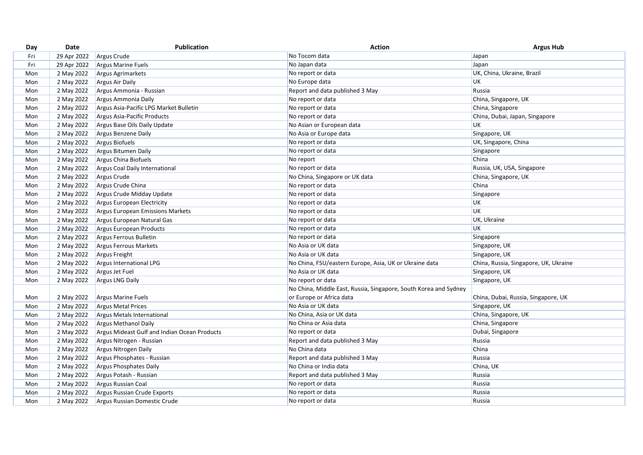| Day | Date        | Publication                                  | <b>Action</b>                                                    | <b>Argus Hub</b>                      |
|-----|-------------|----------------------------------------------|------------------------------------------------------------------|---------------------------------------|
| Fri | 29 Apr 2022 | Argus Crude                                  | No Tocom data                                                    | Japan                                 |
| Fri | 29 Apr 2022 | <b>Argus Marine Fuels</b>                    | No Japan data                                                    | Japan                                 |
| Mon | 2 May 2022  | Argus Agrimarkets                            | No report or data                                                | UK, China, Ukraine, Brazil            |
| Mon | 2 May 2022  | Argus Air Daily                              | No Europe data                                                   | <b>UK</b>                             |
| Mon | 2 May 2022  | Argus Ammonia - Russian                      | Report and data published 3 May                                  | Russia                                |
| Mon | 2 May 2022  | Argus Ammonia Daily                          | No report or data                                                | China, Singapore, UK                  |
| Mon | 2 May 2022  | Argus Asia-Pacific LPG Market Bulletin       | No report or data                                                | China, Singapore                      |
| Mon | 2 May 2022  | Argus Asia-Pacific Products                  | No report or data                                                | China, Dubai, Japan, Singapore        |
| Mon | 2 May 2022  | Argus Base Oils Daily Update                 | No Asian or European data                                        | UK                                    |
| Mon | 2 May 2022  | Argus Benzene Daily                          | No Asia or Europe data                                           | Singapore, UK                         |
| Mon | 2 May 2022  | Argus Biofuels                               | No report or data                                                | UK, Singapore, China                  |
| Mon | 2 May 2022  | Argus Bitumen Daily                          | No report or data                                                | Singapore                             |
| Mon | 2 May 2022  | Argus China Biofuels                         | No report                                                        | China                                 |
| Mon | 2 May 2022  | Argus Coal Daily International               | No report or data                                                | Russia, UK, USA, Singapore            |
| Mon | 2 May 2022  | Argus Crude                                  | No China, Singapore or UK data                                   | China, Singapore, UK                  |
| Mon | 2 May 2022  | Argus Crude China                            | No report or data                                                | China                                 |
| Mon | 2 May 2022  | Argus Crude Midday Update                    | No report or data                                                | Singapore                             |
| Mon | 2 May 2022  | Argus European Electricity                   | No report or data                                                | UK                                    |
| Mon | 2 May 2022  | Argus European Emissions Markets             | No report or data                                                | UK                                    |
| Mon | 2 May 2022  | Argus European Natural Gas                   | No report or data                                                | UK, Ukraine                           |
| Mon | 2 May 2022  | Argus European Products                      | No report or data                                                | UK                                    |
| Mon | 2 May 2022  | Argus Ferrous Bulletin                       | No report or data                                                | Singapore                             |
| Mon | 2 May 2022  | Argus Ferrous Markets                        | No Asia or UK data                                               | Singapore, UK                         |
| Mon | 2 May 2022  | Argus Freight                                | No Asia or UK data                                               | Singapore, UK                         |
| Mon | 2 May 2022  | Argus International LPG                      | No China, FSU/eastern Europe, Asia, UK or Ukraine data           | China, Russia, Singapore, UK, Ukraine |
| Mon | 2 May 2022  | Argus Jet Fuel                               | No Asia or UK data                                               | Singapore, UK                         |
| Mon | 2 May 2022  | Argus LNG Daily                              | No report or data                                                | Singapore, UK                         |
|     |             |                                              | No China, Middle East, Russia, Singapore, South Korea and Sydney |                                       |
| Mon | 2 May 2022  | Argus Marine Fuels                           | or Europe or Africa data                                         | China, Dubai, Russia, Singapore, UK   |
| Mon | 2 May 2022  | <b>Argus Metal Prices</b>                    | No Asia or UK data                                               | Singapore, UK                         |
| Mon | 2 May 2022  | Argus Metals International                   | No China, Asia or UK data                                        | China, Singapore, UK                  |
| Mon | 2 May 2022  | Argus Methanol Daily                         | No China or Asia data                                            | China, Singapore                      |
| Mon | 2 May 2022  | Argus Mideast Gulf and Indian Ocean Products | No report or data                                                | Dubai, Singapore                      |
| Mon | 2 May 2022  | Argus Nitrogen - Russian                     | Report and data published 3 May                                  | Russia                                |
| Mon | 2 May 2022  | Argus Nitrogen Daily                         | No China data                                                    | China                                 |
| Mon | 2 May 2022  | Argus Phosphates - Russian                   | Report and data published 3 May                                  | Russia                                |
| Mon | 2 May 2022  | Argus Phosphates Daily                       | No China or India data                                           | China, UK                             |
| Mon | 2 May 2022  | Argus Potash - Russian                       | Report and data published 3 May                                  | Russia                                |
| Mon | 2 May 2022  | Argus Russian Coal                           | No report or data                                                | Russia                                |
| Mon | 2 May 2022  | Argus Russian Crude Exports                  | No report or data                                                | Russia                                |
| Mon | 2 May 2022  | Argus Russian Domestic Crude                 | No report or data                                                | Russia                                |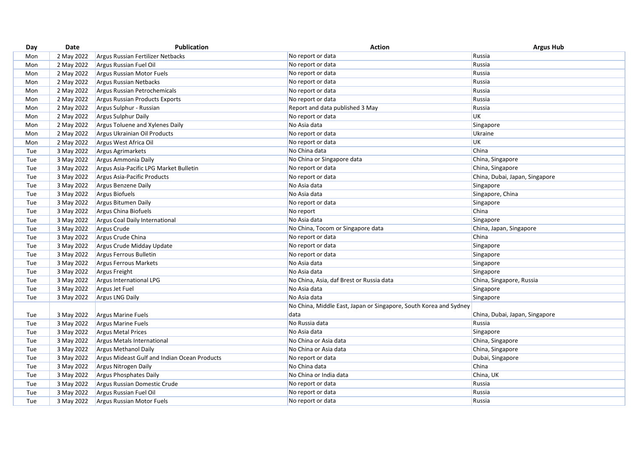| Day | Date       | <b>Publication</b>                           | <b>Action</b>                                                     | <b>Argus Hub</b>               |
|-----|------------|----------------------------------------------|-------------------------------------------------------------------|--------------------------------|
| Mon | 2 May 2022 | Argus Russian Fertilizer Netbacks            | No report or data                                                 | Russia                         |
| Mon | 2 May 2022 | Argus Russian Fuel Oil                       | No report or data                                                 | Russia                         |
| Mon | 2 May 2022 | Argus Russian Motor Fuels                    | No report or data                                                 | Russia                         |
| Mon | 2 May 2022 | <b>Argus Russian Netbacks</b>                | No report or data                                                 | Russia                         |
| Mon | 2 May 2022 | Argus Russian Petrochemicals                 | No report or data                                                 | Russia                         |
| Mon | 2 May 2022 | Argus Russian Products Exports               | No report or data                                                 | Russia                         |
| Mon | 2 May 2022 | Argus Sulphur - Russian                      | Report and data published 3 May                                   | Russia                         |
| Mon | 2 May 2022 | Argus Sulphur Daily                          | No report or data                                                 | <b>UK</b>                      |
| Mon | 2 May 2022 | Argus Toluene and Xylenes Daily              | No Asia data                                                      | Singapore                      |
| Mon | 2 May 2022 | Argus Ukrainian Oil Products                 | No report or data                                                 | Ukraine                        |
| Mon | 2 May 2022 | Argus West Africa Oil                        | No report or data                                                 | UK                             |
| Tue | 3 May 2022 | Argus Agrimarkets                            | No China data                                                     | China                          |
| Tue | 3 May 2022 | Argus Ammonia Daily                          | No China or Singapore data                                        | China, Singapore               |
| Tue | 3 May 2022 | Argus Asia-Pacific LPG Market Bulletin       | No report or data                                                 | China, Singapore               |
| Tue | 3 May 2022 | Argus Asia-Pacific Products                  | No report or data                                                 | China, Dubai, Japan, Singapore |
| Tue | 3 May 2022 | Argus Benzene Daily                          | No Asia data                                                      | Singapore                      |
| Tue | 3 May 2022 | Argus Biofuels                               | No Asia data                                                      | Singapore, China               |
| Tue | 3 May 2022 | Argus Bitumen Daily                          | No report or data                                                 | Singapore                      |
| Tue | 3 May 2022 | Argus China Biofuels                         | No report                                                         | China                          |
| Tue | 3 May 2022 | Argus Coal Daily International               | No Asia data                                                      | Singapore                      |
| Tue | 3 May 2022 | Argus Crude                                  | No China, Tocom or Singapore data                                 | China, Japan, Singapore        |
| Tue | 3 May 2022 | Argus Crude China                            | No report or data                                                 | China                          |
| Tue | 3 May 2022 | Argus Crude Midday Update                    | No report or data                                                 | Singapore                      |
| Tue | 3 May 2022 | Argus Ferrous Bulletin                       | No report or data                                                 | Singapore                      |
| Tue | 3 May 2022 | Argus Ferrous Markets                        | No Asia data                                                      | Singapore                      |
| Tue | 3 May 2022 | Argus Freight                                | No Asia data                                                      | Singapore                      |
| Tue | 3 May 2022 | Argus International LPG                      | No China, Asia, daf Brest or Russia data                          | China, Singapore, Russia       |
| Tue | 3 May 2022 | Argus Jet Fuel                               | No Asia data                                                      | Singapore                      |
| Tue | 3 May 2022 | <b>Argus LNG Daily</b>                       | No Asia data                                                      | Singapore                      |
|     |            |                                              | No China, Middle East, Japan or Singapore, South Korea and Sydney |                                |
| Tue | 3 May 2022 | <b>Argus Marine Fuels</b>                    | data                                                              | China, Dubai, Japan, Singapore |
| Tue | 3 May 2022 | Argus Marine Fuels                           | No Russia data                                                    | Russia                         |
| Tue | 3 May 2022 | <b>Argus Metal Prices</b>                    | No Asia data                                                      | Singapore                      |
| Tue | 3 May 2022 | Argus Metals International                   | No China or Asia data                                             | China, Singapore               |
| Tue | 3 May 2022 | <b>Argus Methanol Daily</b>                  | No China or Asia data                                             | China, Singapore               |
| Tue | 3 May 2022 | Argus Mideast Gulf and Indian Ocean Products | No report or data                                                 | Dubai, Singapore               |
| Tue | 3 May 2022 | Argus Nitrogen Daily                         | No China data                                                     | China                          |
| Tue | 3 May 2022 | Argus Phosphates Daily                       | No China or India data                                            | China, UK                      |
| Tue | 3 May 2022 | Argus Russian Domestic Crude                 | No report or data                                                 | Russia                         |
| Tue | 3 May 2022 | Argus Russian Fuel Oil                       | No report or data                                                 | Russia                         |
| Tue | 3 May 2022 | Argus Russian Motor Fuels                    | No report or data                                                 | Russia                         |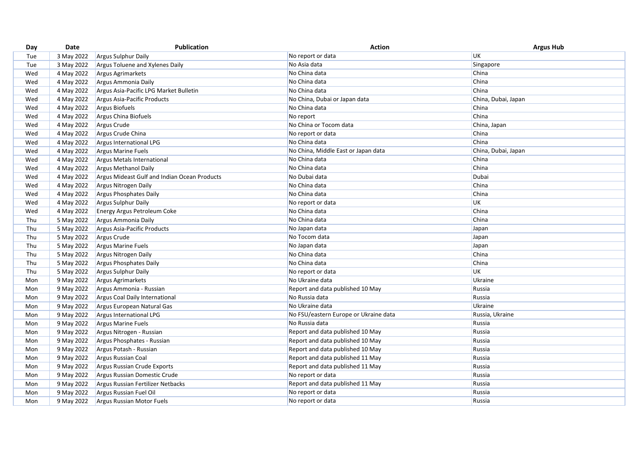| UK<br>3 May 2022<br>No report or data<br>Tue<br><b>Argus Sulphur Daily</b><br>No Asia data<br>Singapore<br>3 May 2022<br>Argus Toluene and Xylenes Daily<br>Tue<br>4 May 2022<br>No China data<br>China<br>Wed<br>Argus Agrimarkets<br>China<br>4 May 2022<br>No China data<br>Wed<br>Argus Ammonia Daily<br>China<br>No China data<br>4 May 2022<br>Argus Asia-Pacific LPG Market Bulletin<br>Wed<br>Wed<br>4 May 2022<br>Argus Asia-Pacific Products<br>No China, Dubai or Japan data<br>China, Dubai, Japan |
|----------------------------------------------------------------------------------------------------------------------------------------------------------------------------------------------------------------------------------------------------------------------------------------------------------------------------------------------------------------------------------------------------------------------------------------------------------------------------------------------------------------|
|                                                                                                                                                                                                                                                                                                                                                                                                                                                                                                                |
|                                                                                                                                                                                                                                                                                                                                                                                                                                                                                                                |
|                                                                                                                                                                                                                                                                                                                                                                                                                                                                                                                |
|                                                                                                                                                                                                                                                                                                                                                                                                                                                                                                                |
|                                                                                                                                                                                                                                                                                                                                                                                                                                                                                                                |
|                                                                                                                                                                                                                                                                                                                                                                                                                                                                                                                |
| 4 May 2022<br>Argus Biofuels<br>No China data<br>Wed<br>China                                                                                                                                                                                                                                                                                                                                                                                                                                                  |
| China<br>4 May 2022<br>Argus China Biofuels<br>Wed<br>No report                                                                                                                                                                                                                                                                                                                                                                                                                                                |
| No China or Tocom data<br>4 May 2022<br>Argus Crude<br>China, Japan<br>Wed                                                                                                                                                                                                                                                                                                                                                                                                                                     |
| China<br>4 May 2022<br>No report or data<br>Wed<br>Argus Crude China                                                                                                                                                                                                                                                                                                                                                                                                                                           |
| China<br>4 May 2022<br>No China data<br>Argus International LPG<br>Wed                                                                                                                                                                                                                                                                                                                                                                                                                                         |
| 4 May 2022<br>No China, Middle East or Japan data<br>China, Dubai, Japan<br>Wed<br><b>Argus Marine Fuels</b>                                                                                                                                                                                                                                                                                                                                                                                                   |
| No China data<br>China<br>4 May 2022<br>Wed<br>Argus Metals International                                                                                                                                                                                                                                                                                                                                                                                                                                      |
| China<br>No China data<br>Wed<br>4 May 2022<br>Argus Methanol Daily                                                                                                                                                                                                                                                                                                                                                                                                                                            |
| 4 May 2022<br>Argus Mideast Gulf and Indian Ocean Products<br>Dubai<br>Wed<br>No Dubai data                                                                                                                                                                                                                                                                                                                                                                                                                    |
| China<br>4 May 2022<br>Wed<br>Argus Nitrogen Daily<br>No China data                                                                                                                                                                                                                                                                                                                                                                                                                                            |
| 4 May 2022<br>No China data<br>China<br>Wed<br>Argus Phosphates Daily                                                                                                                                                                                                                                                                                                                                                                                                                                          |
| UK<br>4 May 2022<br>Argus Sulphur Daily<br>No report or data<br>Wed                                                                                                                                                                                                                                                                                                                                                                                                                                            |
| No China data<br>China<br>4 May 2022<br>Wed<br><b>Energy Argus Petroleum Coke</b>                                                                                                                                                                                                                                                                                                                                                                                                                              |
| China<br>Thu<br>5 May 2022<br>No China data<br>Argus Ammonia Daily                                                                                                                                                                                                                                                                                                                                                                                                                                             |
| Thu<br>5 May 2022<br>No Japan data<br>Japan<br>Argus Asia-Pacific Products                                                                                                                                                                                                                                                                                                                                                                                                                                     |
| 5 May 2022<br>No Tocom data<br>Japan<br>Thu<br>Argus Crude                                                                                                                                                                                                                                                                                                                                                                                                                                                     |
| 5 May 2022<br>No Japan data<br>Thu<br><b>Argus Marine Fuels</b><br>Japan                                                                                                                                                                                                                                                                                                                                                                                                                                       |
| 5 May 2022<br>Thu<br>Argus Nitrogen Daily<br>No China data<br>China                                                                                                                                                                                                                                                                                                                                                                                                                                            |
| 5 May 2022<br>China<br>Thu<br>Argus Phosphates Daily<br>No China data                                                                                                                                                                                                                                                                                                                                                                                                                                          |
| 5 May 2022<br><b>UK</b><br>Thu<br>Argus Sulphur Daily<br>No report or data                                                                                                                                                                                                                                                                                                                                                                                                                                     |
| 9 May 2022<br>No Ukraine data<br>Ukraine<br>Mon<br><b>Argus Agrimarkets</b>                                                                                                                                                                                                                                                                                                                                                                                                                                    |
| 9 May 2022<br>Report and data published 10 May<br>Russia<br>Mon<br>Argus Ammonia - Russian                                                                                                                                                                                                                                                                                                                                                                                                                     |
| Russia<br>9 May 2022<br>No Russia data<br>Argus Coal Daily International<br>Mon                                                                                                                                                                                                                                                                                                                                                                                                                                |
| No Ukraine data<br>Ukraine<br>9 May 2022<br>Argus European Natural Gas<br>Mon                                                                                                                                                                                                                                                                                                                                                                                                                                  |
| 9 May 2022<br>No FSU/eastern Europe or Ukraine data<br>Russia, Ukraine<br>Argus International LPG<br>Mon                                                                                                                                                                                                                                                                                                                                                                                                       |
| No Russia data<br>9 May 2022<br>Argus Marine Fuels<br>Russia<br>Mon                                                                                                                                                                                                                                                                                                                                                                                                                                            |
| 9 May 2022<br>Report and data published 10 May<br>Russia<br>Mon<br>Argus Nitrogen - Russian                                                                                                                                                                                                                                                                                                                                                                                                                    |
| 9 May 2022<br>Argus Phosphates - Russian<br>Report and data published 10 May<br>Russia<br>Mon                                                                                                                                                                                                                                                                                                                                                                                                                  |
| 9 May 2022<br>Argus Potash - Russian<br>Report and data published 10 May<br>Russia<br>Mon                                                                                                                                                                                                                                                                                                                                                                                                                      |
| 9 May 2022<br>Argus Russian Coal<br>Report and data published 11 May<br>Mon<br>Russia                                                                                                                                                                                                                                                                                                                                                                                                                          |
| Report and data published 11 May<br>9 May 2022<br>Argus Russian Crude Exports<br>Russia<br>Mon                                                                                                                                                                                                                                                                                                                                                                                                                 |
| No report or data<br>9 May 2022<br>Argus Russian Domestic Crude<br>Russia<br>Mon                                                                                                                                                                                                                                                                                                                                                                                                                               |
| 9 May 2022<br>Argus Russian Fertilizer Netbacks<br>Report and data published 11 May<br>Russia<br>Mon                                                                                                                                                                                                                                                                                                                                                                                                           |
| 9 May 2022<br>Argus Russian Fuel Oil<br>No report or data<br>Russia<br>Mon                                                                                                                                                                                                                                                                                                                                                                                                                                     |
| 9 May 2022<br>No report or data<br>Mon<br>Argus Russian Motor Fuels<br>Russia                                                                                                                                                                                                                                                                                                                                                                                                                                  |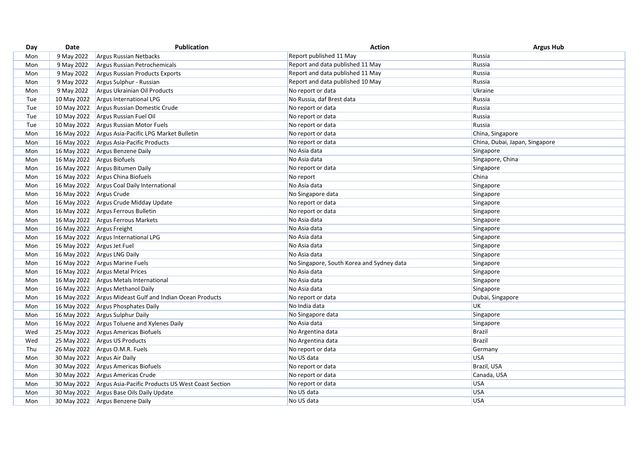| 9 May 2022<br>Report published 11 May<br>Russia<br><b>Argus Russian Netbacks</b><br>Mon<br>9 May 2022<br>Report and data published 11 May<br>Russia<br>Argus Russian Petrochemicals<br>Mon<br>9 May 2022<br>Report and data published 11 May<br>Russia<br>Argus Russian Products Exports<br>Mon<br>9 May 2022<br>Report and data published 10 May<br>Russia<br>Argus Sulphur - Russian<br>Mon<br>9 May 2022<br>No report or data<br>Ukraine<br>Argus Ukrainian Oil Products<br>Mon<br>10 May 2022<br>Russia<br>Tue<br>Argus International LPG<br>No Russia, daf Brest data<br>10 May 2022<br>Argus Russian Domestic Crude<br>Tue<br>No report or data<br>Russia<br>10 May 2022<br>Argus Russian Fuel Oil<br>Russia<br>Tue<br>No report or data<br>Russia<br>10 May 2022<br>No report or data<br>Tue<br>Argus Russian Motor Fuels<br>16 May 2022<br>No report or data<br>China, Singapore<br>Argus Asia-Pacific LPG Market Bulletin<br>Mon<br>No report or data<br>16 May 2022<br>Argus Asia-Pacific Products<br>China, Dubai, Japan, Singapore<br>Mon<br>16 May 2022<br>No Asia data<br>Argus Benzene Daily<br>Singapore<br>Mon<br>No Asia data<br>Singapore, China<br>16 May 2022<br>Argus Biofuels<br>Mon<br>16 May 2022<br>Argus Bitumen Daily<br>No report or data<br>Singapore<br>Mon<br>16 May 2022<br>Argus China Biofuels<br>China<br>Mon<br>No report<br>16 May 2022<br>No Asia data<br>Mon<br>Argus Coal Daily International<br>Singapore<br>16 May 2022<br>Argus Crude<br>No Singapore data<br>Mon<br>Singapore<br>16 May 2022<br>Argus Crude Midday Update<br>No report or data<br>Singapore<br>Mon<br>16 May 2022 Argus Ferrous Bulletin<br>No report or data<br>Singapore<br>Mon<br>16 May 2022<br>Argus Ferrous Markets<br>No Asia data<br>Singapore<br>Mon<br>16 May 2022 Argus Freight<br>No Asia data<br>Mon<br>Singapore<br>16 May 2022<br>No Asia data<br>Singapore<br>Argus International LPG<br>Mon<br>No Asia data<br>16 May 2022 Argus Jet Fuel<br>Singapore<br>Mon<br>16 May 2022<br>Argus LNG Daily<br>No Asia data<br>Mon<br>Singapore<br>16 May 2022<br>Argus Marine Fuels<br>Mon<br>No Singapore, South Korea and Sydney data<br>Singapore<br>16 May 2022<br>Argus Metal Prices<br>No Asia data<br>Singapore<br>Mon<br>16 May 2022 Argus Metals International<br>No Asia data<br>Mon<br>Singapore<br>16 May 2022<br>No Asia data<br>Singapore<br>Argus Methanol Daily<br>Mon<br>16 May 2022<br>No report or data<br>Dubai, Singapore<br>Argus Mideast Gulf and Indian Ocean Products<br>Mon<br>No India data<br>UK<br>16 May 2022<br>Argus Phosphates Daily<br>Mon<br>16 May 2022<br>No Singapore data<br>Argus Sulphur Daily<br>Singapore<br>Mon<br>No Asia data<br>16 May 2022<br>Argus Toluene and Xylenes Daily<br>Singapore<br>Mon<br>No Argentina data<br><b>Brazil</b><br>25 May 2022<br>Argus Americas Biofuels<br>Wed<br>25 May 2022<br>Argus US Products<br><b>Brazil</b><br>No Argentina data<br>Wed<br>Thu<br>26 May 2022<br>Argus O.M.R. Fuels<br>No report or data<br>Germany<br>30 May 2022<br>No US data<br><b>USA</b><br>Mon<br><b>Argus Air Daily</b><br>30 May 2022<br>No report or data<br>Brazil, USA<br>Mon<br>Argus Americas Biofuels<br>No report or data<br>Canada, USA<br>30 May 2022<br>Argus Americas Crude<br>Mon<br><b>USA</b><br>30 May 2022<br>Argus Asia-Pacific Products US West Coast Section<br>No report or data<br>Mon<br>No US data<br><b>USA</b><br>30 May 2022<br>Mon<br>Argus Base Oils Daily Update<br><b>USA</b><br>30 May 2022 Argus Benzene Daily<br>No US data<br>Mon | Day | Date | <b>Publication</b> | <b>Action</b> | <b>Argus Hub</b> |
|---------------------------------------------------------------------------------------------------------------------------------------------------------------------------------------------------------------------------------------------------------------------------------------------------------------------------------------------------------------------------------------------------------------------------------------------------------------------------------------------------------------------------------------------------------------------------------------------------------------------------------------------------------------------------------------------------------------------------------------------------------------------------------------------------------------------------------------------------------------------------------------------------------------------------------------------------------------------------------------------------------------------------------------------------------------------------------------------------------------------------------------------------------------------------------------------------------------------------------------------------------------------------------------------------------------------------------------------------------------------------------------------------------------------------------------------------------------------------------------------------------------------------------------------------------------------------------------------------------------------------------------------------------------------------------------------------------------------------------------------------------------------------------------------------------------------------------------------------------------------------------------------------------------------------------------------------------------------------------------------------------------------------------------------------------------------------------------------------------------------------------------------------------------------------------------------------------------------------------------------------------------------------------------------------------------------------------------------------------------------------------------------------------------------------------------------------------------------------------------------------------------------------------------------------------------------------------------------------------------------------------------------------------------------------------------------------------------------------------------------------------------------------------------------------------------------------------------------------------------------------------------------------------------------------------------------------------------------------------------------------------------------------------------------------------------------------------------------------------------------------------------------------------------------------------------------------------------------------------------------------------------------------------------------------------------------------------------------------------------------------------------------------------------------------------------------------------------------------------------------------------------------------------------------------|-----|------|--------------------|---------------|------------------|
|                                                                                                                                                                                                                                                                                                                                                                                                                                                                                                                                                                                                                                                                                                                                                                                                                                                                                                                                                                                                                                                                                                                                                                                                                                                                                                                                                                                                                                                                                                                                                                                                                                                                                                                                                                                                                                                                                                                                                                                                                                                                                                                                                                                                                                                                                                                                                                                                                                                                                                                                                                                                                                                                                                                                                                                                                                                                                                                                                                                                                                                                                                                                                                                                                                                                                                                                                                                                                                                                                                                                                   |     |      |                    |               |                  |
|                                                                                                                                                                                                                                                                                                                                                                                                                                                                                                                                                                                                                                                                                                                                                                                                                                                                                                                                                                                                                                                                                                                                                                                                                                                                                                                                                                                                                                                                                                                                                                                                                                                                                                                                                                                                                                                                                                                                                                                                                                                                                                                                                                                                                                                                                                                                                                                                                                                                                                                                                                                                                                                                                                                                                                                                                                                                                                                                                                                                                                                                                                                                                                                                                                                                                                                                                                                                                                                                                                                                                   |     |      |                    |               |                  |
|                                                                                                                                                                                                                                                                                                                                                                                                                                                                                                                                                                                                                                                                                                                                                                                                                                                                                                                                                                                                                                                                                                                                                                                                                                                                                                                                                                                                                                                                                                                                                                                                                                                                                                                                                                                                                                                                                                                                                                                                                                                                                                                                                                                                                                                                                                                                                                                                                                                                                                                                                                                                                                                                                                                                                                                                                                                                                                                                                                                                                                                                                                                                                                                                                                                                                                                                                                                                                                                                                                                                                   |     |      |                    |               |                  |
|                                                                                                                                                                                                                                                                                                                                                                                                                                                                                                                                                                                                                                                                                                                                                                                                                                                                                                                                                                                                                                                                                                                                                                                                                                                                                                                                                                                                                                                                                                                                                                                                                                                                                                                                                                                                                                                                                                                                                                                                                                                                                                                                                                                                                                                                                                                                                                                                                                                                                                                                                                                                                                                                                                                                                                                                                                                                                                                                                                                                                                                                                                                                                                                                                                                                                                                                                                                                                                                                                                                                                   |     |      |                    |               |                  |
|                                                                                                                                                                                                                                                                                                                                                                                                                                                                                                                                                                                                                                                                                                                                                                                                                                                                                                                                                                                                                                                                                                                                                                                                                                                                                                                                                                                                                                                                                                                                                                                                                                                                                                                                                                                                                                                                                                                                                                                                                                                                                                                                                                                                                                                                                                                                                                                                                                                                                                                                                                                                                                                                                                                                                                                                                                                                                                                                                                                                                                                                                                                                                                                                                                                                                                                                                                                                                                                                                                                                                   |     |      |                    |               |                  |
|                                                                                                                                                                                                                                                                                                                                                                                                                                                                                                                                                                                                                                                                                                                                                                                                                                                                                                                                                                                                                                                                                                                                                                                                                                                                                                                                                                                                                                                                                                                                                                                                                                                                                                                                                                                                                                                                                                                                                                                                                                                                                                                                                                                                                                                                                                                                                                                                                                                                                                                                                                                                                                                                                                                                                                                                                                                                                                                                                                                                                                                                                                                                                                                                                                                                                                                                                                                                                                                                                                                                                   |     |      |                    |               |                  |
|                                                                                                                                                                                                                                                                                                                                                                                                                                                                                                                                                                                                                                                                                                                                                                                                                                                                                                                                                                                                                                                                                                                                                                                                                                                                                                                                                                                                                                                                                                                                                                                                                                                                                                                                                                                                                                                                                                                                                                                                                                                                                                                                                                                                                                                                                                                                                                                                                                                                                                                                                                                                                                                                                                                                                                                                                                                                                                                                                                                                                                                                                                                                                                                                                                                                                                                                                                                                                                                                                                                                                   |     |      |                    |               |                  |
|                                                                                                                                                                                                                                                                                                                                                                                                                                                                                                                                                                                                                                                                                                                                                                                                                                                                                                                                                                                                                                                                                                                                                                                                                                                                                                                                                                                                                                                                                                                                                                                                                                                                                                                                                                                                                                                                                                                                                                                                                                                                                                                                                                                                                                                                                                                                                                                                                                                                                                                                                                                                                                                                                                                                                                                                                                                                                                                                                                                                                                                                                                                                                                                                                                                                                                                                                                                                                                                                                                                                                   |     |      |                    |               |                  |
|                                                                                                                                                                                                                                                                                                                                                                                                                                                                                                                                                                                                                                                                                                                                                                                                                                                                                                                                                                                                                                                                                                                                                                                                                                                                                                                                                                                                                                                                                                                                                                                                                                                                                                                                                                                                                                                                                                                                                                                                                                                                                                                                                                                                                                                                                                                                                                                                                                                                                                                                                                                                                                                                                                                                                                                                                                                                                                                                                                                                                                                                                                                                                                                                                                                                                                                                                                                                                                                                                                                                                   |     |      |                    |               |                  |
|                                                                                                                                                                                                                                                                                                                                                                                                                                                                                                                                                                                                                                                                                                                                                                                                                                                                                                                                                                                                                                                                                                                                                                                                                                                                                                                                                                                                                                                                                                                                                                                                                                                                                                                                                                                                                                                                                                                                                                                                                                                                                                                                                                                                                                                                                                                                                                                                                                                                                                                                                                                                                                                                                                                                                                                                                                                                                                                                                                                                                                                                                                                                                                                                                                                                                                                                                                                                                                                                                                                                                   |     |      |                    |               |                  |
|                                                                                                                                                                                                                                                                                                                                                                                                                                                                                                                                                                                                                                                                                                                                                                                                                                                                                                                                                                                                                                                                                                                                                                                                                                                                                                                                                                                                                                                                                                                                                                                                                                                                                                                                                                                                                                                                                                                                                                                                                                                                                                                                                                                                                                                                                                                                                                                                                                                                                                                                                                                                                                                                                                                                                                                                                                                                                                                                                                                                                                                                                                                                                                                                                                                                                                                                                                                                                                                                                                                                                   |     |      |                    |               |                  |
|                                                                                                                                                                                                                                                                                                                                                                                                                                                                                                                                                                                                                                                                                                                                                                                                                                                                                                                                                                                                                                                                                                                                                                                                                                                                                                                                                                                                                                                                                                                                                                                                                                                                                                                                                                                                                                                                                                                                                                                                                                                                                                                                                                                                                                                                                                                                                                                                                                                                                                                                                                                                                                                                                                                                                                                                                                                                                                                                                                                                                                                                                                                                                                                                                                                                                                                                                                                                                                                                                                                                                   |     |      |                    |               |                  |
|                                                                                                                                                                                                                                                                                                                                                                                                                                                                                                                                                                                                                                                                                                                                                                                                                                                                                                                                                                                                                                                                                                                                                                                                                                                                                                                                                                                                                                                                                                                                                                                                                                                                                                                                                                                                                                                                                                                                                                                                                                                                                                                                                                                                                                                                                                                                                                                                                                                                                                                                                                                                                                                                                                                                                                                                                                                                                                                                                                                                                                                                                                                                                                                                                                                                                                                                                                                                                                                                                                                                                   |     |      |                    |               |                  |
|                                                                                                                                                                                                                                                                                                                                                                                                                                                                                                                                                                                                                                                                                                                                                                                                                                                                                                                                                                                                                                                                                                                                                                                                                                                                                                                                                                                                                                                                                                                                                                                                                                                                                                                                                                                                                                                                                                                                                                                                                                                                                                                                                                                                                                                                                                                                                                                                                                                                                                                                                                                                                                                                                                                                                                                                                                                                                                                                                                                                                                                                                                                                                                                                                                                                                                                                                                                                                                                                                                                                                   |     |      |                    |               |                  |
|                                                                                                                                                                                                                                                                                                                                                                                                                                                                                                                                                                                                                                                                                                                                                                                                                                                                                                                                                                                                                                                                                                                                                                                                                                                                                                                                                                                                                                                                                                                                                                                                                                                                                                                                                                                                                                                                                                                                                                                                                                                                                                                                                                                                                                                                                                                                                                                                                                                                                                                                                                                                                                                                                                                                                                                                                                                                                                                                                                                                                                                                                                                                                                                                                                                                                                                                                                                                                                                                                                                                                   |     |      |                    |               |                  |
|                                                                                                                                                                                                                                                                                                                                                                                                                                                                                                                                                                                                                                                                                                                                                                                                                                                                                                                                                                                                                                                                                                                                                                                                                                                                                                                                                                                                                                                                                                                                                                                                                                                                                                                                                                                                                                                                                                                                                                                                                                                                                                                                                                                                                                                                                                                                                                                                                                                                                                                                                                                                                                                                                                                                                                                                                                                                                                                                                                                                                                                                                                                                                                                                                                                                                                                                                                                                                                                                                                                                                   |     |      |                    |               |                  |
|                                                                                                                                                                                                                                                                                                                                                                                                                                                                                                                                                                                                                                                                                                                                                                                                                                                                                                                                                                                                                                                                                                                                                                                                                                                                                                                                                                                                                                                                                                                                                                                                                                                                                                                                                                                                                                                                                                                                                                                                                                                                                                                                                                                                                                                                                                                                                                                                                                                                                                                                                                                                                                                                                                                                                                                                                                                                                                                                                                                                                                                                                                                                                                                                                                                                                                                                                                                                                                                                                                                                                   |     |      |                    |               |                  |
|                                                                                                                                                                                                                                                                                                                                                                                                                                                                                                                                                                                                                                                                                                                                                                                                                                                                                                                                                                                                                                                                                                                                                                                                                                                                                                                                                                                                                                                                                                                                                                                                                                                                                                                                                                                                                                                                                                                                                                                                                                                                                                                                                                                                                                                                                                                                                                                                                                                                                                                                                                                                                                                                                                                                                                                                                                                                                                                                                                                                                                                                                                                                                                                                                                                                                                                                                                                                                                                                                                                                                   |     |      |                    |               |                  |
|                                                                                                                                                                                                                                                                                                                                                                                                                                                                                                                                                                                                                                                                                                                                                                                                                                                                                                                                                                                                                                                                                                                                                                                                                                                                                                                                                                                                                                                                                                                                                                                                                                                                                                                                                                                                                                                                                                                                                                                                                                                                                                                                                                                                                                                                                                                                                                                                                                                                                                                                                                                                                                                                                                                                                                                                                                                                                                                                                                                                                                                                                                                                                                                                                                                                                                                                                                                                                                                                                                                                                   |     |      |                    |               |                  |
|                                                                                                                                                                                                                                                                                                                                                                                                                                                                                                                                                                                                                                                                                                                                                                                                                                                                                                                                                                                                                                                                                                                                                                                                                                                                                                                                                                                                                                                                                                                                                                                                                                                                                                                                                                                                                                                                                                                                                                                                                                                                                                                                                                                                                                                                                                                                                                                                                                                                                                                                                                                                                                                                                                                                                                                                                                                                                                                                                                                                                                                                                                                                                                                                                                                                                                                                                                                                                                                                                                                                                   |     |      |                    |               |                  |
|                                                                                                                                                                                                                                                                                                                                                                                                                                                                                                                                                                                                                                                                                                                                                                                                                                                                                                                                                                                                                                                                                                                                                                                                                                                                                                                                                                                                                                                                                                                                                                                                                                                                                                                                                                                                                                                                                                                                                                                                                                                                                                                                                                                                                                                                                                                                                                                                                                                                                                                                                                                                                                                                                                                                                                                                                                                                                                                                                                                                                                                                                                                                                                                                                                                                                                                                                                                                                                                                                                                                                   |     |      |                    |               |                  |
|                                                                                                                                                                                                                                                                                                                                                                                                                                                                                                                                                                                                                                                                                                                                                                                                                                                                                                                                                                                                                                                                                                                                                                                                                                                                                                                                                                                                                                                                                                                                                                                                                                                                                                                                                                                                                                                                                                                                                                                                                                                                                                                                                                                                                                                                                                                                                                                                                                                                                                                                                                                                                                                                                                                                                                                                                                                                                                                                                                                                                                                                                                                                                                                                                                                                                                                                                                                                                                                                                                                                                   |     |      |                    |               |                  |
|                                                                                                                                                                                                                                                                                                                                                                                                                                                                                                                                                                                                                                                                                                                                                                                                                                                                                                                                                                                                                                                                                                                                                                                                                                                                                                                                                                                                                                                                                                                                                                                                                                                                                                                                                                                                                                                                                                                                                                                                                                                                                                                                                                                                                                                                                                                                                                                                                                                                                                                                                                                                                                                                                                                                                                                                                                                                                                                                                                                                                                                                                                                                                                                                                                                                                                                                                                                                                                                                                                                                                   |     |      |                    |               |                  |
|                                                                                                                                                                                                                                                                                                                                                                                                                                                                                                                                                                                                                                                                                                                                                                                                                                                                                                                                                                                                                                                                                                                                                                                                                                                                                                                                                                                                                                                                                                                                                                                                                                                                                                                                                                                                                                                                                                                                                                                                                                                                                                                                                                                                                                                                                                                                                                                                                                                                                                                                                                                                                                                                                                                                                                                                                                                                                                                                                                                                                                                                                                                                                                                                                                                                                                                                                                                                                                                                                                                                                   |     |      |                    |               |                  |
|                                                                                                                                                                                                                                                                                                                                                                                                                                                                                                                                                                                                                                                                                                                                                                                                                                                                                                                                                                                                                                                                                                                                                                                                                                                                                                                                                                                                                                                                                                                                                                                                                                                                                                                                                                                                                                                                                                                                                                                                                                                                                                                                                                                                                                                                                                                                                                                                                                                                                                                                                                                                                                                                                                                                                                                                                                                                                                                                                                                                                                                                                                                                                                                                                                                                                                                                                                                                                                                                                                                                                   |     |      |                    |               |                  |
|                                                                                                                                                                                                                                                                                                                                                                                                                                                                                                                                                                                                                                                                                                                                                                                                                                                                                                                                                                                                                                                                                                                                                                                                                                                                                                                                                                                                                                                                                                                                                                                                                                                                                                                                                                                                                                                                                                                                                                                                                                                                                                                                                                                                                                                                                                                                                                                                                                                                                                                                                                                                                                                                                                                                                                                                                                                                                                                                                                                                                                                                                                                                                                                                                                                                                                                                                                                                                                                                                                                                                   |     |      |                    |               |                  |
|                                                                                                                                                                                                                                                                                                                                                                                                                                                                                                                                                                                                                                                                                                                                                                                                                                                                                                                                                                                                                                                                                                                                                                                                                                                                                                                                                                                                                                                                                                                                                                                                                                                                                                                                                                                                                                                                                                                                                                                                                                                                                                                                                                                                                                                                                                                                                                                                                                                                                                                                                                                                                                                                                                                                                                                                                                                                                                                                                                                                                                                                                                                                                                                                                                                                                                                                                                                                                                                                                                                                                   |     |      |                    |               |                  |
|                                                                                                                                                                                                                                                                                                                                                                                                                                                                                                                                                                                                                                                                                                                                                                                                                                                                                                                                                                                                                                                                                                                                                                                                                                                                                                                                                                                                                                                                                                                                                                                                                                                                                                                                                                                                                                                                                                                                                                                                                                                                                                                                                                                                                                                                                                                                                                                                                                                                                                                                                                                                                                                                                                                                                                                                                                                                                                                                                                                                                                                                                                                                                                                                                                                                                                                                                                                                                                                                                                                                                   |     |      |                    |               |                  |
|                                                                                                                                                                                                                                                                                                                                                                                                                                                                                                                                                                                                                                                                                                                                                                                                                                                                                                                                                                                                                                                                                                                                                                                                                                                                                                                                                                                                                                                                                                                                                                                                                                                                                                                                                                                                                                                                                                                                                                                                                                                                                                                                                                                                                                                                                                                                                                                                                                                                                                                                                                                                                                                                                                                                                                                                                                                                                                                                                                                                                                                                                                                                                                                                                                                                                                                                                                                                                                                                                                                                                   |     |      |                    |               |                  |
|                                                                                                                                                                                                                                                                                                                                                                                                                                                                                                                                                                                                                                                                                                                                                                                                                                                                                                                                                                                                                                                                                                                                                                                                                                                                                                                                                                                                                                                                                                                                                                                                                                                                                                                                                                                                                                                                                                                                                                                                                                                                                                                                                                                                                                                                                                                                                                                                                                                                                                                                                                                                                                                                                                                                                                                                                                                                                                                                                                                                                                                                                                                                                                                                                                                                                                                                                                                                                                                                                                                                                   |     |      |                    |               |                  |
|                                                                                                                                                                                                                                                                                                                                                                                                                                                                                                                                                                                                                                                                                                                                                                                                                                                                                                                                                                                                                                                                                                                                                                                                                                                                                                                                                                                                                                                                                                                                                                                                                                                                                                                                                                                                                                                                                                                                                                                                                                                                                                                                                                                                                                                                                                                                                                                                                                                                                                                                                                                                                                                                                                                                                                                                                                                                                                                                                                                                                                                                                                                                                                                                                                                                                                                                                                                                                                                                                                                                                   |     |      |                    |               |                  |
|                                                                                                                                                                                                                                                                                                                                                                                                                                                                                                                                                                                                                                                                                                                                                                                                                                                                                                                                                                                                                                                                                                                                                                                                                                                                                                                                                                                                                                                                                                                                                                                                                                                                                                                                                                                                                                                                                                                                                                                                                                                                                                                                                                                                                                                                                                                                                                                                                                                                                                                                                                                                                                                                                                                                                                                                                                                                                                                                                                                                                                                                                                                                                                                                                                                                                                                                                                                                                                                                                                                                                   |     |      |                    |               |                  |
|                                                                                                                                                                                                                                                                                                                                                                                                                                                                                                                                                                                                                                                                                                                                                                                                                                                                                                                                                                                                                                                                                                                                                                                                                                                                                                                                                                                                                                                                                                                                                                                                                                                                                                                                                                                                                                                                                                                                                                                                                                                                                                                                                                                                                                                                                                                                                                                                                                                                                                                                                                                                                                                                                                                                                                                                                                                                                                                                                                                                                                                                                                                                                                                                                                                                                                                                                                                                                                                                                                                                                   |     |      |                    |               |                  |
|                                                                                                                                                                                                                                                                                                                                                                                                                                                                                                                                                                                                                                                                                                                                                                                                                                                                                                                                                                                                                                                                                                                                                                                                                                                                                                                                                                                                                                                                                                                                                                                                                                                                                                                                                                                                                                                                                                                                                                                                                                                                                                                                                                                                                                                                                                                                                                                                                                                                                                                                                                                                                                                                                                                                                                                                                                                                                                                                                                                                                                                                                                                                                                                                                                                                                                                                                                                                                                                                                                                                                   |     |      |                    |               |                  |
|                                                                                                                                                                                                                                                                                                                                                                                                                                                                                                                                                                                                                                                                                                                                                                                                                                                                                                                                                                                                                                                                                                                                                                                                                                                                                                                                                                                                                                                                                                                                                                                                                                                                                                                                                                                                                                                                                                                                                                                                                                                                                                                                                                                                                                                                                                                                                                                                                                                                                                                                                                                                                                                                                                                                                                                                                                                                                                                                                                                                                                                                                                                                                                                                                                                                                                                                                                                                                                                                                                                                                   |     |      |                    |               |                  |
|                                                                                                                                                                                                                                                                                                                                                                                                                                                                                                                                                                                                                                                                                                                                                                                                                                                                                                                                                                                                                                                                                                                                                                                                                                                                                                                                                                                                                                                                                                                                                                                                                                                                                                                                                                                                                                                                                                                                                                                                                                                                                                                                                                                                                                                                                                                                                                                                                                                                                                                                                                                                                                                                                                                                                                                                                                                                                                                                                                                                                                                                                                                                                                                                                                                                                                                                                                                                                                                                                                                                                   |     |      |                    |               |                  |
|                                                                                                                                                                                                                                                                                                                                                                                                                                                                                                                                                                                                                                                                                                                                                                                                                                                                                                                                                                                                                                                                                                                                                                                                                                                                                                                                                                                                                                                                                                                                                                                                                                                                                                                                                                                                                                                                                                                                                                                                                                                                                                                                                                                                                                                                                                                                                                                                                                                                                                                                                                                                                                                                                                                                                                                                                                                                                                                                                                                                                                                                                                                                                                                                                                                                                                                                                                                                                                                                                                                                                   |     |      |                    |               |                  |
|                                                                                                                                                                                                                                                                                                                                                                                                                                                                                                                                                                                                                                                                                                                                                                                                                                                                                                                                                                                                                                                                                                                                                                                                                                                                                                                                                                                                                                                                                                                                                                                                                                                                                                                                                                                                                                                                                                                                                                                                                                                                                                                                                                                                                                                                                                                                                                                                                                                                                                                                                                                                                                                                                                                                                                                                                                                                                                                                                                                                                                                                                                                                                                                                                                                                                                                                                                                                                                                                                                                                                   |     |      |                    |               |                  |
|                                                                                                                                                                                                                                                                                                                                                                                                                                                                                                                                                                                                                                                                                                                                                                                                                                                                                                                                                                                                                                                                                                                                                                                                                                                                                                                                                                                                                                                                                                                                                                                                                                                                                                                                                                                                                                                                                                                                                                                                                                                                                                                                                                                                                                                                                                                                                                                                                                                                                                                                                                                                                                                                                                                                                                                                                                                                                                                                                                                                                                                                                                                                                                                                                                                                                                                                                                                                                                                                                                                                                   |     |      |                    |               |                  |
|                                                                                                                                                                                                                                                                                                                                                                                                                                                                                                                                                                                                                                                                                                                                                                                                                                                                                                                                                                                                                                                                                                                                                                                                                                                                                                                                                                                                                                                                                                                                                                                                                                                                                                                                                                                                                                                                                                                                                                                                                                                                                                                                                                                                                                                                                                                                                                                                                                                                                                                                                                                                                                                                                                                                                                                                                                                                                                                                                                                                                                                                                                                                                                                                                                                                                                                                                                                                                                                                                                                                                   |     |      |                    |               |                  |
|                                                                                                                                                                                                                                                                                                                                                                                                                                                                                                                                                                                                                                                                                                                                                                                                                                                                                                                                                                                                                                                                                                                                                                                                                                                                                                                                                                                                                                                                                                                                                                                                                                                                                                                                                                                                                                                                                                                                                                                                                                                                                                                                                                                                                                                                                                                                                                                                                                                                                                                                                                                                                                                                                                                                                                                                                                                                                                                                                                                                                                                                                                                                                                                                                                                                                                                                                                                                                                                                                                                                                   |     |      |                    |               |                  |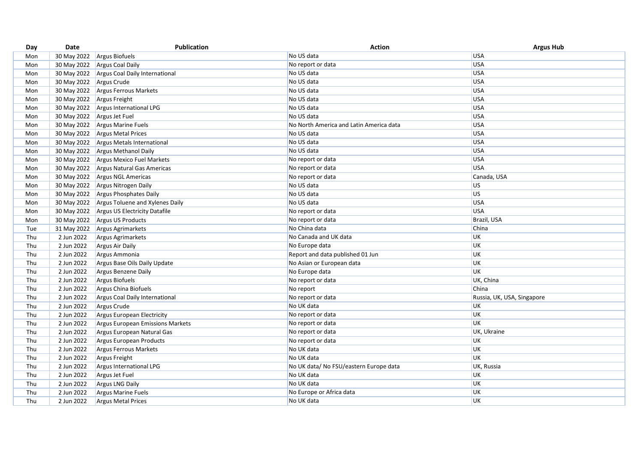| Day | Date                       | Publication                                 | <b>Action</b>                           | <b>Argus Hub</b>           |
|-----|----------------------------|---------------------------------------------|-----------------------------------------|----------------------------|
| Mon |                            | 30 May 2022 Argus Biofuels                  | No US data                              | <b>USA</b>                 |
| Mon |                            | 30 May 2022 Argus Coal Daily                | No report or data                       | <b>USA</b>                 |
| Mon |                            | 30 May 2022 Argus Coal Daily International  | No US data                              | <b>USA</b>                 |
| Mon | 30 May 2022 Argus Crude    |                                             | No US data                              | USA                        |
| Mon |                            | 30 May 2022 Argus Ferrous Markets           | No US data                              | USA                        |
| Mon | 30 May 2022 Argus Freight  |                                             | No US data                              | <b>USA</b>                 |
| Mon |                            | 30 May 2022 Argus International LPG         | No US data                              | <b>USA</b>                 |
| Mon | 30 May 2022 Argus Jet Fuel |                                             | No US data                              | <b>USA</b>                 |
| Mon |                            | 30 May 2022 Argus Marine Fuels              | No North America and Latin America data | <b>USA</b>                 |
| Mon |                            | 30 May 2022 Argus Metal Prices              | No US data                              | <b>USA</b>                 |
| Mon |                            | 30 May 2022 Argus Metals International      | No US data                              | USA                        |
| Mon |                            | 30 May 2022 Argus Methanol Daily            | No US data                              | <b>USA</b>                 |
| Mon |                            | 30 May 2022 Argus Mexico Fuel Markets       | No report or data                       | <b>USA</b>                 |
| Mon |                            | 30 May 2022 Argus Natural Gas Americas      | No report or data                       | USA                        |
| Mon |                            | 30 May 2022 Argus NGL Americas              | No report or data                       | Canada, USA                |
| Mon |                            | 30 May 2022 Argus Nitrogen Daily            | No US data                              | <b>US</b>                  |
| Mon |                            | 30 May 2022 Argus Phosphates Daily          | No US data                              | lus.                       |
| Mon |                            | 30 May 2022 Argus Toluene and Xylenes Daily | No US data                              | USA                        |
| Mon |                            | 30 May 2022 Argus US Electricity Datafile   | No report or data                       | <b>USA</b>                 |
| Mon |                            | 30 May 2022 Argus US Products               | No report or data                       | Brazil, USA                |
| Tue |                            | 31 May 2022 Argus Agrimarkets               | No China data                           | China                      |
| Thu | 2 Jun 2022                 | Argus Agrimarkets                           | No Canada and UK data                   | UK                         |
| Thu | 2 Jun 2022                 | Argus Air Daily                             | No Europe data                          | UK                         |
| Thu | 2 Jun 2022                 | Argus Ammonia                               | Report and data published 01 Jun        | UK                         |
| Thu | 2 Jun 2022                 | Argus Base Oils Daily Update                | No Asian or European data               | UK                         |
| Thu | 2 Jun 2022                 | Argus Benzene Daily                         | No Europe data                          | <b>UK</b>                  |
| Thu | 2 Jun 2022                 | Argus Biofuels                              | No report or data                       | UK, China                  |
| Thu | 2 Jun 2022                 | Argus China Biofuels                        | No report                               | China                      |
| Thu | 2 Jun 2022                 | <b>Argus Coal Daily International</b>       | No report or data                       | Russia, UK, USA, Singapore |
| Thu | 2 Jun 2022                 | Argus Crude                                 | No UK data                              | UK                         |
| Thu | 2 Jun 2022                 | Argus European Electricity                  | No report or data                       | <b>UK</b>                  |
| Thu | 2 Jun 2022                 | <b>Argus European Emissions Markets</b>     | No report or data                       | UK                         |
| Thu | 2 Jun 2022                 | Argus European Natural Gas                  | No report or data                       | UK, Ukraine                |
| Thu | 2 Jun 2022                 | Argus European Products                     | No report or data                       | UK                         |
| Thu | 2 Jun 2022                 | Argus Ferrous Markets                       | No UK data                              | UK                         |
| Thu | 2 Jun 2022                 | Argus Freight                               | No UK data                              | <b>UK</b>                  |
| Thu | 2 Jun 2022                 | Argus International LPG                     | No UK data/ No FSU/eastern Europe data  | UK, Russia                 |
| Thu | 2 Jun 2022                 | Argus Jet Fuel                              | No UK data                              | <b>UK</b>                  |
| Thu | 2 Jun 2022                 | <b>Argus LNG Daily</b>                      | No UK data                              | UK                         |
| Thu | 2 Jun 2022                 | <b>Argus Marine Fuels</b>                   | No Europe or Africa data                | UK                         |
| Thu | 2 Jun 2022                 | <b>Argus Metal Prices</b>                   | No UK data                              | UK                         |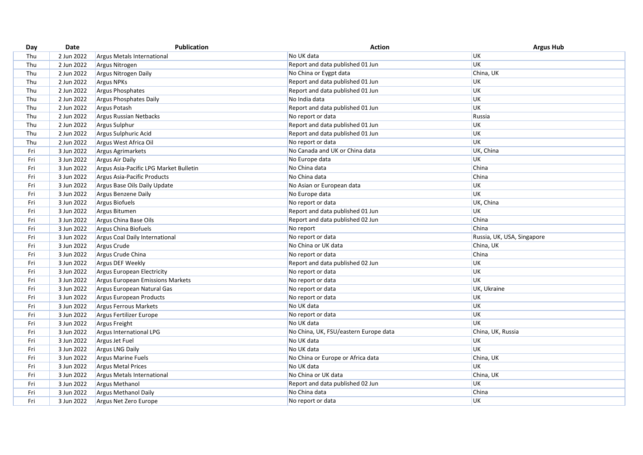| Day | Date       | <b>Publication</b>                     | <b>Action</b>                         | <b>Argus Hub</b>           |
|-----|------------|----------------------------------------|---------------------------------------|----------------------------|
| Thu | 2 Jun 2022 | <b>Argus Metals International</b>      | No UK data                            | <b>UK</b>                  |
| Thu | 2 Jun 2022 | Argus Nitrogen                         | Report and data published 01 Jun      | <b>UK</b>                  |
| Thu | 2 Jun 2022 | Argus Nitrogen Daily                   | No China or Eygpt data                | China, UK                  |
| Thu | 2 Jun 2022 | <b>Argus NPKs</b>                      | Report and data published 01 Jun      | UK                         |
| Thu | 2 Jun 2022 | <b>Argus Phosphates</b>                | Report and data published 01 Jun      | UK                         |
| Thu | 2 Jun 2022 | Argus Phosphates Daily                 | No India data                         | UK                         |
| Thu | 2 Jun 2022 | Argus Potash                           | Report and data published 01 Jun      | UK                         |
| Thu | 2 Jun 2022 | Argus Russian Netbacks                 | No report or data                     | Russia                     |
| Thu | 2 Jun 2022 | Argus Sulphur                          | Report and data published 01 Jun      | UK                         |
| Thu | 2 Jun 2022 | Argus Sulphuric Acid                   | Report and data published 01 Jun      | UK                         |
| Thu | 2 Jun 2022 | Argus West Africa Oil                  | No report or data                     | <b>UK</b>                  |
| Fri | 3 Jun 2022 | Argus Agrimarkets                      | No Canada and UK or China data        | UK, China                  |
| Fri | 3 Jun 2022 | Argus Air Daily                        | No Europe data                        | UK                         |
| Fri | 3 Jun 2022 | Argus Asia-Pacific LPG Market Bulletin | No China data                         | China                      |
| Fri | 3 Jun 2022 | Argus Asia-Pacific Products            | No China data                         | China                      |
| Fri | 3 Jun 2022 | Argus Base Oils Daily Update           | No Asian or European data             | UK                         |
| Fri | 3 Jun 2022 | Argus Benzene Daily                    | No Europe data                        | UK                         |
| Fri | 3 Jun 2022 | Argus Biofuels                         | No report or data                     | UK, China                  |
| Fri | 3 Jun 2022 | Argus Bitumen                          | Report and data published 01 Jun      | UK                         |
| Fri | 3 Jun 2022 | Argus China Base Oils                  | Report and data published 02 Jun      | China                      |
| Fri | 3 Jun 2022 | Argus China Biofuels                   | No report                             | China                      |
| Fri | 3 Jun 2022 | Argus Coal Daily International         | No report or data                     | Russia, UK, USA, Singapore |
| Fri | 3 Jun 2022 | Argus Crude                            | No China or UK data                   | China, UK                  |
| Fri | 3 Jun 2022 | Argus Crude China                      | No report or data                     | China                      |
| Fri | 3 Jun 2022 | Argus DEF Weekly                       | Report and data published 02 Jun      | UK                         |
| Fri | 3 Jun 2022 | Argus European Electricity             | No report or data                     | UK                         |
| Fri | 3 Jun 2022 | Argus European Emissions Markets       | No report or data                     | UK                         |
| Fri | 3 Jun 2022 | Argus European Natural Gas             | No report or data                     | UK, Ukraine                |
| Fri | 3 Jun 2022 | Argus European Products                | No report or data                     | UK                         |
| Fri | 3 Jun 2022 | <b>Argus Ferrous Markets</b>           | No UK data                            | UK                         |
| Fri | 3 Jun 2022 | Argus Fertilizer Europe                | No report or data                     | UK                         |
| Fri | 3 Jun 2022 | Argus Freight                          | No UK data                            | UK                         |
| Fri | 3 Jun 2022 | Argus International LPG                | No China, UK, FSU/eastern Europe data | China, UK, Russia          |
| Fri | 3 Jun 2022 | Argus Jet Fuel                         | No UK data                            | UK                         |
| Fri | 3 Jun 2022 | <b>Argus LNG Daily</b>                 | No UK data                            | UK                         |
| Fri | 3 Jun 2022 | <b>Argus Marine Fuels</b>              | No China or Europe or Africa data     | China, UK                  |
| Fri | 3 Jun 2022 | <b>Argus Metal Prices</b>              | No UK data                            | UK                         |
| Fri | 3 Jun 2022 | <b>Argus Metals International</b>      | No China or UK data                   | China, UK                  |
| Fri | 3 Jun 2022 | Argus Methanol                         | Report and data published 02 Jun      | UK                         |
| Fri | 3 Jun 2022 | Argus Methanol Daily                   | No China data                         | China                      |
| Fri | 3 Jun 2022 | Argus Net Zero Europe                  | No report or data                     | UK                         |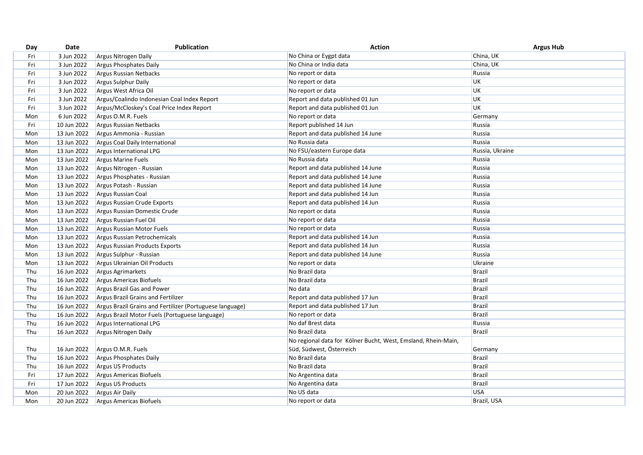| Day | Date        | <b>Publication</b>                                       | <b>Action</b>                                                 | <b>Argus Hub</b> |
|-----|-------------|----------------------------------------------------------|---------------------------------------------------------------|------------------|
| Fri | 3 Jun 2022  | Argus Nitrogen Daily                                     | No China or Eygpt data                                        | China, UK        |
| Fri | 3 Jun 2022  | <b>Argus Phosphates Daily</b>                            | No China or India data                                        | China, UK        |
| Fri | 3 Jun 2022  | <b>Argus Russian Netbacks</b>                            | No report or data                                             | Russia           |
| Fri | 3 Jun 2022  | Argus Sulphur Daily                                      | No report or data                                             | UK               |
| Fri | 3 Jun 2022  | Argus West Africa Oil                                    | No report or data                                             | <b>UK</b>        |
| Fri | 3 Jun 2022  | Argus/Coalindo Indonesian Coal Index Report              | Report and data published 01 Jun                              | UK               |
| Fri | 3 Jun 2022  | Argus/McCloskey's Coal Price Index Report                | Report and data published 01 Jun                              | UK               |
| Mon | 6 Jun 2022  | Argus O.M.R. Fuels                                       | No report or data                                             | Germany          |
| Fri | 10 Jun 2022 | Argus Russian Netbacks                                   | Report published 14 Jun                                       | Russia           |
| Mon | 13 Jun 2022 | Argus Ammonia - Russian                                  | Report and data published 14 June                             | Russia           |
| Mon | 13 Jun 2022 | Argus Coal Daily International                           | No Russia data                                                | Russia           |
| Mon | 13 Jun 2022 | Argus International LPG                                  | No FSU/eastern Europe data                                    | Russia, Ukraine  |
| Mon | 13 Jun 2022 | Argus Marine Fuels                                       | No Russia data                                                | Russia           |
| Mon | 13 Jun 2022 | Argus Nitrogen - Russian                                 | Report and data published 14 June                             | Russia           |
| Mon | 13 Jun 2022 | Argus Phosphates - Russian                               | Report and data published 14 June                             | Russia           |
| Mon | 13 Jun 2022 | Argus Potash - Russian                                   | Report and data published 14 June                             | Russia           |
| Mon | 13 Jun 2022 | Argus Russian Coal                                       | Report and data published 14 Jun                              | Russia           |
| Mon | 13 Jun 2022 | Argus Russian Crude Exports                              | Report and data published 14 Jun                              | Russia           |
| Mon | 13 Jun 2022 | Argus Russian Domestic Crude                             | No report or data                                             | Russia           |
| Mon | 13 Jun 2022 | Argus Russian Fuel Oil                                   | No report or data                                             | Russia           |
| Mon | 13 Jun 2022 | <b>Argus Russian Motor Fuels</b>                         | No report or data                                             | Russia           |
| Mon | 13 Jun 2022 | Argus Russian Petrochemicals                             | Report and data published 14 Jun                              | Russia           |
| Mon | 13 Jun 2022 | Argus Russian Products Exports                           | Report and data published 14 Jun                              | Russia           |
| Mon | 13 Jun 2022 | Argus Sulphur - Russian                                  | Report and data published 14 June                             | Russia           |
| Mon | 13 Jun 2022 | Argus Ukrainian Oil Products                             | No report or data                                             | Ukraine          |
| Thu | 16 Jun 2022 | <b>Argus Agrimarkets</b>                                 | No Brazil data                                                | Brazil           |
| Thu | 16 Jun 2022 | Argus Americas Biofuels                                  | No Brazil data                                                | Brazil           |
| Thu | 16 Jun 2022 | Argus Brazil Gas and Power                               | No data                                                       | <b>Brazil</b>    |
| Thu | 16 Jun 2022 | <b>Argus Brazil Grains and Fertilizer</b>                | Report and data published 17 Jun                              | <b>Brazil</b>    |
| Thu | 16 Jun 2022 | Argus Brazil Grains and Fertilizer (Portuguese language) | Report and data published 17 Jun                              | <b>Brazil</b>    |
| Thu | 16 Jun 2022 | Argus Brazil Motor Fuels (Portuguese language)           | No report or data                                             | Brazil           |
| Thu | 16 Jun 2022 | Argus International LPG                                  | No daf Brest data                                             | Russia           |
| Thu | 16 Jun 2022 | Argus Nitrogen Daily                                     | No Brazil data                                                | <b>Brazil</b>    |
|     |             |                                                          | No regional data for Kölner Bucht, West, Emsland, Rhein-Main, |                  |
| Thu | 16 Jun 2022 | Argus O.M.R. Fuels                                       | Süd, Südwest, Österreich                                      | Germany          |
| Thu | 16 Jun 2022 | Argus Phosphates Daily                                   | No Brazil data                                                | <b>Brazil</b>    |
| Thu | 16 Jun 2022 | Argus US Products                                        | No Brazil data                                                | <b>Brazil</b>    |
| Fri | 17 Jun 2022 | Argus Americas Biofuels                                  | No Argentina data                                             | <b>Brazil</b>    |
| Fri | 17 Jun 2022 | Argus US Products                                        | No Argentina data                                             | <b>Brazil</b>    |
| Mon | 20 Jun 2022 | Argus Air Daily                                          | No US data                                                    | <b>USA</b>       |
| Mon | 20 Jun 2022 | Argus Americas Biofuels                                  | No report or data                                             | Brazil, USA      |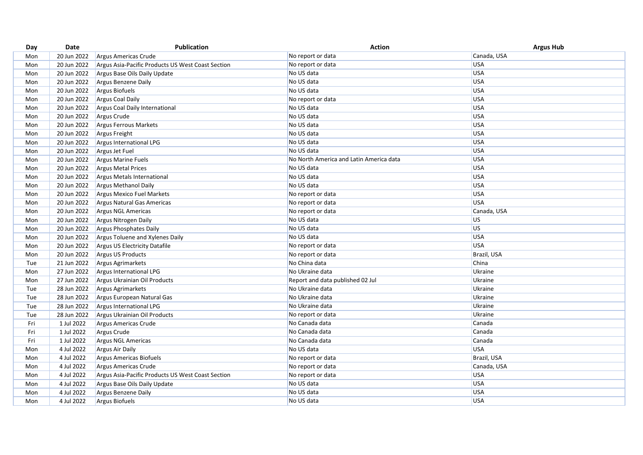| Day | Date        | Publication                                       | <b>Action</b>                           | <b>Argus Hub</b> |
|-----|-------------|---------------------------------------------------|-----------------------------------------|------------------|
| Mon | 20 Jun 2022 | Argus Americas Crude                              | No report or data                       | Canada, USA      |
| Mon | 20 Jun 2022 | Argus Asia-Pacific Products US West Coast Section | No report or data                       | <b>USA</b>       |
| Mon | 20 Jun 2022 | Argus Base Oils Daily Update                      | No US data                              | USA              |
| Mon | 20 Jun 2022 | Argus Benzene Daily                               | No US data                              | USA              |
| Mon | 20 Jun 2022 | Argus Biofuels                                    | No US data                              | <b>USA</b>       |
| Mon | 20 Jun 2022 | <b>Argus Coal Daily</b>                           | No report or data                       | <b>USA</b>       |
| Mon | 20 Jun 2022 | <b>Argus Coal Daily International</b>             | No US data                              | <b>USA</b>       |
| Mon | 20 Jun 2022 | Argus Crude                                       | No US data                              | USA              |
| Mon | 20 Jun 2022 | Argus Ferrous Markets                             | No US data                              | USA              |
| Mon | 20 Jun 2022 | Argus Freight                                     | No US data                              | <b>USA</b>       |
| Mon | 20 Jun 2022 | Argus International LPG                           | No US data                              | USA              |
| Mon | 20 Jun 2022 | Argus Jet Fuel                                    | No US data                              | <b>USA</b>       |
| Mon | 20 Jun 2022 | <b>Argus Marine Fuels</b>                         | No North America and Latin America data | USA              |
| Mon | 20 Jun 2022 | <b>Argus Metal Prices</b>                         | No US data                              | <b>USA</b>       |
| Mon | 20 Jun 2022 | Argus Metals International                        | No US data                              | <b>USA</b>       |
| Mon | 20 Jun 2022 | <b>Argus Methanol Daily</b>                       | No US data                              | <b>USA</b>       |
| Mon | 20 Jun 2022 | <b>Argus Mexico Fuel Markets</b>                  | No report or data                       | USA              |
| Mon | 20 Jun 2022 | Argus Natural Gas Americas                        | No report or data                       | <b>USA</b>       |
| Mon | 20 Jun 2022 | <b>Argus NGL Americas</b>                         | No report or data                       | Canada, USA      |
| Mon | 20 Jun 2022 | Argus Nitrogen Daily                              | No US data                              | <b>US</b>        |
| Mon | 20 Jun 2022 | Argus Phosphates Daily                            | No US data                              | <b>US</b>        |
| Mon | 20 Jun 2022 | Argus Toluene and Xylenes Daily                   | No US data                              | <b>USA</b>       |
| Mon | 20 Jun 2022 | <b>Argus US Electricity Datafile</b>              | No report or data                       | <b>USA</b>       |
| Mon | 20 Jun 2022 | <b>Argus US Products</b>                          | No report or data                       | Brazil, USA      |
| Tue | 21 Jun 2022 | <b>Argus Agrimarkets</b>                          | No China data                           | China            |
| Mon | 27 Jun 2022 | Argus International LPG                           | No Ukraine data                         | Ukraine          |
| Mon | 27 Jun 2022 | Argus Ukrainian Oil Products                      | Report and data published 02 Jul        | Ukraine          |
| Tue | 28 Jun 2022 | Argus Agrimarkets                                 | No Ukraine data                         | Ukraine          |
| Tue | 28 Jun 2022 | Argus European Natural Gas                        | No Ukraine data                         | Ukraine          |
| Tue | 28 Jun 2022 | Argus International LPG                           | No Ukraine data                         | Ukraine          |
| Tue | 28 Jun 2022 | Argus Ukrainian Oil Products                      | No report or data                       | Ukraine          |
| Fri | 1 Jul 2022  | Argus Americas Crude                              | No Canada data                          | Canada           |
| Fri | 1 Jul 2022  | Argus Crude                                       | No Canada data                          | Canada           |
| Fri | 1 Jul 2022  | Argus NGL Americas                                | No Canada data                          | Canada           |
| Mon | 4 Jul 2022  | Argus Air Daily                                   | No US data                              | <b>USA</b>       |
| Mon | 4 Jul 2022  | Argus Americas Biofuels                           | No report or data                       | Brazil, USA      |
| Mon | 4 Jul 2022  | Argus Americas Crude                              | No report or data                       | Canada, USA      |
| Mon | 4 Jul 2022  | Argus Asia-Pacific Products US West Coast Section | No report or data                       | <b>USA</b>       |
| Mon | 4 Jul 2022  | Argus Base Oils Daily Update                      | No US data                              | USA              |
| Mon | 4 Jul 2022  | <b>Argus Benzene Daily</b>                        | No US data                              | <b>USA</b>       |
| Mon | 4 Jul 2022  | <b>Argus Biofuels</b>                             | No US data                              | USA              |
|     |             |                                                   |                                         |                  |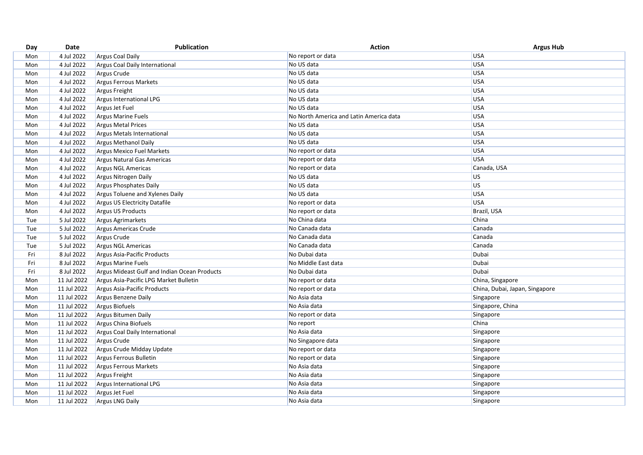| Day | Date        | Publication                                  | <b>Action</b>                           | <b>Argus Hub</b>               |
|-----|-------------|----------------------------------------------|-----------------------------------------|--------------------------------|
| Mon | 4 Jul 2022  | <b>Argus Coal Daily</b>                      | No report or data                       | USA                            |
| Mon | 4 Jul 2022  | Argus Coal Daily International               | No US data                              | USA                            |
| Mon | 4 Jul 2022  | Argus Crude                                  | No US data                              | USA                            |
| Mon | 4 Jul 2022  | Argus Ferrous Markets                        | No US data                              | USA                            |
| Mon | 4 Jul 2022  | Argus Freight                                | No US data                              | USA                            |
| Mon | 4 Jul 2022  | Argus International LPG                      | No US data                              | USA                            |
| Mon | 4 Jul 2022  | Argus Jet Fuel                               | No US data                              | USA                            |
| Mon | 4 Jul 2022  | <b>Argus Marine Fuels</b>                    | No North America and Latin America data | USA                            |
| Mon | 4 Jul 2022  | <b>Argus Metal Prices</b>                    | No US data                              | USA                            |
| Mon | 4 Jul 2022  | Argus Metals International                   | No US data                              | USA                            |
| Mon | 4 Jul 2022  | <b>Argus Methanol Daily</b>                  | No US data                              | USA                            |
| Mon | 4 Jul 2022  | Argus Mexico Fuel Markets                    | No report or data                       | USA                            |
| Mon | 4 Jul 2022  | Argus Natural Gas Americas                   | No report or data                       | USA                            |
| Mon | 4 Jul 2022  | Argus NGL Americas                           | No report or data                       | Canada, USA                    |
| Mon | 4 Jul 2022  | Argus Nitrogen Daily                         | No US data                              | <b>US</b>                      |
| Mon | 4 Jul 2022  | Argus Phosphates Daily                       | No US data                              | lus                            |
| Mon | 4 Jul 2022  | Argus Toluene and Xylenes Daily              | No US data                              | USA                            |
| Mon | 4 Jul 2022  | Argus US Electricity Datafile                | No report or data                       | USA                            |
| Mon | 4 Jul 2022  | <b>Argus US Products</b>                     | No report or data                       | Brazil, USA                    |
| Tue | 5 Jul 2022  | Argus Agrimarkets                            | No China data                           | China                          |
| Tue | 5 Jul 2022  | Argus Americas Crude                         | No Canada data                          | Canada                         |
| Tue | 5 Jul 2022  | Argus Crude                                  | No Canada data                          | Canada                         |
| Tue | 5 Jul 2022  | Argus NGL Americas                           | No Canada data                          | Canada                         |
| Fri | 8 Jul 2022  | Argus Asia-Pacific Products                  | No Dubai data                           | Dubai                          |
| Fri | 8 Jul 2022  | <b>Argus Marine Fuels</b>                    | No Middle East data                     | Dubai                          |
| Fri | 8 Jul 2022  | Argus Mideast Gulf and Indian Ocean Products | No Dubai data                           | Dubai                          |
| Mon | 11 Jul 2022 | Argus Asia-Pacific LPG Market Bulletin       | No report or data                       | China, Singapore               |
| Mon | 11 Jul 2022 | Argus Asia-Pacific Products                  | No report or data                       | China, Dubai, Japan, Singapore |
| Mon | 11 Jul 2022 | Argus Benzene Daily                          | No Asia data                            | Singapore                      |
| Mon | 11 Jul 2022 | Argus Biofuels                               | No Asia data                            | Singapore, China               |
| Mon | 11 Jul 2022 | <b>Argus Bitumen Daily</b>                   | No report or data                       | Singapore                      |
| Mon | 11 Jul 2022 | Argus China Biofuels                         | No report                               | China                          |
| Mon | 11 Jul 2022 | Argus Coal Daily International               | No Asia data                            | Singapore                      |
| Mon | 11 Jul 2022 | Argus Crude                                  | No Singapore data                       | Singapore                      |
| Mon | 11 Jul 2022 | Argus Crude Midday Update                    | No report or data                       | Singapore                      |
| Mon | 11 Jul 2022 | Argus Ferrous Bulletin                       | No report or data                       | Singapore                      |
| Mon | 11 Jul 2022 | Argus Ferrous Markets                        | No Asia data                            | Singapore                      |
| Mon | 11 Jul 2022 | Argus Freight                                | No Asia data                            | Singapore                      |
| Mon | 11 Jul 2022 | Argus International LPG                      | No Asia data                            | Singapore                      |
| Mon | 11 Jul 2022 | Argus Jet Fuel                               | No Asia data                            | Singapore                      |
| Mon | 11 Jul 2022 | <b>Argus LNG Daily</b>                       | No Asia data                            | Singapore                      |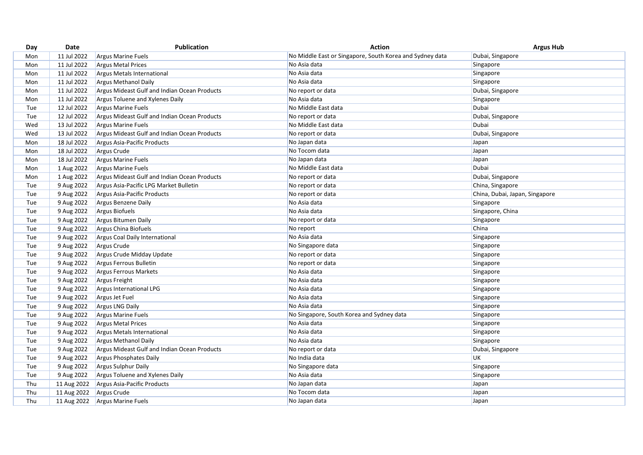| Day | Date        | Publication                                  | <b>Action</b>                                            | <b>Argus Hub</b>               |
|-----|-------------|----------------------------------------------|----------------------------------------------------------|--------------------------------|
| Mon | 11 Jul 2022 | <b>Argus Marine Fuels</b>                    | No Middle East or Singapore, South Korea and Sydney data | Dubai, Singapore               |
| Mon | 11 Jul 2022 | <b>Argus Metal Prices</b>                    | No Asia data                                             | Singapore                      |
| Mon | 11 Jul 2022 | Argus Metals International                   | No Asia data                                             | Singapore                      |
| Mon | 11 Jul 2022 | Argus Methanol Daily                         | No Asia data                                             | Singapore                      |
| Mon | 11 Jul 2022 | Argus Mideast Gulf and Indian Ocean Products | No report or data                                        | Dubai, Singapore               |
| Mon | 11 Jul 2022 | Argus Toluene and Xylenes Daily              | No Asia data                                             | Singapore                      |
| Tue | 12 Jul 2022 | <b>Argus Marine Fuels</b>                    | No Middle East data                                      | Dubai                          |
| Tue | 12 Jul 2022 | Argus Mideast Gulf and Indian Ocean Products | No report or data                                        | Dubai, Singapore               |
| Wed | 13 Jul 2022 | <b>Argus Marine Fuels</b>                    | No Middle East data                                      | Dubai                          |
| Wed | 13 Jul 2022 | Argus Mideast Gulf and Indian Ocean Products | No report or data                                        | Dubai, Singapore               |
| Mon | 18 Jul 2022 | Argus Asia-Pacific Products                  | No Japan data                                            | Japan                          |
| Mon | 18 Jul 2022 | Argus Crude                                  | No Tocom data                                            | Japan                          |
| Mon | 18 Jul 2022 | <b>Argus Marine Fuels</b>                    | No Japan data                                            | Japan                          |
| Mon | 1 Aug 2022  | <b>Argus Marine Fuels</b>                    | No Middle East data                                      | Dubai                          |
| Mon | 1 Aug 2022  | Argus Mideast Gulf and Indian Ocean Products | No report or data                                        | Dubai, Singapore               |
| Tue | 9 Aug 2022  | Argus Asia-Pacific LPG Market Bulletin       | No report or data                                        | China, Singapore               |
| Tue | 9 Aug 2022  | Argus Asia-Pacific Products                  | No report or data                                        | China, Dubai, Japan, Singapore |
| Tue | 9 Aug 2022  | Argus Benzene Daily                          | No Asia data                                             | Singapore                      |
| Tue | 9 Aug 2022  | Argus Biofuels                               | No Asia data                                             | Singapore, China               |
| Tue | 9 Aug 2022  | <b>Argus Bitumen Daily</b>                   | No report or data                                        | Singapore                      |
| Tue | 9 Aug 2022  | Argus China Biofuels                         | No report                                                | China                          |
| Tue | 9 Aug 2022  | Argus Coal Daily International               | No Asia data                                             | Singapore                      |
| Tue | 9 Aug 2022  | Argus Crude                                  | No Singapore data                                        | Singapore                      |
| Tue | 9 Aug 2022  | Argus Crude Midday Update                    | No report or data                                        | Singapore                      |
| Tue | 9 Aug 2022  | Argus Ferrous Bulletin                       | No report or data                                        | Singapore                      |
| Tue | 9 Aug 2022  | <b>Argus Ferrous Markets</b>                 | No Asia data                                             | Singapore                      |
| Tue | 9 Aug 2022  | Argus Freight                                | No Asia data                                             | Singapore                      |
| Tue | 9 Aug 2022  | <b>Argus International LPG</b>               | No Asia data                                             | Singapore                      |
| Tue | 9 Aug 2022  | Argus Jet Fuel                               | No Asia data                                             | Singapore                      |
| Tue | 9 Aug 2022  | <b>Argus LNG Daily</b>                       | No Asia data                                             | Singapore                      |
| Tue | 9 Aug 2022  | <b>Argus Marine Fuels</b>                    | No Singapore, South Korea and Sydney data                | Singapore                      |
| Tue | 9 Aug 2022  | <b>Argus Metal Prices</b>                    | No Asia data                                             | Singapore                      |
| Tue | 9 Aug 2022  | Argus Metals International                   | No Asia data                                             | Singapore                      |
| Tue | 9 Aug 2022  | <b>Argus Methanol Daily</b>                  | No Asia data                                             | Singapore                      |
| Tue | 9 Aug 2022  | Argus Mideast Gulf and Indian Ocean Products | No report or data                                        | Dubai, Singapore               |
| Tue | 9 Aug 2022  | <b>Argus Phosphates Daily</b>                | No India data                                            | <b>UK</b>                      |
| Tue | 9 Aug 2022  | <b>Argus Sulphur Daily</b>                   | No Singapore data                                        | Singapore                      |
| Tue | 9 Aug 2022  | Argus Toluene and Xylenes Daily              | No Asia data                                             | Singapore                      |
| Thu | 11 Aug 2022 | Argus Asia-Pacific Products                  | No Japan data                                            | Japan                          |
| Thu | 11 Aug 2022 | Argus Crude                                  | No Tocom data                                            | Japan                          |
| Thu | 11 Aug 2022 | Argus Marine Fuels                           | No Japan data                                            | Japan                          |
|     |             |                                              |                                                          |                                |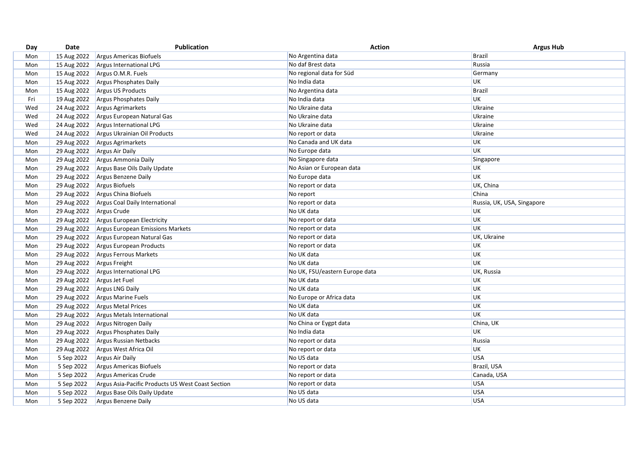| Day | Date        | <b>Publication</b>                                | <b>Action</b>                  | <b>Argus Hub</b>           |
|-----|-------------|---------------------------------------------------|--------------------------------|----------------------------|
| Mon | 15 Aug 2022 | Argus Americas Biofuels                           | No Argentina data              | <b>Brazil</b>              |
| Mon | 15 Aug 2022 | Argus International LPG                           | No daf Brest data              | Russia                     |
| Mon | 15 Aug 2022 | Argus O.M.R. Fuels                                | No regional data for Süd       | Germany                    |
| Mon | 15 Aug 2022 | Argus Phosphates Daily                            | No India data                  | UK                         |
| Mon | 15 Aug 2022 | Argus US Products                                 | No Argentina data              | <b>Brazil</b>              |
| Fri | 19 Aug 2022 | Argus Phosphates Daily                            | No India data                  | UK                         |
| Wed | 24 Aug 2022 | Argus Agrimarkets                                 | No Ukraine data                | Ukraine                    |
| Wed | 24 Aug 2022 | Argus European Natural Gas                        | No Ukraine data                | Ukraine                    |
| Wed | 24 Aug 2022 | Argus International LPG                           | No Ukraine data                | Ukraine                    |
| Wed | 24 Aug 2022 | Argus Ukrainian Oil Products                      | No report or data              | Ukraine                    |
| Mon | 29 Aug 2022 | Argus Agrimarkets                                 | No Canada and UK data          | UK                         |
| Mon | 29 Aug 2022 | Argus Air Daily                                   | No Europe data                 | UK                         |
| Mon | 29 Aug 2022 | Argus Ammonia Daily                               | No Singapore data              | Singapore                  |
| Mon | 29 Aug 2022 | Argus Base Oils Daily Update                      | No Asian or European data      | UK                         |
| Mon | 29 Aug 2022 | Argus Benzene Daily                               | No Europe data                 | UK                         |
| Mon | 29 Aug 2022 | Argus Biofuels                                    | No report or data              | UK, China                  |
| Mon | 29 Aug 2022 | Argus China Biofuels                              | No report                      | China                      |
| Mon | 29 Aug 2022 | Argus Coal Daily International                    | No report or data              | Russia, UK, USA, Singapore |
| Mon | 29 Aug 2022 | Argus Crude                                       | No UK data                     | UK                         |
| Mon | 29 Aug 2022 | Argus European Electricity                        | No report or data              | UK                         |
| Mon | 29 Aug 2022 | Argus European Emissions Markets                  | No report or data              | UK                         |
| Mon | 29 Aug 2022 | Argus European Natural Gas                        | No report or data              | UK, Ukraine                |
| Mon | 29 Aug 2022 | Argus European Products                           | No report or data              | UK                         |
| Mon | 29 Aug 2022 | <b>Argus Ferrous Markets</b>                      | No UK data                     | UK                         |
| Mon | 29 Aug 2022 | Argus Freight                                     | No UK data                     | UK                         |
| Mon | 29 Aug 2022 | Argus International LPG                           | No UK, FSU/eastern Europe data | UK, Russia                 |
| Mon | 29 Aug 2022 | Argus Jet Fuel                                    | No UK data                     | UK                         |
| Mon | 29 Aug 2022 | <b>Argus LNG Daily</b>                            | No UK data                     | UK                         |
| Mon | 29 Aug 2022 | Argus Marine Fuels                                | No Europe or Africa data       | UK                         |
| Mon | 29 Aug 2022 | <b>Argus Metal Prices</b>                         | No UK data                     | <b>UK</b>                  |
| Mon | 29 Aug 2022 | Argus Metals International                        | No UK data                     | UK                         |
| Mon | 29 Aug 2022 | Argus Nitrogen Daily                              | No China or Eygpt data         | China, UK                  |
| Mon | 29 Aug 2022 | Argus Phosphates Daily                            | No India data                  | UK                         |
| Mon | 29 Aug 2022 | Argus Russian Netbacks                            | No report or data              | Russia                     |
| Mon | 29 Aug 2022 | Argus West Africa Oil                             | No report or data              | UK                         |
| Mon | 5 Sep 2022  | Argus Air Daily                                   | No US data                     | <b>USA</b>                 |
| Mon | 5 Sep 2022  | Argus Americas Biofuels                           | No report or data              | Brazil, USA                |
| Mon | 5 Sep 2022  | Argus Americas Crude                              | No report or data              | Canada, USA                |
| Mon | 5 Sep 2022  | Argus Asia-Pacific Products US West Coast Section | No report or data              | USA                        |
| Mon | 5 Sep 2022  | Argus Base Oils Daily Update                      | No US data                     | USA                        |
| Mon | 5 Sep 2022  | Argus Benzene Daily                               | No US data                     | USA                        |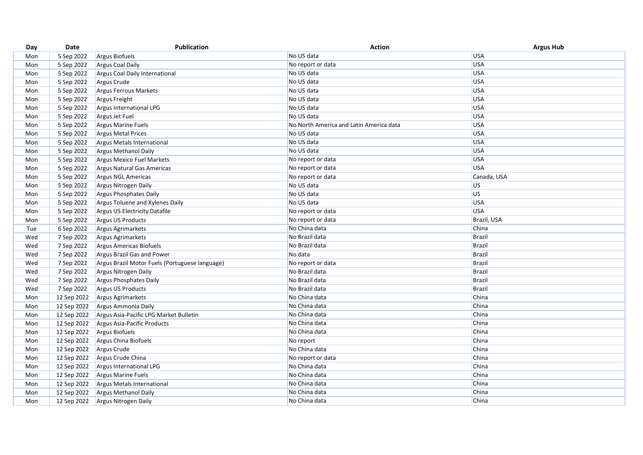| Day | Date        | Publication                                    | <b>Action</b>                           | <b>Argus Hub</b> |
|-----|-------------|------------------------------------------------|-----------------------------------------|------------------|
| Mon | 5 Sep 2022  | Argus Biofuels                                 | No US data                              | <b>USA</b>       |
| Mon | 5 Sep 2022  | <b>Argus Coal Daily</b>                        | No report or data                       | USA              |
| Mon | 5 Sep 2022  | Argus Coal Daily International                 | No US data                              | USA              |
| Mon | 5 Sep 2022  | Argus Crude                                    | No US data                              | USA              |
| Mon | 5 Sep 2022  | Argus Ferrous Markets                          | No US data                              | USA              |
| Mon | 5 Sep 2022  | Argus Freight                                  | No US data                              | USA              |
| Mon | 5 Sep 2022  | <b>Argus International LPG</b>                 | No US data                              | USA              |
| Mon | 5 Sep 2022  | Argus Jet Fuel                                 | No US data                              | USA              |
| Mon | 5 Sep 2022  | <b>Argus Marine Fuels</b>                      | No North America and Latin America data | USA              |
| Mon | 5 Sep 2022  | <b>Argus Metal Prices</b>                      | No US data                              | USA              |
| Mon | 5 Sep 2022  | Argus Metals International                     | No US data                              | USA              |
| Mon | 5 Sep 2022  | <b>Argus Methanol Daily</b>                    | No US data                              | USA              |
| Mon | 5 Sep 2022  | Argus Mexico Fuel Markets                      | No report or data                       | USA              |
| Mon | 5 Sep 2022  | <b>Argus Natural Gas Americas</b>              | No report or data                       | USA              |
| Mon | 5 Sep 2022  | Argus NGL Americas                             | No report or data                       | Canada, USA      |
| Mon | 5 Sep 2022  | Argus Nitrogen Daily                           | No US data                              | <b>US</b>        |
| Mon | 5 Sep 2022  | Argus Phosphates Daily                         | No US data                              | US.              |
| Mon | 5 Sep 2022  | Argus Toluene and Xylenes Daily                | No US data                              | USA              |
| Mon | 5 Sep 2022  | <b>Argus US Electricity Datafile</b>           | No report or data                       | USA              |
| Mon | 5 Sep 2022  | Argus US Products                              | No report or data                       | Brazil, USA      |
| Tue | 6 Sep 2022  | <b>Argus Agrimarkets</b>                       | No China data                           | China            |
| Wed | 7 Sep 2022  | Argus Agrimarkets                              | No Brazil data                          | <b>Brazil</b>    |
| Wed | 7 Sep 2022  | Argus Americas Biofuels                        | No Brazil data                          | <b>Brazil</b>    |
| Wed | 7 Sep 2022  | Argus Brazil Gas and Power                     | No data                                 | <b>Brazil</b>    |
| Wed | 7 Sep 2022  | Argus Brazil Motor Fuels (Portuguese language) | No report or data                       | Brazil           |
| Wed | 7 Sep 2022  | Argus Nitrogen Daily                           | No Brazil data                          | <b>Brazil</b>    |
| Wed | 7 Sep 2022  | Argus Phosphates Daily                         | No Brazil data                          | <b>Brazil</b>    |
| Wed | 7 Sep 2022  | Argus US Products                              | No Brazil data                          | <b>Brazil</b>    |
| Mon | 12 Sep 2022 | Argus Agrimarkets                              | No China data                           | China            |
| Mon | 12 Sep 2022 | Argus Ammonia Daily                            | No China data                           | China            |
| Mon | 12 Sep 2022 | Argus Asia-Pacific LPG Market Bulletin         | No China data                           | China            |
| Mon | 12 Sep 2022 | Argus Asia-Pacific Products                    | No China data                           | China            |
| Mon | 12 Sep 2022 | <b>Argus Biofuels</b>                          | No China data                           | China            |
| Mon | 12 Sep 2022 | Argus China Biofuels                           | No report                               | China            |
| Mon | 12 Sep 2022 | Argus Crude                                    | No China data                           | China            |
| Mon | 12 Sep 2022 | Argus Crude China                              | No report or data                       | China            |
| Mon | 12 Sep 2022 | Argus International LPG                        | No China data                           | China            |
| Mon | 12 Sep 2022 | <b>Argus Marine Fuels</b>                      | No China data                           | China            |
| Mon | 12 Sep 2022 | Argus Metals International                     | No China data                           | China            |
| Mon | 12 Sep 2022 | <b>Argus Methanol Daily</b>                    | No China data                           | China            |
| Mon | 12 Sep 2022 | Argus Nitrogen Daily                           | No China data                           | China            |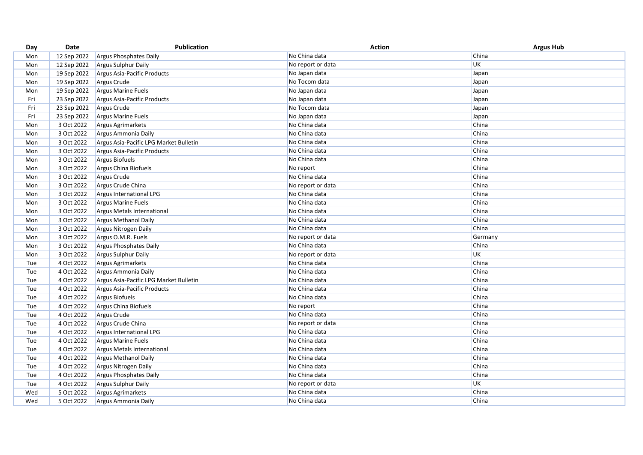| Day | Date        | Publication                            | <b>Action</b>     | <b>Argus Hub</b> |
|-----|-------------|----------------------------------------|-------------------|------------------|
| Mon | 12 Sep 2022 | Argus Phosphates Daily                 | No China data     | China            |
| Mon | 12 Sep 2022 | Argus Sulphur Daily                    | No report or data | <b>UK</b>        |
| Mon | 19 Sep 2022 | Argus Asia-Pacific Products            | No Japan data     | Japan            |
| Mon | 19 Sep 2022 | Argus Crude                            | No Tocom data     | Japan            |
| Mon | 19 Sep 2022 | <b>Argus Marine Fuels</b>              | No Japan data     | Japan            |
| Fri | 23 Sep 2022 | Argus Asia-Pacific Products            | No Japan data     | Japan            |
| Fri | 23 Sep 2022 | Argus Crude                            | No Tocom data     | Japan            |
| Fri | 23 Sep 2022 | Argus Marine Fuels                     | No Japan data     | Japan            |
| Mon | 3 Oct 2022  | <b>Argus Agrimarkets</b>               | No China data     | China            |
| Mon | 3 Oct 2022  | Argus Ammonia Daily                    | No China data     | China            |
| Mon | 3 Oct 2022  | Argus Asia-Pacific LPG Market Bulletin | No China data     | China            |
| Mon | 3 Oct 2022  | Argus Asia-Pacific Products            | No China data     | China            |
| Mon | 3 Oct 2022  | Argus Biofuels                         | No China data     | China            |
| Mon | 3 Oct 2022  | Argus China Biofuels                   | No report         | China            |
| Mon | 3 Oct 2022  | Argus Crude                            | No China data     | China            |
| Mon | 3 Oct 2022  | Argus Crude China                      | No report or data | China            |
| Mon | 3 Oct 2022  | Argus International LPG                | No China data     | China            |
| Mon | 3 Oct 2022  | <b>Argus Marine Fuels</b>              | No China data     | China            |
| Mon | 3 Oct 2022  | Argus Metals International             | No China data     | China            |
| Mon | 3 Oct 2022  | <b>Argus Methanol Daily</b>            | No China data     | China            |
| Mon | 3 Oct 2022  | Argus Nitrogen Daily                   | No China data     | China            |
| Mon | 3 Oct 2022  | Argus O.M.R. Fuels                     | No report or data | Germany          |
| Mon | 3 Oct 2022  | Argus Phosphates Daily                 | No China data     | China            |
| Mon | 3 Oct 2022  | Argus Sulphur Daily                    | No report or data | UK               |
| Tue | 4 Oct 2022  | Argus Agrimarkets                      | No China data     | China            |
| Tue | 4 Oct 2022  | Argus Ammonia Daily                    | No China data     | China            |
| Tue | 4 Oct 2022  | Argus Asia-Pacific LPG Market Bulletin | No China data     | China            |
| Tue | 4 Oct 2022  | Argus Asia-Pacific Products            | No China data     | China            |
| Tue | 4 Oct 2022  | Argus Biofuels                         | No China data     | China            |
| Tue | 4 Oct 2022  | Argus China Biofuels                   | No report         | China            |
| Tue | 4 Oct 2022  | Argus Crude                            | No China data     | China            |
| Tue | 4 Oct 2022  | Argus Crude China                      | No report or data | China            |
| Tue | 4 Oct 2022  | Argus International LPG                | No China data     | China            |
| Tue | 4 Oct 2022  | <b>Argus Marine Fuels</b>              | No China data     | China            |
| Tue | 4 Oct 2022  | Argus Metals International             | No China data     | China            |
| Tue | 4 Oct 2022  | Argus Methanol Daily                   | No China data     | China            |
| Tue | 4 Oct 2022  | Argus Nitrogen Daily                   | No China data     | China            |
| Tue | 4 Oct 2022  | Argus Phosphates Daily                 | No China data     | China            |
| Tue | 4 Oct 2022  | Argus Sulphur Daily                    | No report or data | <b>UK</b>        |
| Wed | 5 Oct 2022  | Argus Agrimarkets                      | No China data     | China            |
| Wed | 5 Oct 2022  | Argus Ammonia Daily                    | No China data     | China            |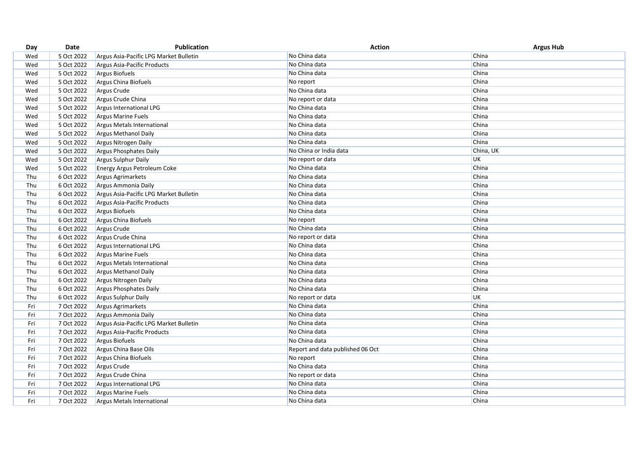| China<br>5 Oct 2022<br>No China data<br>Wed<br>Argus Asia-Pacific LPG Market Bulletin<br>China<br>5 Oct 2022<br>No China data<br>Wed<br>Argus Asia-Pacific Products<br>China<br>5 Oct 2022<br>Argus Biofuels<br>No China data<br>Wed<br>China<br>5 Oct 2022<br>Argus China Biofuels<br>Wed<br>No report<br>China<br>5 Oct 2022<br>Argus Crude<br>No China data<br>Wed<br>5 Oct 2022<br>China<br>Wed<br>Argus Crude China<br>No report or data<br>5 Oct 2022<br>Argus International LPG<br>No China data<br>China<br>Wed<br>5 Oct 2022<br>China<br>Wed<br>Argus Marine Fuels<br>No China data<br>China<br>5 Oct 2022<br>No China data<br>Wed<br>Argus Metals International<br>5 Oct 2022<br>No China data<br>China<br>Wed<br><b>Argus Methanol Daily</b><br>China<br>5 Oct 2022<br>No China data<br>Wed<br>Argus Nitrogen Daily<br>No China or India data<br>China, UK<br>5 Oct 2022<br>Wed<br>Argus Phosphates Daily<br>UK<br>5 Oct 2022<br>No report or data<br>Wed<br>Argus Sulphur Daily<br>China<br>5 Oct 2022<br>No China data<br>Wed<br><b>Energy Argus Petroleum Coke</b><br>China<br>Thu<br>6 Oct 2022<br>Argus Agrimarkets<br>No China data<br>Thu<br>China<br>6 Oct 2022<br>Argus Ammonia Daily<br>No China data<br>China<br>Thu<br>6 Oct 2022<br>Argus Asia-Pacific LPG Market Bulletin<br>No China data<br>China<br>6 Oct 2022<br>No China data<br>Thu<br>Argus Asia-Pacific Products<br>No China data<br>China<br>Thu<br>6 Oct 2022<br>Argus Biofuels<br>China<br>Thu<br>6 Oct 2022<br>Argus China Biofuels<br>No report<br>No China data<br>China<br>Thu<br>6 Oct 2022<br>Argus Crude<br>China<br>Thu<br>6 Oct 2022<br>Argus Crude China<br>No report or data<br>China<br>6 Oct 2022<br>No China data<br>Thu<br>Argus International LPG<br>Thu<br>6 Oct 2022<br>No China data<br>China<br><b>Argus Marine Fuels</b><br>6 Oct 2022<br>China<br>Thu<br>Argus Metals International<br>No China data<br>6 Oct 2022<br>China<br>Thu<br>Argus Methanol Daily<br>No China data<br>6 Oct 2022<br>China<br>Thu<br>Argus Nitrogen Daily<br>No China data<br>6 Oct 2022<br>No China data<br>China<br>Thu<br>Argus Phosphates Daily<br>UK<br>Thu<br>6 Oct 2022<br>Argus Sulphur Daily<br>No report or data<br>China<br>No China data<br>7 Oct 2022<br>Fri<br><b>Argus Agrimarkets</b><br>No China data<br>China<br>7 Oct 2022<br>Fri<br>Argus Ammonia Daily<br>China<br>Fri<br>7 Oct 2022<br>No China data<br>Argus Asia-Pacific LPG Market Bulletin<br>No China data<br>China<br>Fri<br>7 Oct 2022<br>Argus Asia-Pacific Products<br>China<br>7 Oct 2022<br>Argus Biofuels<br>No China data<br>Fri<br>7 Oct 2022<br>China<br>Fri<br>Argus China Base Oils<br>Report and data published 06 Oct<br>Fri<br>7 Oct 2022<br>China<br>Argus China Biofuels<br>No report<br>China<br>No China data<br>Fri<br>7 Oct 2022<br>Argus Crude<br>China<br>7 Oct 2022<br>No report or data<br>Fri<br>Argus Crude China<br>China<br>No China data<br>Fri<br>7 Oct 2022<br>Argus International LPG<br>China<br>No China data<br>Fri<br>7 Oct 2022<br><b>Argus Marine Fuels</b><br>China<br>Fri<br>7 Oct 2022<br>No China data<br>Argus Metals International | Day | Date | <b>Publication</b> | <b>Action</b> | <b>Argus Hub</b> |
|----------------------------------------------------------------------------------------------------------------------------------------------------------------------------------------------------------------------------------------------------------------------------------------------------------------------------------------------------------------------------------------------------------------------------------------------------------------------------------------------------------------------------------------------------------------------------------------------------------------------------------------------------------------------------------------------------------------------------------------------------------------------------------------------------------------------------------------------------------------------------------------------------------------------------------------------------------------------------------------------------------------------------------------------------------------------------------------------------------------------------------------------------------------------------------------------------------------------------------------------------------------------------------------------------------------------------------------------------------------------------------------------------------------------------------------------------------------------------------------------------------------------------------------------------------------------------------------------------------------------------------------------------------------------------------------------------------------------------------------------------------------------------------------------------------------------------------------------------------------------------------------------------------------------------------------------------------------------------------------------------------------------------------------------------------------------------------------------------------------------------------------------------------------------------------------------------------------------------------------------------------------------------------------------------------------------------------------------------------------------------------------------------------------------------------------------------------------------------------------------------------------------------------------------------------------------------------------------------------------------------------------------------------------------------------------------------------------------------------------------------------------------------------------------------------------------------------------------------------------------------------------------------------------------------------------------------------------------------------------------------------------------------------------------------------------------------------------------------------------------------------------------|-----|------|--------------------|---------------|------------------|
|                                                                                                                                                                                                                                                                                                                                                                                                                                                                                                                                                                                                                                                                                                                                                                                                                                                                                                                                                                                                                                                                                                                                                                                                                                                                                                                                                                                                                                                                                                                                                                                                                                                                                                                                                                                                                                                                                                                                                                                                                                                                                                                                                                                                                                                                                                                                                                                                                                                                                                                                                                                                                                                                                                                                                                                                                                                                                                                                                                                                                                                                                                                                              |     |      |                    |               |                  |
|                                                                                                                                                                                                                                                                                                                                                                                                                                                                                                                                                                                                                                                                                                                                                                                                                                                                                                                                                                                                                                                                                                                                                                                                                                                                                                                                                                                                                                                                                                                                                                                                                                                                                                                                                                                                                                                                                                                                                                                                                                                                                                                                                                                                                                                                                                                                                                                                                                                                                                                                                                                                                                                                                                                                                                                                                                                                                                                                                                                                                                                                                                                                              |     |      |                    |               |                  |
|                                                                                                                                                                                                                                                                                                                                                                                                                                                                                                                                                                                                                                                                                                                                                                                                                                                                                                                                                                                                                                                                                                                                                                                                                                                                                                                                                                                                                                                                                                                                                                                                                                                                                                                                                                                                                                                                                                                                                                                                                                                                                                                                                                                                                                                                                                                                                                                                                                                                                                                                                                                                                                                                                                                                                                                                                                                                                                                                                                                                                                                                                                                                              |     |      |                    |               |                  |
|                                                                                                                                                                                                                                                                                                                                                                                                                                                                                                                                                                                                                                                                                                                                                                                                                                                                                                                                                                                                                                                                                                                                                                                                                                                                                                                                                                                                                                                                                                                                                                                                                                                                                                                                                                                                                                                                                                                                                                                                                                                                                                                                                                                                                                                                                                                                                                                                                                                                                                                                                                                                                                                                                                                                                                                                                                                                                                                                                                                                                                                                                                                                              |     |      |                    |               |                  |
|                                                                                                                                                                                                                                                                                                                                                                                                                                                                                                                                                                                                                                                                                                                                                                                                                                                                                                                                                                                                                                                                                                                                                                                                                                                                                                                                                                                                                                                                                                                                                                                                                                                                                                                                                                                                                                                                                                                                                                                                                                                                                                                                                                                                                                                                                                                                                                                                                                                                                                                                                                                                                                                                                                                                                                                                                                                                                                                                                                                                                                                                                                                                              |     |      |                    |               |                  |
|                                                                                                                                                                                                                                                                                                                                                                                                                                                                                                                                                                                                                                                                                                                                                                                                                                                                                                                                                                                                                                                                                                                                                                                                                                                                                                                                                                                                                                                                                                                                                                                                                                                                                                                                                                                                                                                                                                                                                                                                                                                                                                                                                                                                                                                                                                                                                                                                                                                                                                                                                                                                                                                                                                                                                                                                                                                                                                                                                                                                                                                                                                                                              |     |      |                    |               |                  |
|                                                                                                                                                                                                                                                                                                                                                                                                                                                                                                                                                                                                                                                                                                                                                                                                                                                                                                                                                                                                                                                                                                                                                                                                                                                                                                                                                                                                                                                                                                                                                                                                                                                                                                                                                                                                                                                                                                                                                                                                                                                                                                                                                                                                                                                                                                                                                                                                                                                                                                                                                                                                                                                                                                                                                                                                                                                                                                                                                                                                                                                                                                                                              |     |      |                    |               |                  |
|                                                                                                                                                                                                                                                                                                                                                                                                                                                                                                                                                                                                                                                                                                                                                                                                                                                                                                                                                                                                                                                                                                                                                                                                                                                                                                                                                                                                                                                                                                                                                                                                                                                                                                                                                                                                                                                                                                                                                                                                                                                                                                                                                                                                                                                                                                                                                                                                                                                                                                                                                                                                                                                                                                                                                                                                                                                                                                                                                                                                                                                                                                                                              |     |      |                    |               |                  |
|                                                                                                                                                                                                                                                                                                                                                                                                                                                                                                                                                                                                                                                                                                                                                                                                                                                                                                                                                                                                                                                                                                                                                                                                                                                                                                                                                                                                                                                                                                                                                                                                                                                                                                                                                                                                                                                                                                                                                                                                                                                                                                                                                                                                                                                                                                                                                                                                                                                                                                                                                                                                                                                                                                                                                                                                                                                                                                                                                                                                                                                                                                                                              |     |      |                    |               |                  |
|                                                                                                                                                                                                                                                                                                                                                                                                                                                                                                                                                                                                                                                                                                                                                                                                                                                                                                                                                                                                                                                                                                                                                                                                                                                                                                                                                                                                                                                                                                                                                                                                                                                                                                                                                                                                                                                                                                                                                                                                                                                                                                                                                                                                                                                                                                                                                                                                                                                                                                                                                                                                                                                                                                                                                                                                                                                                                                                                                                                                                                                                                                                                              |     |      |                    |               |                  |
|                                                                                                                                                                                                                                                                                                                                                                                                                                                                                                                                                                                                                                                                                                                                                                                                                                                                                                                                                                                                                                                                                                                                                                                                                                                                                                                                                                                                                                                                                                                                                                                                                                                                                                                                                                                                                                                                                                                                                                                                                                                                                                                                                                                                                                                                                                                                                                                                                                                                                                                                                                                                                                                                                                                                                                                                                                                                                                                                                                                                                                                                                                                                              |     |      |                    |               |                  |
|                                                                                                                                                                                                                                                                                                                                                                                                                                                                                                                                                                                                                                                                                                                                                                                                                                                                                                                                                                                                                                                                                                                                                                                                                                                                                                                                                                                                                                                                                                                                                                                                                                                                                                                                                                                                                                                                                                                                                                                                                                                                                                                                                                                                                                                                                                                                                                                                                                                                                                                                                                                                                                                                                                                                                                                                                                                                                                                                                                                                                                                                                                                                              |     |      |                    |               |                  |
|                                                                                                                                                                                                                                                                                                                                                                                                                                                                                                                                                                                                                                                                                                                                                                                                                                                                                                                                                                                                                                                                                                                                                                                                                                                                                                                                                                                                                                                                                                                                                                                                                                                                                                                                                                                                                                                                                                                                                                                                                                                                                                                                                                                                                                                                                                                                                                                                                                                                                                                                                                                                                                                                                                                                                                                                                                                                                                                                                                                                                                                                                                                                              |     |      |                    |               |                  |
|                                                                                                                                                                                                                                                                                                                                                                                                                                                                                                                                                                                                                                                                                                                                                                                                                                                                                                                                                                                                                                                                                                                                                                                                                                                                                                                                                                                                                                                                                                                                                                                                                                                                                                                                                                                                                                                                                                                                                                                                                                                                                                                                                                                                                                                                                                                                                                                                                                                                                                                                                                                                                                                                                                                                                                                                                                                                                                                                                                                                                                                                                                                                              |     |      |                    |               |                  |
|                                                                                                                                                                                                                                                                                                                                                                                                                                                                                                                                                                                                                                                                                                                                                                                                                                                                                                                                                                                                                                                                                                                                                                                                                                                                                                                                                                                                                                                                                                                                                                                                                                                                                                                                                                                                                                                                                                                                                                                                                                                                                                                                                                                                                                                                                                                                                                                                                                                                                                                                                                                                                                                                                                                                                                                                                                                                                                                                                                                                                                                                                                                                              |     |      |                    |               |                  |
|                                                                                                                                                                                                                                                                                                                                                                                                                                                                                                                                                                                                                                                                                                                                                                                                                                                                                                                                                                                                                                                                                                                                                                                                                                                                                                                                                                                                                                                                                                                                                                                                                                                                                                                                                                                                                                                                                                                                                                                                                                                                                                                                                                                                                                                                                                                                                                                                                                                                                                                                                                                                                                                                                                                                                                                                                                                                                                                                                                                                                                                                                                                                              |     |      |                    |               |                  |
|                                                                                                                                                                                                                                                                                                                                                                                                                                                                                                                                                                                                                                                                                                                                                                                                                                                                                                                                                                                                                                                                                                                                                                                                                                                                                                                                                                                                                                                                                                                                                                                                                                                                                                                                                                                                                                                                                                                                                                                                                                                                                                                                                                                                                                                                                                                                                                                                                                                                                                                                                                                                                                                                                                                                                                                                                                                                                                                                                                                                                                                                                                                                              |     |      |                    |               |                  |
|                                                                                                                                                                                                                                                                                                                                                                                                                                                                                                                                                                                                                                                                                                                                                                                                                                                                                                                                                                                                                                                                                                                                                                                                                                                                                                                                                                                                                                                                                                                                                                                                                                                                                                                                                                                                                                                                                                                                                                                                                                                                                                                                                                                                                                                                                                                                                                                                                                                                                                                                                                                                                                                                                                                                                                                                                                                                                                                                                                                                                                                                                                                                              |     |      |                    |               |                  |
|                                                                                                                                                                                                                                                                                                                                                                                                                                                                                                                                                                                                                                                                                                                                                                                                                                                                                                                                                                                                                                                                                                                                                                                                                                                                                                                                                                                                                                                                                                                                                                                                                                                                                                                                                                                                                                                                                                                                                                                                                                                                                                                                                                                                                                                                                                                                                                                                                                                                                                                                                                                                                                                                                                                                                                                                                                                                                                                                                                                                                                                                                                                                              |     |      |                    |               |                  |
|                                                                                                                                                                                                                                                                                                                                                                                                                                                                                                                                                                                                                                                                                                                                                                                                                                                                                                                                                                                                                                                                                                                                                                                                                                                                                                                                                                                                                                                                                                                                                                                                                                                                                                                                                                                                                                                                                                                                                                                                                                                                                                                                                                                                                                                                                                                                                                                                                                                                                                                                                                                                                                                                                                                                                                                                                                                                                                                                                                                                                                                                                                                                              |     |      |                    |               |                  |
|                                                                                                                                                                                                                                                                                                                                                                                                                                                                                                                                                                                                                                                                                                                                                                                                                                                                                                                                                                                                                                                                                                                                                                                                                                                                                                                                                                                                                                                                                                                                                                                                                                                                                                                                                                                                                                                                                                                                                                                                                                                                                                                                                                                                                                                                                                                                                                                                                                                                                                                                                                                                                                                                                                                                                                                                                                                                                                                                                                                                                                                                                                                                              |     |      |                    |               |                  |
|                                                                                                                                                                                                                                                                                                                                                                                                                                                                                                                                                                                                                                                                                                                                                                                                                                                                                                                                                                                                                                                                                                                                                                                                                                                                                                                                                                                                                                                                                                                                                                                                                                                                                                                                                                                                                                                                                                                                                                                                                                                                                                                                                                                                                                                                                                                                                                                                                                                                                                                                                                                                                                                                                                                                                                                                                                                                                                                                                                                                                                                                                                                                              |     |      |                    |               |                  |
|                                                                                                                                                                                                                                                                                                                                                                                                                                                                                                                                                                                                                                                                                                                                                                                                                                                                                                                                                                                                                                                                                                                                                                                                                                                                                                                                                                                                                                                                                                                                                                                                                                                                                                                                                                                                                                                                                                                                                                                                                                                                                                                                                                                                                                                                                                                                                                                                                                                                                                                                                                                                                                                                                                                                                                                                                                                                                                                                                                                                                                                                                                                                              |     |      |                    |               |                  |
|                                                                                                                                                                                                                                                                                                                                                                                                                                                                                                                                                                                                                                                                                                                                                                                                                                                                                                                                                                                                                                                                                                                                                                                                                                                                                                                                                                                                                                                                                                                                                                                                                                                                                                                                                                                                                                                                                                                                                                                                                                                                                                                                                                                                                                                                                                                                                                                                                                                                                                                                                                                                                                                                                                                                                                                                                                                                                                                                                                                                                                                                                                                                              |     |      |                    |               |                  |
|                                                                                                                                                                                                                                                                                                                                                                                                                                                                                                                                                                                                                                                                                                                                                                                                                                                                                                                                                                                                                                                                                                                                                                                                                                                                                                                                                                                                                                                                                                                                                                                                                                                                                                                                                                                                                                                                                                                                                                                                                                                                                                                                                                                                                                                                                                                                                                                                                                                                                                                                                                                                                                                                                                                                                                                                                                                                                                                                                                                                                                                                                                                                              |     |      |                    |               |                  |
|                                                                                                                                                                                                                                                                                                                                                                                                                                                                                                                                                                                                                                                                                                                                                                                                                                                                                                                                                                                                                                                                                                                                                                                                                                                                                                                                                                                                                                                                                                                                                                                                                                                                                                                                                                                                                                                                                                                                                                                                                                                                                                                                                                                                                                                                                                                                                                                                                                                                                                                                                                                                                                                                                                                                                                                                                                                                                                                                                                                                                                                                                                                                              |     |      |                    |               |                  |
|                                                                                                                                                                                                                                                                                                                                                                                                                                                                                                                                                                                                                                                                                                                                                                                                                                                                                                                                                                                                                                                                                                                                                                                                                                                                                                                                                                                                                                                                                                                                                                                                                                                                                                                                                                                                                                                                                                                                                                                                                                                                                                                                                                                                                                                                                                                                                                                                                                                                                                                                                                                                                                                                                                                                                                                                                                                                                                                                                                                                                                                                                                                                              |     |      |                    |               |                  |
|                                                                                                                                                                                                                                                                                                                                                                                                                                                                                                                                                                                                                                                                                                                                                                                                                                                                                                                                                                                                                                                                                                                                                                                                                                                                                                                                                                                                                                                                                                                                                                                                                                                                                                                                                                                                                                                                                                                                                                                                                                                                                                                                                                                                                                                                                                                                                                                                                                                                                                                                                                                                                                                                                                                                                                                                                                                                                                                                                                                                                                                                                                                                              |     |      |                    |               |                  |
|                                                                                                                                                                                                                                                                                                                                                                                                                                                                                                                                                                                                                                                                                                                                                                                                                                                                                                                                                                                                                                                                                                                                                                                                                                                                                                                                                                                                                                                                                                                                                                                                                                                                                                                                                                                                                                                                                                                                                                                                                                                                                                                                                                                                                                                                                                                                                                                                                                                                                                                                                                                                                                                                                                                                                                                                                                                                                                                                                                                                                                                                                                                                              |     |      |                    |               |                  |
|                                                                                                                                                                                                                                                                                                                                                                                                                                                                                                                                                                                                                                                                                                                                                                                                                                                                                                                                                                                                                                                                                                                                                                                                                                                                                                                                                                                                                                                                                                                                                                                                                                                                                                                                                                                                                                                                                                                                                                                                                                                                                                                                                                                                                                                                                                                                                                                                                                                                                                                                                                                                                                                                                                                                                                                                                                                                                                                                                                                                                                                                                                                                              |     |      |                    |               |                  |
|                                                                                                                                                                                                                                                                                                                                                                                                                                                                                                                                                                                                                                                                                                                                                                                                                                                                                                                                                                                                                                                                                                                                                                                                                                                                                                                                                                                                                                                                                                                                                                                                                                                                                                                                                                                                                                                                                                                                                                                                                                                                                                                                                                                                                                                                                                                                                                                                                                                                                                                                                                                                                                                                                                                                                                                                                                                                                                                                                                                                                                                                                                                                              |     |      |                    |               |                  |
|                                                                                                                                                                                                                                                                                                                                                                                                                                                                                                                                                                                                                                                                                                                                                                                                                                                                                                                                                                                                                                                                                                                                                                                                                                                                                                                                                                                                                                                                                                                                                                                                                                                                                                                                                                                                                                                                                                                                                                                                                                                                                                                                                                                                                                                                                                                                                                                                                                                                                                                                                                                                                                                                                                                                                                                                                                                                                                                                                                                                                                                                                                                                              |     |      |                    |               |                  |
|                                                                                                                                                                                                                                                                                                                                                                                                                                                                                                                                                                                                                                                                                                                                                                                                                                                                                                                                                                                                                                                                                                                                                                                                                                                                                                                                                                                                                                                                                                                                                                                                                                                                                                                                                                                                                                                                                                                                                                                                                                                                                                                                                                                                                                                                                                                                                                                                                                                                                                                                                                                                                                                                                                                                                                                                                                                                                                                                                                                                                                                                                                                                              |     |      |                    |               |                  |
|                                                                                                                                                                                                                                                                                                                                                                                                                                                                                                                                                                                                                                                                                                                                                                                                                                                                                                                                                                                                                                                                                                                                                                                                                                                                                                                                                                                                                                                                                                                                                                                                                                                                                                                                                                                                                                                                                                                                                                                                                                                                                                                                                                                                                                                                                                                                                                                                                                                                                                                                                                                                                                                                                                                                                                                                                                                                                                                                                                                                                                                                                                                                              |     |      |                    |               |                  |
|                                                                                                                                                                                                                                                                                                                                                                                                                                                                                                                                                                                                                                                                                                                                                                                                                                                                                                                                                                                                                                                                                                                                                                                                                                                                                                                                                                                                                                                                                                                                                                                                                                                                                                                                                                                                                                                                                                                                                                                                                                                                                                                                                                                                                                                                                                                                                                                                                                                                                                                                                                                                                                                                                                                                                                                                                                                                                                                                                                                                                                                                                                                                              |     |      |                    |               |                  |
|                                                                                                                                                                                                                                                                                                                                                                                                                                                                                                                                                                                                                                                                                                                                                                                                                                                                                                                                                                                                                                                                                                                                                                                                                                                                                                                                                                                                                                                                                                                                                                                                                                                                                                                                                                                                                                                                                                                                                                                                                                                                                                                                                                                                                                                                                                                                                                                                                                                                                                                                                                                                                                                                                                                                                                                                                                                                                                                                                                                                                                                                                                                                              |     |      |                    |               |                  |
|                                                                                                                                                                                                                                                                                                                                                                                                                                                                                                                                                                                                                                                                                                                                                                                                                                                                                                                                                                                                                                                                                                                                                                                                                                                                                                                                                                                                                                                                                                                                                                                                                                                                                                                                                                                                                                                                                                                                                                                                                                                                                                                                                                                                                                                                                                                                                                                                                                                                                                                                                                                                                                                                                                                                                                                                                                                                                                                                                                                                                                                                                                                                              |     |      |                    |               |                  |
|                                                                                                                                                                                                                                                                                                                                                                                                                                                                                                                                                                                                                                                                                                                                                                                                                                                                                                                                                                                                                                                                                                                                                                                                                                                                                                                                                                                                                                                                                                                                                                                                                                                                                                                                                                                                                                                                                                                                                                                                                                                                                                                                                                                                                                                                                                                                                                                                                                                                                                                                                                                                                                                                                                                                                                                                                                                                                                                                                                                                                                                                                                                                              |     |      |                    |               |                  |
|                                                                                                                                                                                                                                                                                                                                                                                                                                                                                                                                                                                                                                                                                                                                                                                                                                                                                                                                                                                                                                                                                                                                                                                                                                                                                                                                                                                                                                                                                                                                                                                                                                                                                                                                                                                                                                                                                                                                                                                                                                                                                                                                                                                                                                                                                                                                                                                                                                                                                                                                                                                                                                                                                                                                                                                                                                                                                                                                                                                                                                                                                                                                              |     |      |                    |               |                  |
|                                                                                                                                                                                                                                                                                                                                                                                                                                                                                                                                                                                                                                                                                                                                                                                                                                                                                                                                                                                                                                                                                                                                                                                                                                                                                                                                                                                                                                                                                                                                                                                                                                                                                                                                                                                                                                                                                                                                                                                                                                                                                                                                                                                                                                                                                                                                                                                                                                                                                                                                                                                                                                                                                                                                                                                                                                                                                                                                                                                                                                                                                                                                              |     |      |                    |               |                  |
|                                                                                                                                                                                                                                                                                                                                                                                                                                                                                                                                                                                                                                                                                                                                                                                                                                                                                                                                                                                                                                                                                                                                                                                                                                                                                                                                                                                                                                                                                                                                                                                                                                                                                                                                                                                                                                                                                                                                                                                                                                                                                                                                                                                                                                                                                                                                                                                                                                                                                                                                                                                                                                                                                                                                                                                                                                                                                                                                                                                                                                                                                                                                              |     |      |                    |               |                  |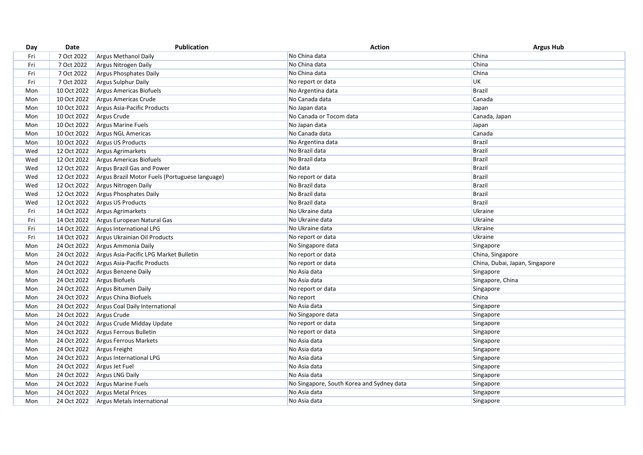| Day | Date        | Publication                                    | <b>Action</b>                             | <b>Argus Hub</b>               |
|-----|-------------|------------------------------------------------|-------------------------------------------|--------------------------------|
| Fri | 7 Oct 2022  | Argus Methanol Daily                           | No China data                             | China                          |
| Fri | 7 Oct 2022  | Argus Nitrogen Daily                           | No China data                             | China                          |
| Fri | 7 Oct 2022  | <b>Argus Phosphates Daily</b>                  | No China data                             | China                          |
| Fri | 7 Oct 2022  | Argus Sulphur Daily                            | No report or data                         | <b>UK</b>                      |
| Mon | 10 Oct 2022 | Argus Americas Biofuels                        | No Argentina data                         | <b>Brazil</b>                  |
| Mon | 10 Oct 2022 | Argus Americas Crude                           | No Canada data                            | Canada                         |
| Mon | 10 Oct 2022 | Argus Asia-Pacific Products                    | No Japan data                             | Japan                          |
| Mon | 10 Oct 2022 | Argus Crude                                    | No Canada or Tocom data                   | Canada, Japan                  |
| Mon | 10 Oct 2022 | Argus Marine Fuels                             | No Japan data                             | Japan                          |
| Mon | 10 Oct 2022 | <b>Argus NGL Americas</b>                      | No Canada data                            | Canada                         |
| Mon | 10 Oct 2022 | Argus US Products                              | No Argentina data                         | <b>Brazil</b>                  |
| Wed | 12 Oct 2022 | <b>Argus Agrimarkets</b>                       | No Brazil data                            | <b>Brazil</b>                  |
| Wed | 12 Oct 2022 | Argus Americas Biofuels                        | No Brazil data                            | <b>Brazil</b>                  |
| Wed | 12 Oct 2022 | Argus Brazil Gas and Power                     | No data                                   | <b>Brazil</b>                  |
| Wed | 12 Oct 2022 | Argus Brazil Motor Fuels (Portuguese language) | No report or data                         | <b>Brazil</b>                  |
| Wed | 12 Oct 2022 | Argus Nitrogen Daily                           | No Brazil data                            | <b>Brazil</b>                  |
| Wed | 12 Oct 2022 | <b>Argus Phosphates Daily</b>                  | No Brazil data                            | <b>Brazil</b>                  |
| Wed | 12 Oct 2022 | Argus US Products                              | No Brazil data                            | Brazil                         |
| Fri | 14 Oct 2022 | Argus Agrimarkets                              | No Ukraine data                           | Ukraine                        |
| Fri | 14 Oct 2022 | Argus European Natural Gas                     | No Ukraine data                           | Ukraine                        |
| Fri | 14 Oct 2022 | Argus International LPG                        | No Ukraine data                           | Ukraine                        |
| Fri | 14 Oct 2022 | Argus Ukrainian Oil Products                   | No report or data                         | Ukraine                        |
| Mon | 24 Oct 2022 | Argus Ammonia Daily                            | No Singapore data                         | Singapore                      |
| Mon | 24 Oct 2022 | Argus Asia-Pacific LPG Market Bulletin         | No report or data                         | China, Singapore               |
| Mon | 24 Oct 2022 | Argus Asia-Pacific Products                    | No report or data                         | China, Dubai, Japan, Singapore |
| Mon | 24 Oct 2022 | Argus Benzene Daily                            | No Asia data                              | Singapore                      |
| Mon | 24 Oct 2022 | Argus Biofuels                                 | No Asia data                              | Singapore, China               |
| Mon | 24 Oct 2022 | Argus Bitumen Daily                            | No report or data                         | Singapore                      |
| Mon | 24 Oct 2022 | Argus China Biofuels                           | No report                                 | China                          |
| Mon | 24 Oct 2022 | Argus Coal Daily International                 | No Asia data                              | Singapore                      |
| Mon | 24 Oct 2022 | Argus Crude                                    | No Singapore data                         | Singapore                      |
| Mon | 24 Oct 2022 | Argus Crude Midday Update                      | No report or data                         | Singapore                      |
| Mon | 24 Oct 2022 | Argus Ferrous Bulletin                         | No report or data                         | Singapore                      |
| Mon | 24 Oct 2022 | Argus Ferrous Markets                          | No Asia data                              | Singapore                      |
| Mon | 24 Oct 2022 | Argus Freight                                  | No Asia data                              | Singapore                      |
| Mon | 24 Oct 2022 | Argus International LPG                        | No Asia data                              | Singapore                      |
| Mon | 24 Oct 2022 | Argus Jet Fuel                                 | No Asia data                              | Singapore                      |
| Mon | 24 Oct 2022 | <b>Argus LNG Daily</b>                         | No Asia data                              | Singapore                      |
| Mon | 24 Oct 2022 | Argus Marine Fuels                             | No Singapore, South Korea and Sydney data | Singapore                      |
| Mon | 24 Oct 2022 | <b>Argus Metal Prices</b>                      | No Asia data                              | Singapore                      |
| Mon | 24 Oct 2022 | Argus Metals International                     | No Asia data                              | Singapore                      |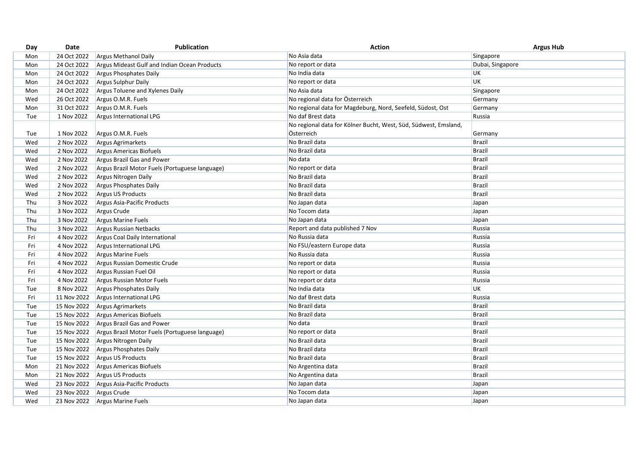| 24 Oct 2022<br>No Asia data<br>Singapore<br>Mon<br><b>Argus Methanol Daily</b><br>No report or data<br>24 Oct 2022<br>Argus Mideast Gulf and Indian Ocean Products<br>Dubai, Singapore<br>Mon<br>No India data<br>UK<br>24 Oct 2022<br>Argus Phosphates Daily<br>Mon<br><b>UK</b><br>No report or data<br>24 Oct 2022<br>Argus Sulphur Daily<br>Mon<br>No Asia data<br>24 Oct 2022<br>Argus Toluene and Xylenes Daily<br>Singapore<br>Mon<br>No regional data for Österreich<br>26 Oct 2022<br>Wed<br>Argus O.M.R. Fuels<br>Germany<br>31 Oct 2022<br>Argus O.M.R. Fuels<br>Mon<br>No regional data for Magdeburg, Nord, Seefeld, Südost, Ost<br>Germany<br>1 Nov 2022<br>No daf Brest data<br>Tue<br>Argus International LPG<br>Russia<br>No regional data for Kölner Bucht, West, Süd, Südwest, Emsland,<br>Österreich<br>1 Nov 2022<br>Argus O.M.R. Fuels<br>Tue<br>Germany<br>No Brazil data<br>Wed<br>2 Nov 2022<br>Brazil<br>Argus Agrimarkets<br>No Brazil data<br><b>Brazil</b><br>Wed<br>2 Nov 2022<br>Argus Americas Biofuels<br>No data<br><b>Brazil</b><br>2 Nov 2022<br>Wed<br>Argus Brazil Gas and Power<br><b>Brazil</b><br>2 Nov 2022<br>No report or data<br>Wed<br>Argus Brazil Motor Fuels (Portuguese language)<br>2 Nov 2022<br><b>Brazil</b><br>Wed<br>Argus Nitrogen Daily<br>No Brazil data<br>2 Nov 2022<br>No Brazil data<br>Brazil<br>Wed<br>Argus Phosphates Daily<br>2 Nov 2022<br>No Brazil data<br><b>Brazil</b><br>Wed<br><b>Argus US Products</b><br>Thu<br>3 Nov 2022<br>Argus Asia-Pacific Products<br>No Japan data<br>Japan<br>Thu<br>3 Nov 2022<br>No Tocom data<br>Argus Crude<br>Japan<br>Thu<br>3 Nov 2022<br>Argus Marine Fuels<br>No Japan data<br>Japan<br>Thu<br>Report and data published 7 Nov<br>Russia<br>3 Nov 2022<br><b>Argus Russian Netbacks</b><br>No Russia data<br>Russia<br>Fri<br>4 Nov 2022<br>Argus Coal Daily International<br>No FSU/eastern Europe data<br>Russia<br>Fri<br>4 Nov 2022<br><b>Argus International LPG</b><br>Fri<br>4 Nov 2022<br>No Russia data<br>Russia<br><b>Argus Marine Fuels</b><br>Fri<br>4 Nov 2022<br>No report or data<br>Russia<br>Argus Russian Domestic Crude<br>4 Nov 2022<br>Fri<br>Argus Russian Fuel Oil<br>No report or data<br>Russia<br>4 Nov 2022<br>Fri<br>Russia<br>Argus Russian Motor Fuels<br>No report or data<br><b>UK</b><br>8 Nov 2022<br>No India data<br>Tue<br>Argus Phosphates Daily<br>No daf Brest data<br>Russia<br>Fri<br>11 Nov 2022<br>Argus International LPG<br>No Brazil data<br><b>Brazil</b><br>15 Nov 2022<br>Tue<br><b>Argus Agrimarkets</b><br>No Brazil data<br>Brazil<br>15 Nov 2022<br>Tue<br>Argus Americas Biofuels<br><b>Brazil</b><br>No data<br>Tue<br>15 Nov 2022<br>Argus Brazil Gas and Power | Day | Date | Publication | <b>Action</b> | <b>Argus Hub</b> |
|------------------------------------------------------------------------------------------------------------------------------------------------------------------------------------------------------------------------------------------------------------------------------------------------------------------------------------------------------------------------------------------------------------------------------------------------------------------------------------------------------------------------------------------------------------------------------------------------------------------------------------------------------------------------------------------------------------------------------------------------------------------------------------------------------------------------------------------------------------------------------------------------------------------------------------------------------------------------------------------------------------------------------------------------------------------------------------------------------------------------------------------------------------------------------------------------------------------------------------------------------------------------------------------------------------------------------------------------------------------------------------------------------------------------------------------------------------------------------------------------------------------------------------------------------------------------------------------------------------------------------------------------------------------------------------------------------------------------------------------------------------------------------------------------------------------------------------------------------------------------------------------------------------------------------------------------------------------------------------------------------------------------------------------------------------------------------------------------------------------------------------------------------------------------------------------------------------------------------------------------------------------------------------------------------------------------------------------------------------------------------------------------------------------------------------------------------------------------------------------------------------------------------------------------------------------------------------------------------------------------------------------------------------------------------------------------------------------------------------------|-----|------|-------------|---------------|------------------|
|                                                                                                                                                                                                                                                                                                                                                                                                                                                                                                                                                                                                                                                                                                                                                                                                                                                                                                                                                                                                                                                                                                                                                                                                                                                                                                                                                                                                                                                                                                                                                                                                                                                                                                                                                                                                                                                                                                                                                                                                                                                                                                                                                                                                                                                                                                                                                                                                                                                                                                                                                                                                                                                                                                                                          |     |      |             |               |                  |
|                                                                                                                                                                                                                                                                                                                                                                                                                                                                                                                                                                                                                                                                                                                                                                                                                                                                                                                                                                                                                                                                                                                                                                                                                                                                                                                                                                                                                                                                                                                                                                                                                                                                                                                                                                                                                                                                                                                                                                                                                                                                                                                                                                                                                                                                                                                                                                                                                                                                                                                                                                                                                                                                                                                                          |     |      |             |               |                  |
|                                                                                                                                                                                                                                                                                                                                                                                                                                                                                                                                                                                                                                                                                                                                                                                                                                                                                                                                                                                                                                                                                                                                                                                                                                                                                                                                                                                                                                                                                                                                                                                                                                                                                                                                                                                                                                                                                                                                                                                                                                                                                                                                                                                                                                                                                                                                                                                                                                                                                                                                                                                                                                                                                                                                          |     |      |             |               |                  |
|                                                                                                                                                                                                                                                                                                                                                                                                                                                                                                                                                                                                                                                                                                                                                                                                                                                                                                                                                                                                                                                                                                                                                                                                                                                                                                                                                                                                                                                                                                                                                                                                                                                                                                                                                                                                                                                                                                                                                                                                                                                                                                                                                                                                                                                                                                                                                                                                                                                                                                                                                                                                                                                                                                                                          |     |      |             |               |                  |
|                                                                                                                                                                                                                                                                                                                                                                                                                                                                                                                                                                                                                                                                                                                                                                                                                                                                                                                                                                                                                                                                                                                                                                                                                                                                                                                                                                                                                                                                                                                                                                                                                                                                                                                                                                                                                                                                                                                                                                                                                                                                                                                                                                                                                                                                                                                                                                                                                                                                                                                                                                                                                                                                                                                                          |     |      |             |               |                  |
|                                                                                                                                                                                                                                                                                                                                                                                                                                                                                                                                                                                                                                                                                                                                                                                                                                                                                                                                                                                                                                                                                                                                                                                                                                                                                                                                                                                                                                                                                                                                                                                                                                                                                                                                                                                                                                                                                                                                                                                                                                                                                                                                                                                                                                                                                                                                                                                                                                                                                                                                                                                                                                                                                                                                          |     |      |             |               |                  |
|                                                                                                                                                                                                                                                                                                                                                                                                                                                                                                                                                                                                                                                                                                                                                                                                                                                                                                                                                                                                                                                                                                                                                                                                                                                                                                                                                                                                                                                                                                                                                                                                                                                                                                                                                                                                                                                                                                                                                                                                                                                                                                                                                                                                                                                                                                                                                                                                                                                                                                                                                                                                                                                                                                                                          |     |      |             |               |                  |
|                                                                                                                                                                                                                                                                                                                                                                                                                                                                                                                                                                                                                                                                                                                                                                                                                                                                                                                                                                                                                                                                                                                                                                                                                                                                                                                                                                                                                                                                                                                                                                                                                                                                                                                                                                                                                                                                                                                                                                                                                                                                                                                                                                                                                                                                                                                                                                                                                                                                                                                                                                                                                                                                                                                                          |     |      |             |               |                  |
|                                                                                                                                                                                                                                                                                                                                                                                                                                                                                                                                                                                                                                                                                                                                                                                                                                                                                                                                                                                                                                                                                                                                                                                                                                                                                                                                                                                                                                                                                                                                                                                                                                                                                                                                                                                                                                                                                                                                                                                                                                                                                                                                                                                                                                                                                                                                                                                                                                                                                                                                                                                                                                                                                                                                          |     |      |             |               |                  |
|                                                                                                                                                                                                                                                                                                                                                                                                                                                                                                                                                                                                                                                                                                                                                                                                                                                                                                                                                                                                                                                                                                                                                                                                                                                                                                                                                                                                                                                                                                                                                                                                                                                                                                                                                                                                                                                                                                                                                                                                                                                                                                                                                                                                                                                                                                                                                                                                                                                                                                                                                                                                                                                                                                                                          |     |      |             |               |                  |
|                                                                                                                                                                                                                                                                                                                                                                                                                                                                                                                                                                                                                                                                                                                                                                                                                                                                                                                                                                                                                                                                                                                                                                                                                                                                                                                                                                                                                                                                                                                                                                                                                                                                                                                                                                                                                                                                                                                                                                                                                                                                                                                                                                                                                                                                                                                                                                                                                                                                                                                                                                                                                                                                                                                                          |     |      |             |               |                  |
|                                                                                                                                                                                                                                                                                                                                                                                                                                                                                                                                                                                                                                                                                                                                                                                                                                                                                                                                                                                                                                                                                                                                                                                                                                                                                                                                                                                                                                                                                                                                                                                                                                                                                                                                                                                                                                                                                                                                                                                                                                                                                                                                                                                                                                                                                                                                                                                                                                                                                                                                                                                                                                                                                                                                          |     |      |             |               |                  |
|                                                                                                                                                                                                                                                                                                                                                                                                                                                                                                                                                                                                                                                                                                                                                                                                                                                                                                                                                                                                                                                                                                                                                                                                                                                                                                                                                                                                                                                                                                                                                                                                                                                                                                                                                                                                                                                                                                                                                                                                                                                                                                                                                                                                                                                                                                                                                                                                                                                                                                                                                                                                                                                                                                                                          |     |      |             |               |                  |
|                                                                                                                                                                                                                                                                                                                                                                                                                                                                                                                                                                                                                                                                                                                                                                                                                                                                                                                                                                                                                                                                                                                                                                                                                                                                                                                                                                                                                                                                                                                                                                                                                                                                                                                                                                                                                                                                                                                                                                                                                                                                                                                                                                                                                                                                                                                                                                                                                                                                                                                                                                                                                                                                                                                                          |     |      |             |               |                  |
|                                                                                                                                                                                                                                                                                                                                                                                                                                                                                                                                                                                                                                                                                                                                                                                                                                                                                                                                                                                                                                                                                                                                                                                                                                                                                                                                                                                                                                                                                                                                                                                                                                                                                                                                                                                                                                                                                                                                                                                                                                                                                                                                                                                                                                                                                                                                                                                                                                                                                                                                                                                                                                                                                                                                          |     |      |             |               |                  |
|                                                                                                                                                                                                                                                                                                                                                                                                                                                                                                                                                                                                                                                                                                                                                                                                                                                                                                                                                                                                                                                                                                                                                                                                                                                                                                                                                                                                                                                                                                                                                                                                                                                                                                                                                                                                                                                                                                                                                                                                                                                                                                                                                                                                                                                                                                                                                                                                                                                                                                                                                                                                                                                                                                                                          |     |      |             |               |                  |
|                                                                                                                                                                                                                                                                                                                                                                                                                                                                                                                                                                                                                                                                                                                                                                                                                                                                                                                                                                                                                                                                                                                                                                                                                                                                                                                                                                                                                                                                                                                                                                                                                                                                                                                                                                                                                                                                                                                                                                                                                                                                                                                                                                                                                                                                                                                                                                                                                                                                                                                                                                                                                                                                                                                                          |     |      |             |               |                  |
|                                                                                                                                                                                                                                                                                                                                                                                                                                                                                                                                                                                                                                                                                                                                                                                                                                                                                                                                                                                                                                                                                                                                                                                                                                                                                                                                                                                                                                                                                                                                                                                                                                                                                                                                                                                                                                                                                                                                                                                                                                                                                                                                                                                                                                                                                                                                                                                                                                                                                                                                                                                                                                                                                                                                          |     |      |             |               |                  |
|                                                                                                                                                                                                                                                                                                                                                                                                                                                                                                                                                                                                                                                                                                                                                                                                                                                                                                                                                                                                                                                                                                                                                                                                                                                                                                                                                                                                                                                                                                                                                                                                                                                                                                                                                                                                                                                                                                                                                                                                                                                                                                                                                                                                                                                                                                                                                                                                                                                                                                                                                                                                                                                                                                                                          |     |      |             |               |                  |
|                                                                                                                                                                                                                                                                                                                                                                                                                                                                                                                                                                                                                                                                                                                                                                                                                                                                                                                                                                                                                                                                                                                                                                                                                                                                                                                                                                                                                                                                                                                                                                                                                                                                                                                                                                                                                                                                                                                                                                                                                                                                                                                                                                                                                                                                                                                                                                                                                                                                                                                                                                                                                                                                                                                                          |     |      |             |               |                  |
|                                                                                                                                                                                                                                                                                                                                                                                                                                                                                                                                                                                                                                                                                                                                                                                                                                                                                                                                                                                                                                                                                                                                                                                                                                                                                                                                                                                                                                                                                                                                                                                                                                                                                                                                                                                                                                                                                                                                                                                                                                                                                                                                                                                                                                                                                                                                                                                                                                                                                                                                                                                                                                                                                                                                          |     |      |             |               |                  |
|                                                                                                                                                                                                                                                                                                                                                                                                                                                                                                                                                                                                                                                                                                                                                                                                                                                                                                                                                                                                                                                                                                                                                                                                                                                                                                                                                                                                                                                                                                                                                                                                                                                                                                                                                                                                                                                                                                                                                                                                                                                                                                                                                                                                                                                                                                                                                                                                                                                                                                                                                                                                                                                                                                                                          |     |      |             |               |                  |
|                                                                                                                                                                                                                                                                                                                                                                                                                                                                                                                                                                                                                                                                                                                                                                                                                                                                                                                                                                                                                                                                                                                                                                                                                                                                                                                                                                                                                                                                                                                                                                                                                                                                                                                                                                                                                                                                                                                                                                                                                                                                                                                                                                                                                                                                                                                                                                                                                                                                                                                                                                                                                                                                                                                                          |     |      |             |               |                  |
|                                                                                                                                                                                                                                                                                                                                                                                                                                                                                                                                                                                                                                                                                                                                                                                                                                                                                                                                                                                                                                                                                                                                                                                                                                                                                                                                                                                                                                                                                                                                                                                                                                                                                                                                                                                                                                                                                                                                                                                                                                                                                                                                                                                                                                                                                                                                                                                                                                                                                                                                                                                                                                                                                                                                          |     |      |             |               |                  |
|                                                                                                                                                                                                                                                                                                                                                                                                                                                                                                                                                                                                                                                                                                                                                                                                                                                                                                                                                                                                                                                                                                                                                                                                                                                                                                                                                                                                                                                                                                                                                                                                                                                                                                                                                                                                                                                                                                                                                                                                                                                                                                                                                                                                                                                                                                                                                                                                                                                                                                                                                                                                                                                                                                                                          |     |      |             |               |                  |
|                                                                                                                                                                                                                                                                                                                                                                                                                                                                                                                                                                                                                                                                                                                                                                                                                                                                                                                                                                                                                                                                                                                                                                                                                                                                                                                                                                                                                                                                                                                                                                                                                                                                                                                                                                                                                                                                                                                                                                                                                                                                                                                                                                                                                                                                                                                                                                                                                                                                                                                                                                                                                                                                                                                                          |     |      |             |               |                  |
|                                                                                                                                                                                                                                                                                                                                                                                                                                                                                                                                                                                                                                                                                                                                                                                                                                                                                                                                                                                                                                                                                                                                                                                                                                                                                                                                                                                                                                                                                                                                                                                                                                                                                                                                                                                                                                                                                                                                                                                                                                                                                                                                                                                                                                                                                                                                                                                                                                                                                                                                                                                                                                                                                                                                          |     |      |             |               |                  |
|                                                                                                                                                                                                                                                                                                                                                                                                                                                                                                                                                                                                                                                                                                                                                                                                                                                                                                                                                                                                                                                                                                                                                                                                                                                                                                                                                                                                                                                                                                                                                                                                                                                                                                                                                                                                                                                                                                                                                                                                                                                                                                                                                                                                                                                                                                                                                                                                                                                                                                                                                                                                                                                                                                                                          |     |      |             |               |                  |
|                                                                                                                                                                                                                                                                                                                                                                                                                                                                                                                                                                                                                                                                                                                                                                                                                                                                                                                                                                                                                                                                                                                                                                                                                                                                                                                                                                                                                                                                                                                                                                                                                                                                                                                                                                                                                                                                                                                                                                                                                                                                                                                                                                                                                                                                                                                                                                                                                                                                                                                                                                                                                                                                                                                                          |     |      |             |               |                  |
|                                                                                                                                                                                                                                                                                                                                                                                                                                                                                                                                                                                                                                                                                                                                                                                                                                                                                                                                                                                                                                                                                                                                                                                                                                                                                                                                                                                                                                                                                                                                                                                                                                                                                                                                                                                                                                                                                                                                                                                                                                                                                                                                                                                                                                                                                                                                                                                                                                                                                                                                                                                                                                                                                                                                          |     |      |             |               |                  |
|                                                                                                                                                                                                                                                                                                                                                                                                                                                                                                                                                                                                                                                                                                                                                                                                                                                                                                                                                                                                                                                                                                                                                                                                                                                                                                                                                                                                                                                                                                                                                                                                                                                                                                                                                                                                                                                                                                                                                                                                                                                                                                                                                                                                                                                                                                                                                                                                                                                                                                                                                                                                                                                                                                                                          |     |      |             |               |                  |
|                                                                                                                                                                                                                                                                                                                                                                                                                                                                                                                                                                                                                                                                                                                                                                                                                                                                                                                                                                                                                                                                                                                                                                                                                                                                                                                                                                                                                                                                                                                                                                                                                                                                                                                                                                                                                                                                                                                                                                                                                                                                                                                                                                                                                                                                                                                                                                                                                                                                                                                                                                                                                                                                                                                                          |     |      |             |               |                  |
| Brazil<br>No report or data<br>Tue<br>15 Nov 2022<br>Argus Brazil Motor Fuels (Portuguese language)                                                                                                                                                                                                                                                                                                                                                                                                                                                                                                                                                                                                                                                                                                                                                                                                                                                                                                                                                                                                                                                                                                                                                                                                                                                                                                                                                                                                                                                                                                                                                                                                                                                                                                                                                                                                                                                                                                                                                                                                                                                                                                                                                                                                                                                                                                                                                                                                                                                                                                                                                                                                                                      |     |      |             |               |                  |
| No Brazil data<br><b>Brazil</b><br>Tue<br>15 Nov 2022<br>Argus Nitrogen Daily                                                                                                                                                                                                                                                                                                                                                                                                                                                                                                                                                                                                                                                                                                                                                                                                                                                                                                                                                                                                                                                                                                                                                                                                                                                                                                                                                                                                                                                                                                                                                                                                                                                                                                                                                                                                                                                                                                                                                                                                                                                                                                                                                                                                                                                                                                                                                                                                                                                                                                                                                                                                                                                            |     |      |             |               |                  |
| <b>Brazil</b><br>Tue<br>15 Nov 2022<br>Argus Phosphates Daily<br>No Brazil data                                                                                                                                                                                                                                                                                                                                                                                                                                                                                                                                                                                                                                                                                                                                                                                                                                                                                                                                                                                                                                                                                                                                                                                                                                                                                                                                                                                                                                                                                                                                                                                                                                                                                                                                                                                                                                                                                                                                                                                                                                                                                                                                                                                                                                                                                                                                                                                                                                                                                                                                                                                                                                                          |     |      |             |               |                  |
| No Brazil data<br><b>Brazil</b><br>Tue<br>15 Nov 2022<br><b>Argus US Products</b>                                                                                                                                                                                                                                                                                                                                                                                                                                                                                                                                                                                                                                                                                                                                                                                                                                                                                                                                                                                                                                                                                                                                                                                                                                                                                                                                                                                                                                                                                                                                                                                                                                                                                                                                                                                                                                                                                                                                                                                                                                                                                                                                                                                                                                                                                                                                                                                                                                                                                                                                                                                                                                                        |     |      |             |               |                  |
| <b>Brazil</b><br>21 Nov 2022<br>No Argentina data<br>Mon<br>Argus Americas Biofuels                                                                                                                                                                                                                                                                                                                                                                                                                                                                                                                                                                                                                                                                                                                                                                                                                                                                                                                                                                                                                                                                                                                                                                                                                                                                                                                                                                                                                                                                                                                                                                                                                                                                                                                                                                                                                                                                                                                                                                                                                                                                                                                                                                                                                                                                                                                                                                                                                                                                                                                                                                                                                                                      |     |      |             |               |                  |
| <b>Brazil</b><br>No Argentina data<br>21 Nov 2022<br>Argus US Products<br>Mon                                                                                                                                                                                                                                                                                                                                                                                                                                                                                                                                                                                                                                                                                                                                                                                                                                                                                                                                                                                                                                                                                                                                                                                                                                                                                                                                                                                                                                                                                                                                                                                                                                                                                                                                                                                                                                                                                                                                                                                                                                                                                                                                                                                                                                                                                                                                                                                                                                                                                                                                                                                                                                                            |     |      |             |               |                  |
| 23 Nov 2022<br>Argus Asia-Pacific Products<br>No Japan data<br>Japan<br>Wed                                                                                                                                                                                                                                                                                                                                                                                                                                                                                                                                                                                                                                                                                                                                                                                                                                                                                                                                                                                                                                                                                                                                                                                                                                                                                                                                                                                                                                                                                                                                                                                                                                                                                                                                                                                                                                                                                                                                                                                                                                                                                                                                                                                                                                                                                                                                                                                                                                                                                                                                                                                                                                                              |     |      |             |               |                  |
| No Tocom data<br>23 Nov 2022<br>Argus Crude<br>Japan<br>Wed                                                                                                                                                                                                                                                                                                                                                                                                                                                                                                                                                                                                                                                                                                                                                                                                                                                                                                                                                                                                                                                                                                                                                                                                                                                                                                                                                                                                                                                                                                                                                                                                                                                                                                                                                                                                                                                                                                                                                                                                                                                                                                                                                                                                                                                                                                                                                                                                                                                                                                                                                                                                                                                                              |     |      |             |               |                  |
| Wed<br>23 Nov 2022<br><b>Argus Marine Fuels</b><br>No Japan data<br>Japan                                                                                                                                                                                                                                                                                                                                                                                                                                                                                                                                                                                                                                                                                                                                                                                                                                                                                                                                                                                                                                                                                                                                                                                                                                                                                                                                                                                                                                                                                                                                                                                                                                                                                                                                                                                                                                                                                                                                                                                                                                                                                                                                                                                                                                                                                                                                                                                                                                                                                                                                                                                                                                                                |     |      |             |               |                  |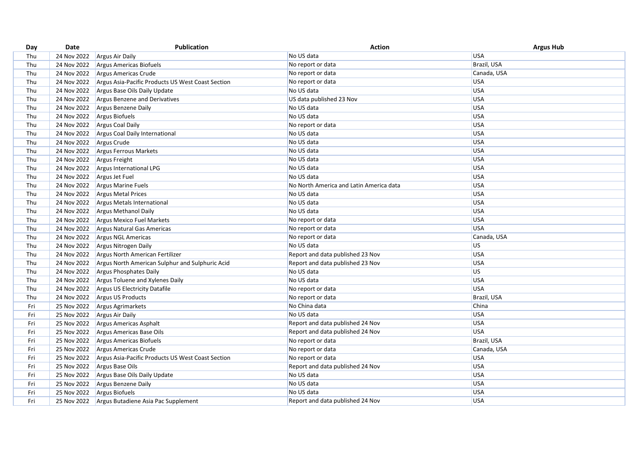| Day | Date        | <b>Publication</b>                                | Action                                  | <b>Argus Hub</b> |
|-----|-------------|---------------------------------------------------|-----------------------------------------|------------------|
| Thu | 24 Nov 2022 | Argus Air Daily                                   | No US data                              | <b>USA</b>       |
| Thu | 24 Nov 2022 | Argus Americas Biofuels                           | No report or data                       | Brazil, USA      |
| Thu | 24 Nov 2022 | Argus Americas Crude                              | No report or data                       | Canada, USA      |
| Thu | 24 Nov 2022 | Argus Asia-Pacific Products US West Coast Section | No report or data                       | <b>USA</b>       |
| Thu | 24 Nov 2022 | Argus Base Oils Daily Update                      | No US data                              | USA              |
| Thu | 24 Nov 2022 | Argus Benzene and Derivatives                     | US data published 23 Nov                | USA              |
| Thu | 24 Nov 2022 | Argus Benzene Daily                               | No US data                              | <b>USA</b>       |
| Thu | 24 Nov 2022 | Argus Biofuels                                    | No US data                              | <b>USA</b>       |
| Thu | 24 Nov 2022 | <b>Argus Coal Daily</b>                           | No report or data                       | <b>USA</b>       |
| Thu | 24 Nov 2022 | Argus Coal Daily International                    | No US data                              | USA              |
| Thu | 24 Nov 2022 | Argus Crude                                       | No US data                              | <b>USA</b>       |
| Thu | 24 Nov 2022 | Argus Ferrous Markets                             | No US data                              | <b>USA</b>       |
| Thu | 24 Nov 2022 | Argus Freight                                     | No US data                              | USA              |
| Thu | 24 Nov 2022 | Argus International LPG                           | No US data                              | <b>USA</b>       |
| Thu | 24 Nov 2022 | Argus Jet Fuel                                    | No US data                              | <b>USA</b>       |
| Thu | 24 Nov 2022 | Argus Marine Fuels                                | No North America and Latin America data | <b>USA</b>       |
| Thu | 24 Nov 2022 | Argus Metal Prices                                | No US data                              | USA              |
| Thu | 24 Nov 2022 | Argus Metals International                        | No US data                              | <b>USA</b>       |
| Thu | 24 Nov 2022 | <b>Argus Methanol Daily</b>                       | No US data                              | USA              |
| Thu | 24 Nov 2022 | Argus Mexico Fuel Markets                         | No report or data                       | USA              |
| Thu | 24 Nov 2022 | Argus Natural Gas Americas                        | No report or data                       | <b>USA</b>       |
| Thu | 24 Nov 2022 | Argus NGL Americas                                | No report or data                       | Canada, USA      |
| Thu | 24 Nov 2022 | Argus Nitrogen Daily                              | No US data                              | <b>US</b>        |
| Thu | 24 Nov 2022 | Argus North American Fertilizer                   | Report and data published 23 Nov        | USA              |
| Thu | 24 Nov 2022 | Argus North American Sulphur and Sulphuric Acid   | Report and data published 23 Nov        | <b>USA</b>       |
| Thu | 24 Nov 2022 | Argus Phosphates Daily                            | No US data                              | <b>US</b>        |
| Thu | 24 Nov 2022 | Argus Toluene and Xylenes Daily                   | No US data                              | USA              |
| Thu | 24 Nov 2022 | Argus US Electricity Datafile                     | No report or data                       | USA              |
| Thu | 24 Nov 2022 | Argus US Products                                 | No report or data                       | Brazil, USA      |
| Fri | 25 Nov 2022 | Argus Agrimarkets                                 | No China data                           | China            |
| Fri | 25 Nov 2022 | <b>Argus Air Daily</b>                            | No US data                              | <b>USA</b>       |
| Fri | 25 Nov 2022 | Argus Americas Asphalt                            | Report and data published 24 Nov        | <b>USA</b>       |
| Fri | 25 Nov 2022 | Argus Americas Base Oils                          | Report and data published 24 Nov        | <b>USA</b>       |
| Fri | 25 Nov 2022 | Argus Americas Biofuels                           | No report or data                       | Brazil, USA      |
| Fri | 25 Nov 2022 | Argus Americas Crude                              | No report or data                       | Canada, USA      |
| Fri | 25 Nov 2022 | Argus Asia-Pacific Products US West Coast Section | No report or data                       | USA              |
| Fri | 25 Nov 2022 | Argus Base Oils                                   | Report and data published 24 Nov        | USA              |
| Fri | 25 Nov 2022 | Argus Base Oils Daily Update                      | No US data                              | USA              |
| Fri | 25 Nov 2022 | Argus Benzene Daily                               | No US data                              | USA              |
| Fri |             | 25 Nov 2022 Argus Biofuels                        | No US data                              | <b>USA</b>       |
| Fri | 25 Nov 2022 | Argus Butadiene Asia Pac Supplement               | Report and data published 24 Nov        | <b>USA</b>       |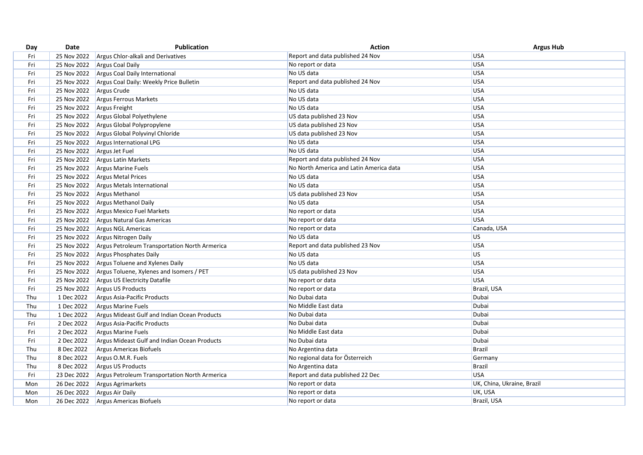| Day | Date        | <b>Publication</b>                            | <b>Action</b>                           | <b>Argus Hub</b>           |
|-----|-------------|-----------------------------------------------|-----------------------------------------|----------------------------|
| Fri | 25 Nov 2022 | Argus Chlor-alkali and Derivatives            | Report and data published 24 Nov        | <b>USA</b>                 |
| Fri | 25 Nov 2022 | Argus Coal Daily                              | No report or data                       | <b>USA</b>                 |
| Fri | 25 Nov 2022 | Argus Coal Daily International                | No US data                              | USA                        |
| Fri | 25 Nov 2022 | Argus Coal Daily: Weekly Price Bulletin       | Report and data published 24 Nov        | <b>USA</b>                 |
| Fri | 25 Nov 2022 | Argus Crude                                   | No US data                              | <b>USA</b>                 |
| Fri | 25 Nov 2022 | Argus Ferrous Markets                         | No US data                              | <b>USA</b>                 |
| Fri | 25 Nov 2022 | Argus Freight                                 | No US data                              | <b>USA</b>                 |
| Fri | 25 Nov 2022 | Argus Global Polyethylene                     | US data published 23 Nov                | <b>USA</b>                 |
| Fri | 25 Nov 2022 | Argus Global Polypropylene                    | US data published 23 Nov                | USA                        |
| Fri | 25 Nov 2022 | Argus Global Polyvinyl Chloride               | US data published 23 Nov                | USA                        |
| Fri | 25 Nov 2022 | Argus International LPG                       | No US data                              | USA                        |
| Fri | 25 Nov 2022 | Argus Jet Fuel                                | No US data                              | <b>USA</b>                 |
| Fri | 25 Nov 2022 | <b>Argus Latin Markets</b>                    | Report and data published 24 Nov        | <b>USA</b>                 |
| Fri | 25 Nov 2022 | Argus Marine Fuels                            | No North America and Latin America data | <b>USA</b>                 |
| Fri | 25 Nov 2022 | <b>Argus Metal Prices</b>                     | No US data                              | <b>USA</b>                 |
| Fri | 25 Nov 2022 | Argus Metals International                    | No US data                              | <b>USA</b>                 |
| Fri | 25 Nov 2022 | <b>Argus Methanol</b>                         | US data published 23 Nov                | <b>USA</b>                 |
| Fri | 25 Nov 2022 | Argus Methanol Daily                          | No US data                              | <b>USA</b>                 |
| Fri | 25 Nov 2022 | Argus Mexico Fuel Markets                     | No report or data                       | USA                        |
| Fri | 25 Nov 2022 | Argus Natural Gas Americas                    | No report or data                       | <b>USA</b>                 |
| Fri | 25 Nov 2022 | Argus NGL Americas                            | No report or data                       | Canada, USA                |
| Fri | 25 Nov 2022 | Argus Nitrogen Daily                          | No US data                              | US                         |
| Fri | 25 Nov 2022 | Argus Petroleum Transportation North Armerica | Report and data published 23 Nov        | USA                        |
| Fri | 25 Nov 2022 | Argus Phosphates Daily                        | No US data                              | <b>US</b>                  |
| Fri | 25 Nov 2022 | Argus Toluene and Xylenes Daily               | No US data                              | <b>USA</b>                 |
| Fri | 25 Nov 2022 | Argus Toluene, Xylenes and Isomers / PET      | US data published 23 Nov                | <b>USA</b>                 |
| Fri | 25 Nov 2022 | Argus US Electricity Datafile                 | No report or data                       | <b>USA</b>                 |
| Fri | 25 Nov 2022 | Argus US Products                             | No report or data                       | Brazil, USA                |
| Thu | 1 Dec 2022  | Argus Asia-Pacific Products                   | No Dubai data                           | Dubai                      |
| Thu | 1 Dec 2022  | <b>Argus Marine Fuels</b>                     | No Middle East data                     | Dubai                      |
| Thu | 1 Dec 2022  | Argus Mideast Gulf and Indian Ocean Products  | No Dubai data                           | Dubai                      |
| Fri | 2 Dec 2022  | Argus Asia-Pacific Products                   | No Dubai data                           | Dubai                      |
| Fri | 2 Dec 2022  | <b>Argus Marine Fuels</b>                     | No Middle East data                     | Dubai                      |
| Fri | 2 Dec 2022  | Argus Mideast Gulf and Indian Ocean Products  | No Dubai data                           | Dubai                      |
| Thu | 8 Dec 2022  | Argus Americas Biofuels                       | No Argentina data                       | Brazil                     |
| Thu | 8 Dec 2022  | Argus O.M.R. Fuels                            | No regional data for Österreich         | Germany                    |
| Thu | 8 Dec 2022  | <b>Argus US Products</b>                      | No Argentina data                       | <b>Brazil</b>              |
| Fri | 23 Dec 2022 | Argus Petroleum Transportation North Armerica | Report and data published 22 Dec        | <b>USA</b>                 |
| Mon | 26 Dec 2022 | Argus Agrimarkets                             | No report or data                       | UK, China, Ukraine, Brazil |
| Mon | 26 Dec 2022 | Argus Air Daily                               | No report or data                       | UK, USA                    |
| Mon | 26 Dec 2022 | <b>Argus Americas Biofuels</b>                | No report or data                       | Brazil, USA                |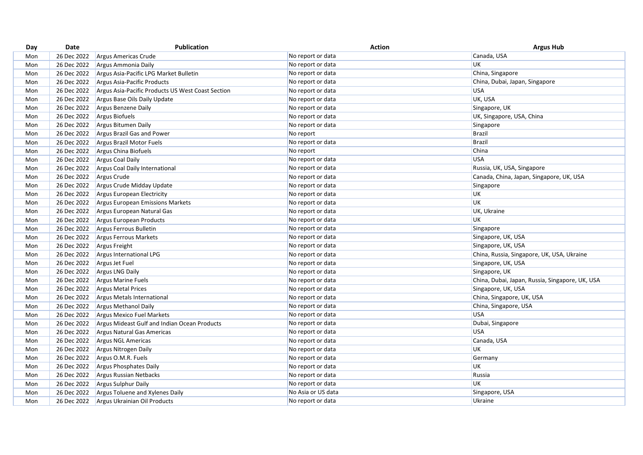| Day | Date        | Publication                                       | <b>Action</b>      | <b>Argus Hub</b>                                |
|-----|-------------|---------------------------------------------------|--------------------|-------------------------------------------------|
| Mon | 26 Dec 2022 | Argus Americas Crude                              | No report or data  | Canada, USA                                     |
| Mon | 26 Dec 2022 | Argus Ammonia Daily                               | No report or data  | <b>UK</b>                                       |
| Mon | 26 Dec 2022 | Argus Asia-Pacific LPG Market Bulletin            | No report or data  | China, Singapore                                |
| Mon | 26 Dec 2022 | Argus Asia-Pacific Products                       | No report or data  | China, Dubai, Japan, Singapore                  |
| Mon | 26 Dec 2022 | Argus Asia-Pacific Products US West Coast Section | No report or data  | <b>USA</b>                                      |
| Mon | 26 Dec 2022 | Argus Base Oils Daily Update                      | No report or data  | UK, USA                                         |
| Mon | 26 Dec 2022 | Argus Benzene Daily                               | No report or data  | Singapore, UK                                   |
| Mon | 26 Dec 2022 | Argus Biofuels                                    | No report or data  | UK, Singapore, USA, China                       |
| Mon | 26 Dec 2022 | Argus Bitumen Daily                               | No report or data  | Singapore                                       |
| Mon | 26 Dec 2022 | Argus Brazil Gas and Power                        | No report          | <b>Brazil</b>                                   |
| Mon | 26 Dec 2022 | Argus Brazil Motor Fuels                          | No report or data  | <b>Brazil</b>                                   |
| Mon | 26 Dec 2022 | Argus China Biofuels                              | No report          | China                                           |
| Mon | 26 Dec 2022 | Argus Coal Daily                                  | No report or data  | <b>USA</b>                                      |
| Mon | 26 Dec 2022 | Argus Coal Daily International                    | No report or data  | Russia, UK, USA, Singapore                      |
| Mon | 26 Dec 2022 | Argus Crude                                       | No report or data  | Canada, China, Japan, Singapore, UK, USA        |
| Mon | 26 Dec 2022 | Argus Crude Midday Update                         | No report or data  | Singapore                                       |
| Mon | 26 Dec 2022 | Argus European Electricity                        | No report or data  | <b>UK</b>                                       |
| Mon | 26 Dec 2022 | Argus European Emissions Markets                  | No report or data  | <b>UK</b>                                       |
| Mon | 26 Dec 2022 | Argus European Natural Gas                        | No report or data  | UK, Ukraine                                     |
| Mon | 26 Dec 2022 | Argus European Products                           | No report or data  | UK                                              |
| Mon | 26 Dec 2022 | Argus Ferrous Bulletin                            | No report or data  | Singapore                                       |
| Mon | 26 Dec 2022 | Argus Ferrous Markets                             | No report or data  | Singapore, UK, USA                              |
| Mon | 26 Dec 2022 | Argus Freight                                     | No report or data  | Singapore, UK, USA                              |
| Mon | 26 Dec 2022 | Argus International LPG                           | No report or data  | China, Russia, Singapore, UK, USA, Ukraine      |
| Mon | 26 Dec 2022 | Argus Jet Fuel                                    | No report or data  | Singapore, UK, USA                              |
| Mon | 26 Dec 2022 | Argus LNG Daily                                   | No report or data  | Singapore, UK                                   |
| Mon | 26 Dec 2022 | Argus Marine Fuels                                | No report or data  | China, Dubai, Japan, Russia, Singapore, UK, USA |
| Mon | 26 Dec 2022 | <b>Argus Metal Prices</b>                         | No report or data  | Singapore, UK, USA                              |
| Mon | 26 Dec 2022 | Argus Metals International                        | No report or data  | China, Singapore, UK, USA                       |
| Mon | 26 Dec 2022 | Argus Methanol Daily                              | No report or data  | China, Singapore, USA                           |
| Mon | 26 Dec 2022 | Argus Mexico Fuel Markets                         | No report or data  | <b>USA</b>                                      |
| Mon | 26 Dec 2022 | Argus Mideast Gulf and Indian Ocean Products      | No report or data  | Dubai, Singapore                                |
| Mon | 26 Dec 2022 | Argus Natural Gas Americas                        | No report or data  | <b>USA</b>                                      |
| Mon | 26 Dec 2022 | <b>Argus NGL Americas</b>                         | No report or data  | Canada, USA                                     |
| Mon | 26 Dec 2022 | Argus Nitrogen Daily                              | No report or data  | <b>UK</b>                                       |
| Mon | 26 Dec 2022 | Argus O.M.R. Fuels                                | No report or data  | Germany                                         |
| Mon | 26 Dec 2022 | Argus Phosphates Daily                            | No report or data  | UK                                              |
| Mon | 26 Dec 2022 | Argus Russian Netbacks                            | No report or data  | Russia                                          |
| Mon | 26 Dec 2022 | Argus Sulphur Daily                               | No report or data  | <b>UK</b>                                       |
| Mon | 26 Dec 2022 | Argus Toluene and Xylenes Daily                   | No Asia or US data | Singapore, USA                                  |
| Mon | 26 Dec 2022 | Argus Ukrainian Oil Products                      | No report or data  | Ukraine                                         |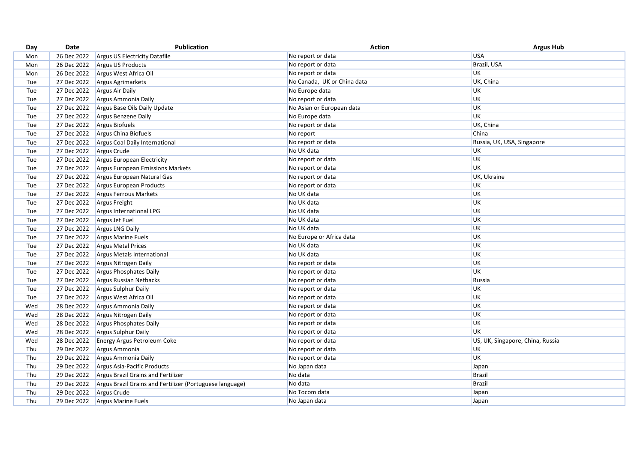| Day | Date        | <b>Publication</b>                                       | <b>Action</b>               | <b>Argus Hub</b>                 |
|-----|-------------|----------------------------------------------------------|-----------------------------|----------------------------------|
| Mon | 26 Dec 2022 | <b>Argus US Electricity Datafile</b>                     | No report or data           | <b>USA</b>                       |
| Mon | 26 Dec 2022 | Argus US Products                                        | No report or data           | Brazil, USA                      |
| Mon | 26 Dec 2022 | Argus West Africa Oil                                    | No report or data           | UK                               |
| Tue | 27 Dec 2022 | Argus Agrimarkets                                        | No Canada, UK or China data | UK, China                        |
| Tue | 27 Dec 2022 | Argus Air Daily                                          | No Europe data              | UK                               |
| Tue | 27 Dec 2022 | Argus Ammonia Daily                                      | No report or data           | UK                               |
| Tue | 27 Dec 2022 | Argus Base Oils Daily Update                             | No Asian or European data   | UK                               |
| Tue | 27 Dec 2022 | Argus Benzene Daily                                      | No Europe data              | UK                               |
| Tue | 27 Dec 2022 | Argus Biofuels                                           | No report or data           | UK, China                        |
| Tue | 27 Dec 2022 | Argus China Biofuels                                     | No report                   | China                            |
| Tue | 27 Dec 2022 | Argus Coal Daily International                           | No report or data           | Russia, UK, USA, Singapore       |
| Tue | 27 Dec 2022 | Argus Crude                                              | No UK data                  | UK                               |
| Tue | 27 Dec 2022 | Argus European Electricity                               | No report or data           | UK                               |
| Tue | 27 Dec 2022 | Argus European Emissions Markets                         | No report or data           | <b>UK</b>                        |
| Tue | 27 Dec 2022 | Argus European Natural Gas                               | No report or data           | UK, Ukraine                      |
| Tue | 27 Dec 2022 | Argus European Products                                  | No report or data           | <b>UK</b>                        |
| Tue | 27 Dec 2022 | Argus Ferrous Markets                                    | No UK data                  | UK                               |
| Tue | 27 Dec 2022 | Argus Freight                                            | No UK data                  | UK                               |
| Tue | 27 Dec 2022 | Argus International LPG                                  | No UK data                  | UK                               |
| Tue | 27 Dec 2022 | Argus Jet Fuel                                           | No UK data                  | UK                               |
| Tue | 27 Dec 2022 | Argus LNG Daily                                          | No UK data                  | UK                               |
| Tue | 27 Dec 2022 | Argus Marine Fuels                                       | No Europe or Africa data    | UK                               |
| Tue | 27 Dec 2022 | <b>Argus Metal Prices</b>                                | No UK data                  | UK                               |
| Tue | 27 Dec 2022 | Argus Metals International                               | No UK data                  | UK                               |
| Tue | 27 Dec 2022 | Argus Nitrogen Daily                                     | No report or data           | <b>UK</b>                        |
| Tue | 27 Dec 2022 | Argus Phosphates Daily                                   | No report or data           | UK                               |
| Tue | 27 Dec 2022 | Argus Russian Netbacks                                   | No report or data           | Russia                           |
| Tue | 27 Dec 2022 | Argus Sulphur Daily                                      | No report or data           | UK                               |
| Tue | 27 Dec 2022 | Argus West Africa Oil                                    | No report or data           | UK                               |
| Wed | 28 Dec 2022 | Argus Ammonia Daily                                      | No report or data           | UK                               |
| Wed | 28 Dec 2022 | Argus Nitrogen Daily                                     | No report or data           | UK                               |
| Wed | 28 Dec 2022 | Argus Phosphates Daily                                   | No report or data           | UK                               |
| Wed | 28 Dec 2022 | Argus Sulphur Daily                                      | No report or data           | UK                               |
| Wed | 28 Dec 2022 | <b>Energy Argus Petroleum Coke</b>                       | No report or data           | US, UK, Singapore, China, Russia |
| Thu | 29 Dec 2022 | Argus Ammonia                                            | No report or data           | <b>UK</b>                        |
| Thu | 29 Dec 2022 | Argus Ammonia Daily                                      | No report or data           | UK                               |
| Thu | 29 Dec 2022 | Argus Asia-Pacific Products                              | No Japan data               | Japan                            |
| Thu | 29 Dec 2022 | Argus Brazil Grains and Fertilizer                       | No data                     | <b>Brazil</b>                    |
| Thu | 29 Dec 2022 | Argus Brazil Grains and Fertilizer (Portuguese language) | No data                     | <b>Brazil</b>                    |
| Thu | 29 Dec 2022 | Argus Crude                                              | No Tocom data               | Japan                            |
| Thu | 29 Dec 2022 | <b>Argus Marine Fuels</b>                                | No Japan data               | Japan                            |